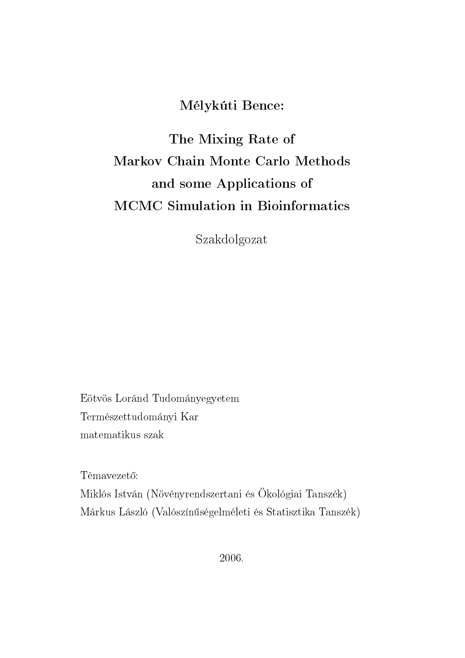# Mélykúti Bence:

# The Mixing Rate of Markov Chain Monte Carlo Methods and some Applications of MCMC Simulation in Bioinformatics

Szakdolgozat

Eötvös Loránd Tudományegyetem Természettudományi Kar matematikus szak

Témavezető: Miklós István (Növényrendszertani és Ökológiai Tanszék) Márkus László (Valószínűségelméleti és Statisztika Tanszék)

2006.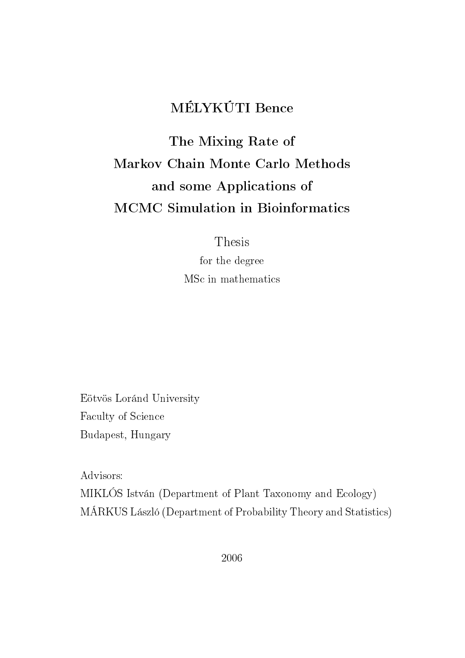# MÉLYKÚTI Bence

# The Mixing Rate of Markov Chain Monte Carlo Methods and some Applications of MCMC Simulation in Bioinformatics

Thesis

for the degree MSc in mathematics

Eötvös Loránd University Faculty of Science Budapest, Hungary

Advisors:

MIKLÓS István (Department of Plant Taxonomy and Ecology) MÁRKUS László (Department of Probability Theory and Statistics)

2006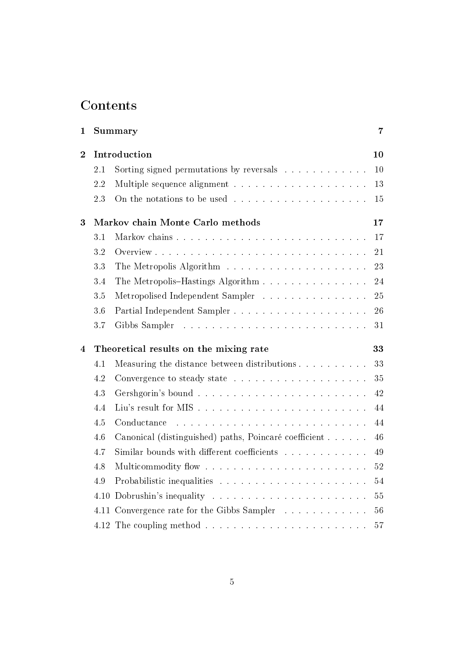# **Contents**

| 1                       | 7<br>Summary                                 |                                                                          |    |  |  |  |
|-------------------------|----------------------------------------------|--------------------------------------------------------------------------|----|--|--|--|
| $\overline{2}$          | Introduction                                 |                                                                          |    |  |  |  |
|                         | 2.1                                          | Sorting signed permutations by reversals                                 | 10 |  |  |  |
|                         | 2.2                                          |                                                                          | 13 |  |  |  |
|                         | 2.3                                          |                                                                          | 15 |  |  |  |
| 3                       | Markov chain Monte Carlo methods             |                                                                          |    |  |  |  |
|                         | 3.1                                          |                                                                          | 17 |  |  |  |
|                         | 3.2                                          |                                                                          | 21 |  |  |  |
|                         | 3.3                                          | The Metropolis Algorithm $\ldots \ldots \ldots \ldots \ldots \ldots$     | 23 |  |  |  |
|                         | 3.4                                          | The Metropolis–Hastings Algorithm                                        | 24 |  |  |  |
|                         | 3.5                                          | Metropolised Independent Sampler                                         | 25 |  |  |  |
|                         | 3.6                                          |                                                                          | 26 |  |  |  |
|                         | 3.7                                          |                                                                          | 31 |  |  |  |
| $\overline{\mathbf{4}}$ | Theoretical results on the mixing rate<br>33 |                                                                          |    |  |  |  |
|                         | 4.1                                          | Measuring the distance between distributions                             | 33 |  |  |  |
|                         | 4.2                                          |                                                                          | 35 |  |  |  |
|                         | 4.3                                          |                                                                          | 42 |  |  |  |
|                         | 4.4                                          |                                                                          | 44 |  |  |  |
|                         | 4.5                                          | Conductance                                                              | 44 |  |  |  |
|                         | 4.6                                          | Canonical (distinguished) paths, Poincaré coefficient                    | 46 |  |  |  |
|                         | 4.7                                          | Similar bounds with different coefficients $\ldots \ldots \ldots \ldots$ | 49 |  |  |  |
|                         | 4.8                                          |                                                                          | 52 |  |  |  |
|                         | 4.9                                          |                                                                          | 54 |  |  |  |
|                         | 4.10                                         |                                                                          | 55 |  |  |  |
|                         |                                              | 4.11 Convergence rate for the Gibbs Sampler                              | 56 |  |  |  |
|                         |                                              |                                                                          | 57 |  |  |  |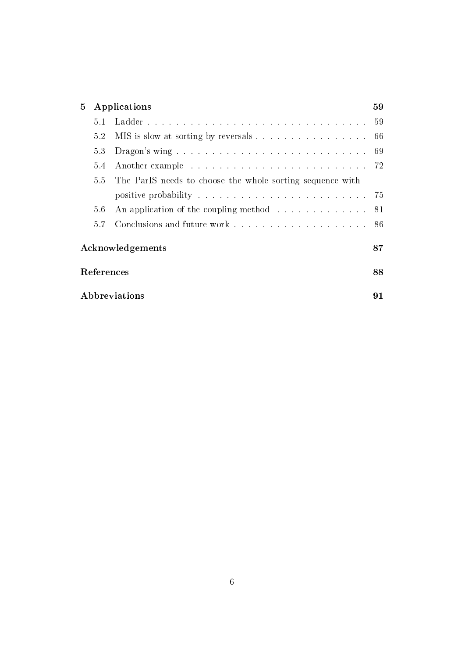| 5                | Applications                                                           |                                                                        |  |  |  |  |  |
|------------------|------------------------------------------------------------------------|------------------------------------------------------------------------|--|--|--|--|--|
|                  | 5.1                                                                    |                                                                        |  |  |  |  |  |
|                  | MIS is slow at sorting by reversals 66<br>5.2                          |                                                                        |  |  |  |  |  |
|                  | 5.3                                                                    |                                                                        |  |  |  |  |  |
|                  | 5.4<br>55<br>The ParIS needs to choose the whole sorting sequence with |                                                                        |  |  |  |  |  |
|                  |                                                                        |                                                                        |  |  |  |  |  |
|                  |                                                                        |                                                                        |  |  |  |  |  |
|                  | 5.6                                                                    | An application of the coupling method $\ldots \ldots \ldots \ldots$ 81 |  |  |  |  |  |
|                  | 5.7                                                                    |                                                                        |  |  |  |  |  |
| Acknowledgements |                                                                        |                                                                        |  |  |  |  |  |
|                  | References                                                             |                                                                        |  |  |  |  |  |
|                  | Abbreviations                                                          |                                                                        |  |  |  |  |  |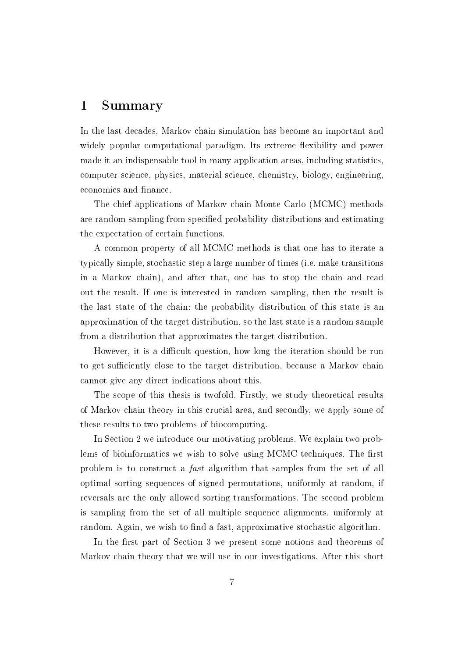### 1 Summary

In the last decades, Markov chain simulation has become an important and widely popular computational paradigm. Its extreme flexibility and power made it an indispensable tool in many application areas, including statistics, computer science, physics, material science, chemistry, biology, engineering, economics and finance.

The chief applications of Markov chain Monte Carlo (MCMC) methods are random sampling from specified probability distributions and estimating the expectation of certain functions.

A common property of all MCMC methods is that one has to iterate a typically simple, stochastic step a large number of times (i.e. make transitions in a Markov chain), and after that, one has to stop the chain and read out the result. If one is interested in random sampling, then the result is the last state of the chain: the probability distribution of this state is an approximation of the target distribution, so the last state is a random sample from a distribution that approximates the target distribution.

However, it is a difficult question, how long the iteration should be run to get sufficiently close to the target distribution, because a Markov chain cannot give any direct indications about this.

The scope of this thesis is twofold. Firstly, we study theoretical results of Markov chain theory in this crucial area, and secondly, we apply some of these results to two problems of biocomputing.

In Section 2 we introduce our motivating problems. We explain two problems of bioinformatics we wish to solve using MCMC techniques. The first problem is to construct a fast algorithm that samples from the set of all optimal sorting sequences of signed permutations, uniformly at random, if reversals are the only allowed sorting transformations. The second problem is sampling from the set of all multiple sequence alignments, uniformly at random. Again, we wish to find a fast, approximative stochastic algorithm.

In the first part of Section 3 we present some notions and theorems of Markov chain theory that we will use in our investigations. After this short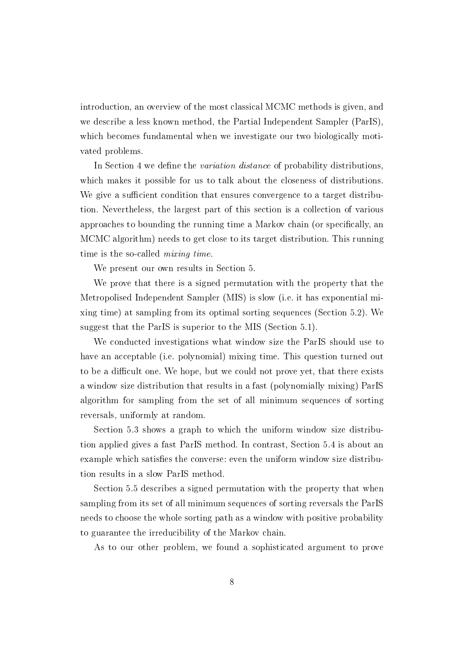introduction, an overview of the most classical MCMC methods is given, and we describe a less known method, the Partial Independent Sampler (ParIS), which becomes fundamental when we investigate our two biologically motivated problems.

In Section 4 we define the *variation distance* of probability distributions, which makes it possible for us to talk about the closeness of distributions. We give a sufficient condition that ensures convergence to a target distribution. Nevertheless, the largest part of this section is a collection of various approaches to bounding the running time a Markov chain (or specifically, an MCMC algorithm) needs to get close to its target distribution. This running time is the so-called *mixing time*.

We present our own results in Section 5.

We prove that there is a signed permutation with the property that the Metropolised Independent Sampler (MIS) is slow (i.e. it has exponential mixing time) at sampling from its optimal sorting sequences (Section 5.2). We suggest that the ParIS is superior to the MIS (Section 5.1).

We conducted investigations what window size the ParIS should use to have an acceptable (i.e. polynomial) mixing time. This question turned out to be a difficult one. We hope, but we could not prove yet, that there exists a window size distribution that results in a fast (polynomially mixing) ParIS algorithm for sampling from the set of all minimum sequences of sorting reversals, uniformly at random.

Section 5.3 shows a graph to which the uniform window size distribution applied gives a fast ParIS method. In contrast, Section 5.4 is about an example which satisfies the converse: even the uniform window size distribution results in a slow ParIS method.

Section 5.5 describes a signed permutation with the property that when sampling from its set of all minimum sequences of sorting reversals the ParIS needs to choose the whole sorting path as a window with positive probability to guarantee the irreducibility of the Markov chain.

As to our other problem, we found a sophisticated argument to prove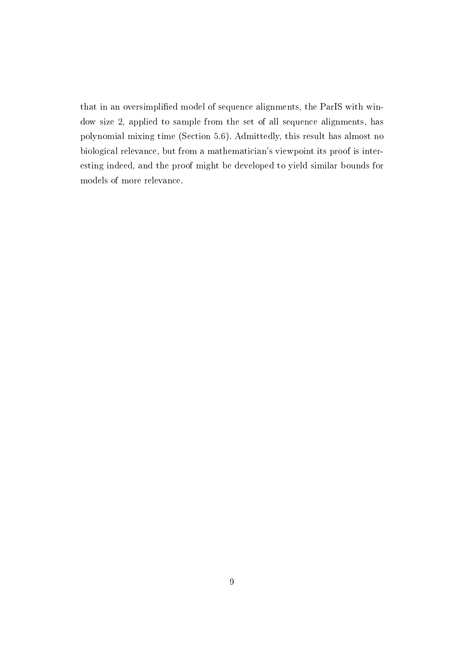that in an oversimplied model of sequence alignments, the ParIS with window size 2, applied to sample from the set of all sequence alignments, has polynomial mixing time (Section 5.6). Admittedly, this result has almost no biological relevance, but from a mathematician's viewpoint its proof is interesting indeed, and the proof might be developed to yield similar bounds for models of more relevance.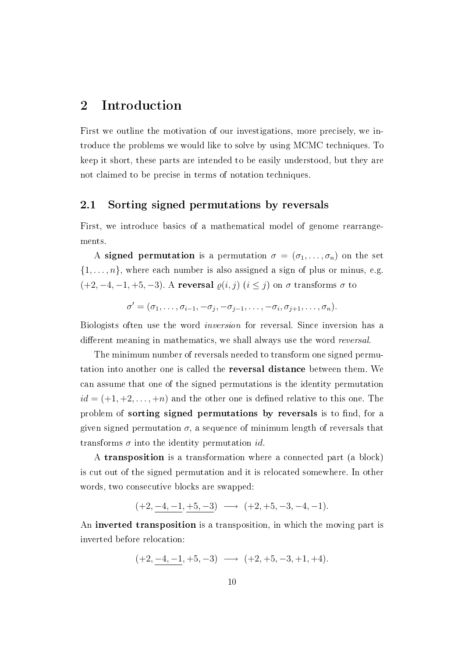## 2 Introduction

First we outline the motivation of our investigations, more precisely, we introduce the problems we would like to solve by using MCMC techniques. To keep it short, these parts are intended to be easily understood, but they are not claimed to be precise in terms of notation techniques.

#### 2.1 Sorting signed permutations by reversals

First, we introduce basics of a mathematical model of genome rearrangements.

A signed permutation is a permutation  $\sigma = (\sigma_1, \ldots, \sigma_n)$  on the set  $\{1, \ldots, n\}$ , where each number is also assigned a sign of plus or minus, e.g.  $(+2, -4, -1, +5, -3)$ . A reversal  $\varrho(i, j)$   $(i \leq j)$  on  $\sigma$  transforms  $\sigma$  to

$$
\sigma'=(\sigma_1,\ldots,\sigma_{i-1},-\sigma_j,-\sigma_{j-1},\ldots,-\sigma_i,\sigma_{j+1},\ldots,\sigma_n).
$$

Biologists often use the word inversion for reversal. Since inversion has a different meaning in mathematics, we shall always use the word *reversal*.

The minimum number of reversals needed to transform one signed permutation into another one is called the reversal distance between them. We can assume that one of the signed permutations is the identity permutation  $id = (+1, +2, \ldots, +n)$  and the other one is defined relative to this one. The problem of sorting signed permutations by reversals is to find, for a given signed permutation  $\sigma$ , a sequence of minimum length of reversals that transforms  $\sigma$  into the identity permutation id.

A transposition is a transformation where a connected part (a block) is cut out of the signed permutation and it is relocated somewhere. In other words, two consecutive blocks are swapped:

$$
(+2,-4,-1,\underline{+5},-3) \longrightarrow (+2,+5,-3,-4,-1).
$$

An inverted transposition is a transposition, in which the moving part is inverted before relocation:

$$
(+2, -4, -1, +5, -3) \longrightarrow (+2, +5, -3, +1, +4).
$$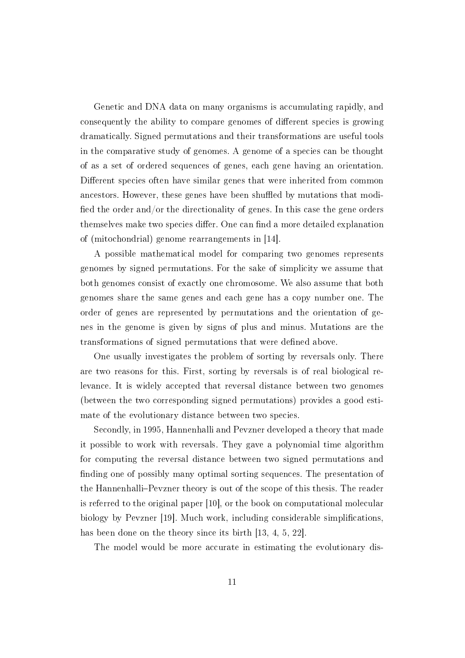Genetic and DNA data on many organisms is accumulating rapidly, and consequently the ability to compare genomes of different species is growing dramatically. Signed permutations and their transformations are useful tools in the comparative study of genomes. A genome of a species can be thought of as a set of ordered sequences of genes, each gene having an orientation. Different species often have similar genes that were inherited from common ancestors. However, these genes have been shuffled by mutations that modified the order and/or the directionality of genes. In this case the gene orders themselves make two species differ. One can find a more detailed explanation of (mitochondrial) genome rearrangements in [14].

A possible mathematical model for comparing two genomes represents genomes by signed permutations. For the sake of simplicity we assume that both genomes consist of exactly one chromosome. We also assume that both genomes share the same genes and each gene has a copy number one. The order of genes are represented by permutations and the orientation of genes in the genome is given by signs of plus and minus. Mutations are the transformations of signed permutations that were defined above.

One usually investigates the problem of sorting by reversals only. There are two reasons for this. First, sorting by reversals is of real biological relevance. It is widely accepted that reversal distance between two genomes (between the two corresponding signed permutations) provides a good estimate of the evolutionary distance between two species.

Secondly, in 1995, Hannenhalli and Pevzner developed a theory that made it possible to work with reversals. They gave a polynomial time algorithm for computing the reversal distance between two signed permutations and finding one of possibly many optimal sorting sequences. The presentation of the Hannenhalli–Pevzner theory is out of the scope of this thesis. The reader is referred to the original paper [10], or the book on computational molecular biology by Pevzner [19]. Much work, including considerable simplications, has been done on the theory since its birth [13, 4, 5, 22].

The model would be more accurate in estimating the evolutionary dis-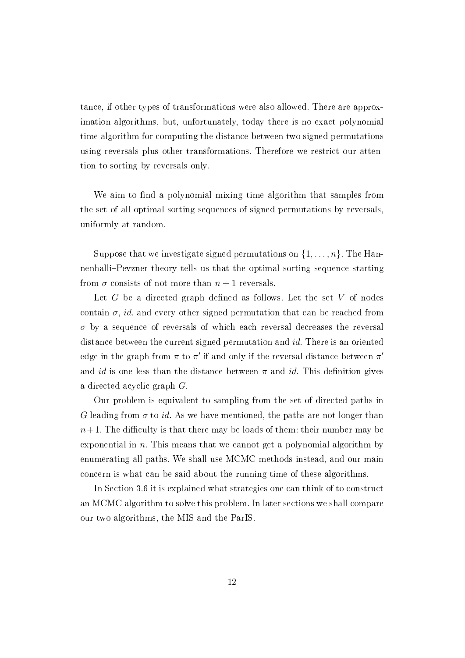tance, if other types of transformations were also allowed. There are approximation algorithms, but, unfortunately, today there is no exact polynomial time algorithm for computing the distance between two signed permutations using reversals plus other transformations. Therefore we restrict our attention to sorting by reversals only.

We aim to find a polynomial mixing time algorithm that samples from the set of all optimal sorting sequences of signed permutations by reversals, uniformly at random.

Suppose that we investigate signed permutations on  $\{1, \ldots, n\}$ . The Hannenhalli-Pevzner theory tells us that the optimal sorting sequence starting from  $\sigma$  consists of not more than  $n+1$  reversals.

Let  $G$  be a directed graph defined as follows. Let the set  $V$  of nodes contain  $\sigma$ , id, and every other signed permutation that can be reached from  $\sigma$  by a sequence of reversals of which each reversal decreases the reversal distance between the current signed permutation and id. There is an oriented edge in the graph from  $\pi$  to  $\pi'$  if and only if the reversal distance between  $\pi'$ and id is one less than the distance between  $\pi$  and id. This definition gives a directed acyclic graph G.

Our problem is equivalent to sampling from the set of directed paths in G leading from  $\sigma$  to id. As we have mentioned, the paths are not longer than  $n+1$ . The difficulty is that there may be loads of them: their number may be exponential in n. This means that we cannot get a polynomial algorithm by enumerating all paths. We shall use MCMC methods instead, and our main concern is what can be said about the running time of these algorithms.

In Section 3.6 it is explained what strategies one can think of to construct an MCMC algorithm to solve this problem. In later sections we shall compare our two algorithms, the MIS and the ParIS.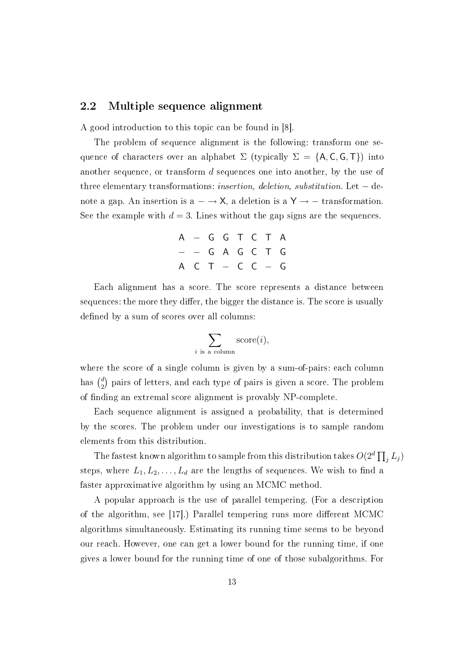#### 2.2 Multiple sequence alignment

A good introduction to this topic can be found in [8].

The problem of sequence alignment is the following: transform one sequence of characters over an alphabet  $\Sigma$  (typically  $\Sigma = \{A, C, G, T\}$ ) into another sequence, or transform d sequences one into another, by the use of three elementary transformations: *insertion*, deletion, substitution. Let  $-$  denote a gap. An insertion is  $a \rightarrow X$ , a deletion is a Y  $\rightarrow$  - transformation. See the example with  $d = 3$ . Lines without the gap signs are the sequences.

| A - G G T C T A |  |  |  |
|-----------------|--|--|--|
| - - G A G C T G |  |  |  |
| A C T - C C - G |  |  |  |

Each alignment has a score. The score represents a distance between sequences: the more they differ, the bigger the distance is. The score is usually defined by a sum of scores over all columns:

$$
\sum_{i \text{ is a column}} \text{score}(i),
$$

where the score of a single column is given by a sum-of-pairs: each column has  $\binom{d}{2}$  $_2^d$ ) pairs of letters, and each type of pairs is given a score. The problem of nding an extremal score alignment is provably NP-complete.

Each sequence alignment is assigned a probability, that is determined by the scores. The problem under our investigations is to sample random elements from this distribution.

The fastest known algorithm to sample from this distribution takes  $O(2^d \prod_j L_j)$ steps, where  $L_1, L_2, \ldots, L_d$  are the lengths of sequences. We wish to find a faster approximative algorithm by using an MCMC method.

A popular approach is the use of parallel tempering. (For a description of the algorithm, see [17].) Parallel tempering runs more different MCMC algorithms simultaneously. Estimating its running time seems to be beyond our reach. However, one can get a lower bound for the running time, if one gives a lower bound for the running time of one of those subalgorithms. For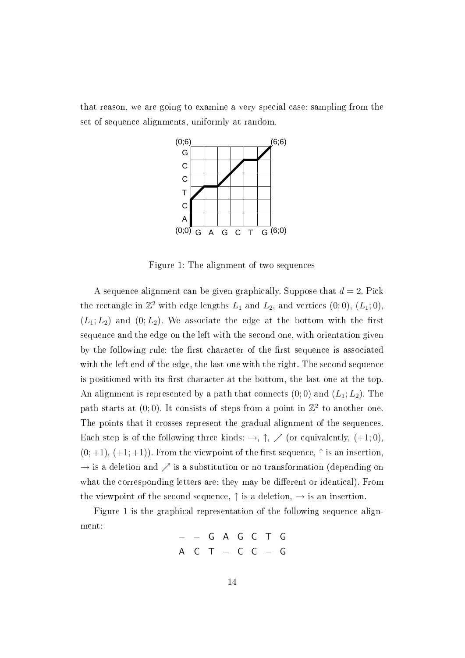that reason, we are going to examine a very special case: sampling from the set of sequence alignments, uniformly at random.



Figure 1: The alignment of two sequences

A sequence alignment can be given graphically. Suppose that  $d = 2$ . Pick the rectangle in  $\mathbb{Z}^2$  with edge lengths  $L_1$  and  $L_2$ , and vertices  $(0; 0)$ ,  $(L_1; 0)$ ,  $(L_1; L_2)$  and  $(0; L_2)$ . We associate the edge at the bottom with the first sequence and the edge on the left with the second one, with orientation given by the following rule: the first character of the first sequence is associated with the left end of the edge, the last one with the right. The second sequence is positioned with its first character at the bottom, the last one at the top. An alignment is represented by a path that connects  $(0,0)$  and  $(L_1; L_2)$ . The path starts at  $(0,0)$ . It consists of steps from a point in  $\mathbb{Z}^2$  to another one. The points that it crosses represent the gradual alignment of the sequences. Each step is of the following three kinds:  $\rightarrow$ ,  $\uparrow$ ,  $\nearrow$  (or equivalently, (+1;0),  $(0; +1)$ ,  $(+1; +1)$ ). From the viewpoint of the first sequence,  $\uparrow$  is an insertion,  $\rightarrow$  is a deletion and  $\nearrow$  is a substitution or no transformation (depending on what the corresponding letters are: they may be different or identical). From the viewpoint of the second sequence,  $\uparrow$  is a deletion,  $\rightarrow$  is an insertion.

Figure 1 is the graphical representation of the following sequence alignment:

> − − G A G C T G A C T − C C − G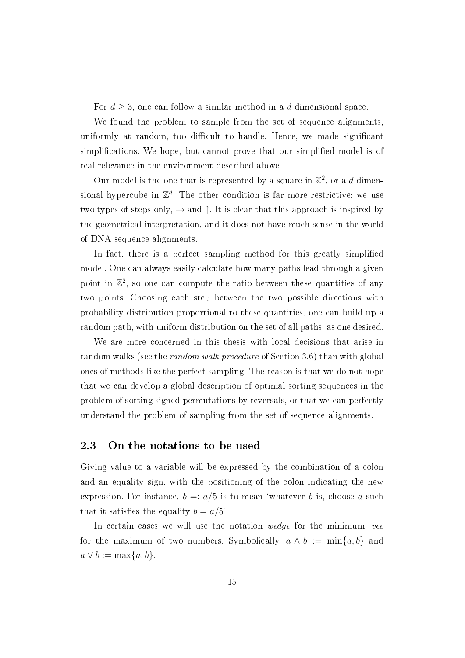For  $d \geq 3$ , one can follow a similar method in a d dimensional space.

We found the problem to sample from the set of sequence alignments, uniformly at random, too difficult to handle. Hence, we made significant simplifications. We hope, but cannot prove that our simplified model is of real relevance in the environment described above.

Our model is the one that is represented by a square in  $\mathbb{Z}^2$ , or a d dimensional hypercube in  $\mathbb{Z}^d$ . The other condition is far more restrictive: we use two types of steps only,  $\rightarrow$  and  $\uparrow$ . It is clear that this approach is inspired by the geometrical interpretation, and it does not have much sense in the world of DNA sequence alignments.

In fact, there is a perfect sampling method for this greatly simplified model. One can always easily calculate how many paths lead through a given point in  $\mathbb{Z}^2$ , so one can compute the ratio between these quantities of any two points. Choosing each step between the two possible directions with probability distribution proportional to these quantities, one can build up a random path, with uniform distribution on the set of all paths, as one desired.

We are more concerned in this thesis with local decisions that arise in random walks (see the random walk procedure of Section 3.6) than with global ones of methods like the perfect sampling. The reason is that we do not hope that we can develop a global description of optimal sorting sequences in the problem of sorting signed permutations by reversals, or that we can perfectly understand the problem of sampling from the set of sequence alignments.

#### 2.3 On the notations to be used

Giving value to a variable will be expressed by the combination of a colon and an equality sign, with the positioning of the colon indicating the new expression. For instance,  $b =: a/5$  is to mean 'whatever b is, choose a such that it satisfies the equality  $b = a/5'$ .

In certain cases we will use the notation wedge for the minimum, vee for the maximum of two numbers. Symbolically,  $a \wedge b := \min\{a, b\}$  and  $a \vee b := \max\{a, b\}.$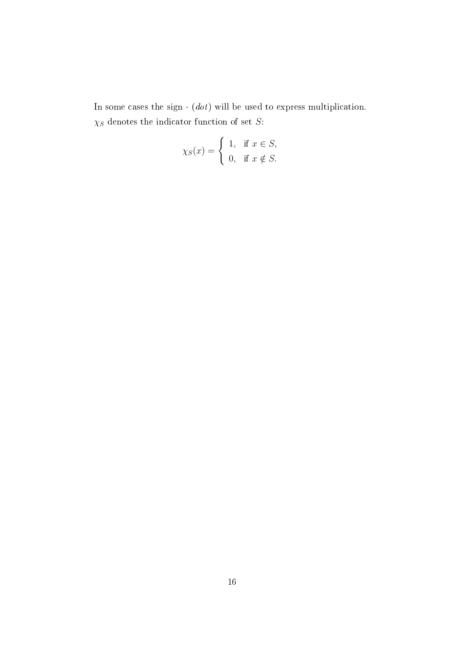In some cases the sign  $\cdot$  (dot) will be used to express multiplication.  $\chi_S$  denotes the indicator function of set  $S:$ 

$$
\chi_S(x) = \begin{cases} 1, & \text{if } x \in S, \\ 0, & \text{if } x \notin S. \end{cases}
$$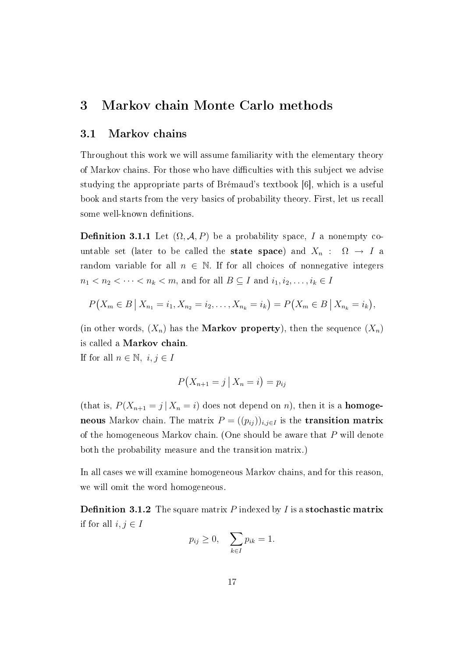## 3 Markov chain Monte Carlo methods

#### 3.1 Markov chains

Throughout this work we will assume familiarity with the elementary theory of Markov chains. For those who have difficulties with this subject we advise studying the appropriate parts of Brémaud's textbook [6], which is a useful book and starts from the very basics of probability theory. First, let us recall some well-known definitions.

**Definition 3.1.1** Let  $(\Omega, \mathcal{A}, P)$  be a probability space, I a nonempty countable set (later to be called the **state space**) and  $X_n : \Omega \to I$  a random variable for all  $n \in \mathbb{N}$ . If for all choices of nonnegative integers  $n_1 < n_2 < \cdots < n_k < m$ , and for all  $B \subseteq I$  and  $i_1, i_2, \ldots, i_k \in I$ 

$$
P(X_m \in B \mid X_{n_1} = i_1, X_{n_2} = i_2, \dots, X_{n_k} = i_k) = P(X_m \in B \mid X_{n_k} = i_k),
$$

(in other words,  $(X_n)$  has the **Markov property**), then the sequence  $(X_n)$ is called a Markov chain.

If for all  $n \in \mathbb{N}$ ,  $i, j \in I$ 

$$
P(X_{n+1}=j | X_n=i)=p_{ij}
$$

(that is,  $P(X_{n+1} = j | X_n = i)$  does not depend on n), then it is a **homoge**neous Markov chain. The matrix  $P = ((p_{ij}))_{i,j\in I}$  is the **transition matrix** of the homogeneous Markov chain. (One should be aware that P will denote both the probability measure and the transition matrix.)

In all cases we will examine homogeneous Markov chains, and for this reason, we will omit the word homogeneous.

**Definition 3.1.2** The square matrix  $P$  indexed by  $I$  is a stochastic matrix if for all  $i, j \in I$ 

$$
p_{ij} \ge 0, \quad \sum_{k \in I} p_{ik} = 1.
$$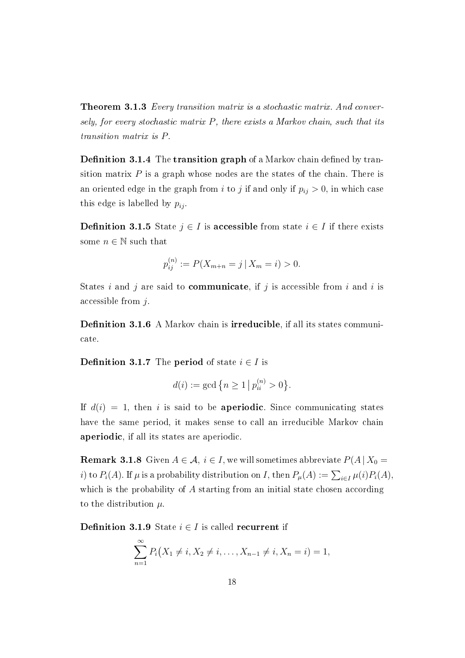**Theorem 3.1.3** Every transition matrix is a stochastic matrix. And conversely, for every stochastic matrix  $P$ , there exists a Markov chain, such that its transition matrix is P.

**Definition 3.1.4** The **transition graph** of a Markov chain defined by transition matrix  $P$  is a graph whose nodes are the states of the chain. There is an oriented edge in the graph from i to j if and only if  $p_{ij} > 0$ , in which case this edge is labelled by  $p_{ij}$ .

**Definition 3.1.5** State  $j \in I$  is **accessible** from state  $i \in I$  if there exists some  $n \in \mathbb{N}$  such that

$$
p_{ij}^{(n)} := P(X_{m+n} = j \mid X_m = i) > 0.
$$

States i and j are said to **communicate**, if j is accessible from i and i is accessible from j.

**Definition 3.1.6** A Markov chain is **irreducible**, if all its states communicate.

**Definition 3.1.7** The **period** of state  $i \in I$  is

$$
d(i) := \gcd\left\{n \ge 1 \, \big| \, p_{ii}^{(n)} > 0\right\}.
$$

If  $d(i) = 1$ , then i is said to be **aperiodic**. Since communicating states have the same period, it makes sense to call an irreducible Markov chain aperiodic, if all its states are aperiodic.

**Remark 3.1.8** Given  $A \in \mathcal{A}$ ,  $i \in I$ , we will sometimes abbreviate  $P(A | X_0 =$ *i*) to  $P_i(A)$ . If  $\mu$  is a probability distribution on *I*, then  $P_{\mu}(A) := \sum_{i \in I} \mu(i) P_i(A)$ , which is the probability of  $A$  starting from an initial state chosen according to the distribution  $\mu$ .

**Definition 3.1.9** State  $i \in I$  is called recurrent if

$$
\sum_{n=1}^{\infty} P_i(X_1 \neq i, X_2 \neq i, \dots, X_{n-1} \neq i, X_n = i) = 1,
$$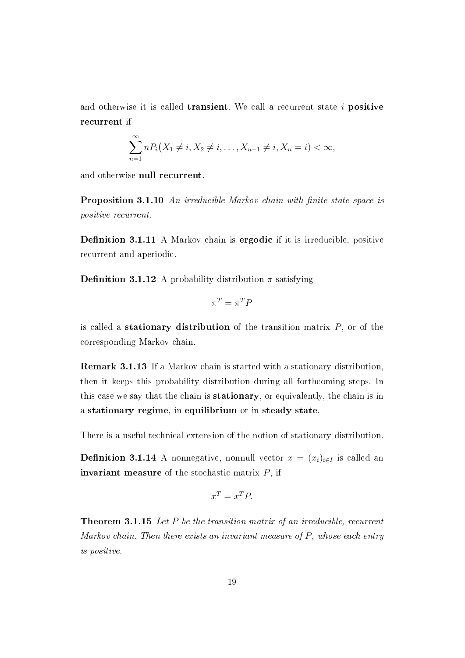and otherwise it is called **transient**. We call a recurrent state  $i$  **positive** recurrent if

$$
\sum_{n=1}^{\infty} n P_i(X_1 \neq i, X_2 \neq i, \dots, X_{n-1} \neq i, X_n = i) < \infty,
$$

and otherwise null recurrent.

Proposition 3.1.10 An irreducible Markov chain with finite state space is positive recurrent.

**Definition 3.1.11** A Markov chain is **ergodic** if it is irreducible, positive recurrent and aperiodic.

**Definition 3.1.12** A probability distribution  $\pi$  satisfying

$$
\pi^T = \pi^T P
$$

is called a stationary distribution of the transition matrix  $P$ , or of the corresponding Markov chain.

Remark 3.1.13 If a Markov chain is started with a stationary distribution, then it keeps this probability distribution during all forthcoming steps. In this case we say that the chain is stationary, or equivalently, the chain is in a stationary regime, in equilibrium or in steady state.

There is a useful technical extension of the notion of stationary distribution.

**Definition 3.1.14** A nonnegative, nonnull vector  $x = (x_i)_{i \in I}$  is called an **invariant measure** of the stochastic matrix  $P$ , if

$$
x^T = x^T P.
$$

Theorem 3.1.15 Let P be the transition matrix of an irreducible, recurrent Markov chain. Then there exists an invariant measure of  $P$ , whose each entry is positive.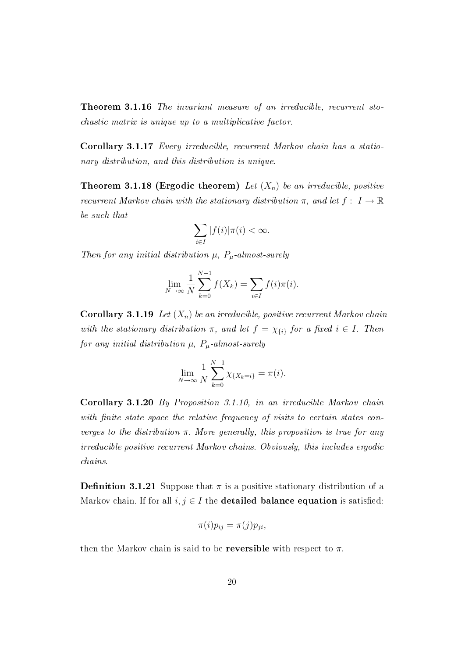Theorem 3.1.16 The invariant measure of an irreducible, recurrent stochastic matrix is unique up to a multiplicative factor.

Corollary 3.1.17 Every irreducible, recurrent Markov chain has a stationary distribution, and this distribution is unique.

**Theorem 3.1.18 (Ergodic theorem)** Let  $(X_n)$  be an irreducible, positive recurrent Markov chain with the stationary distribution  $\pi$ , and let  $f: I \to \mathbb{R}$ be such that

$$
\sum_{i\in I}|f(i)|\pi(i)<\infty.
$$

Then for any initial distribution  $\mu$ ,  $P_{\mu}$ -almost-surely

$$
\lim_{N \to \infty} \frac{1}{N} \sum_{k=0}^{N-1} f(X_k) = \sum_{i \in I} f(i) \pi(i).
$$

**Corollary 3.1.19** Let  $(X_n)$  be an irreducible, positive recurrent Markov chain with the stationary distribution  $\pi$ , and let  $f = \chi_{\{i\}}$  for a fixed  $i \in I$ . Then for any initial distribution  $\mu$ ,  $P_{\mu}$ -almost-surely

$$
\lim_{N \to \infty} \frac{1}{N} \sum_{k=0}^{N-1} \chi_{\{X_k = i\}} = \pi(i).
$$

Corollary 3.1.20 By Proposition 3.1.10, in an irreducible Markov chain with finite state space the relative frequency of visits to certain states converges to the distribution  $\pi$ . More generally, this proposition is true for any irreducible positive recurrent Markov chains. Obviously, this includes ergodic chains.

**Definition 3.1.21** Suppose that  $\pi$  is a positive stationary distribution of a Markov chain. If for all  $i, j \in I$  the **detailed balance equation** is satisfied:

$$
\pi(i)p_{ij} = \pi(j)p_{ji},
$$

then the Markov chain is said to be **reversible** with respect to  $\pi$ .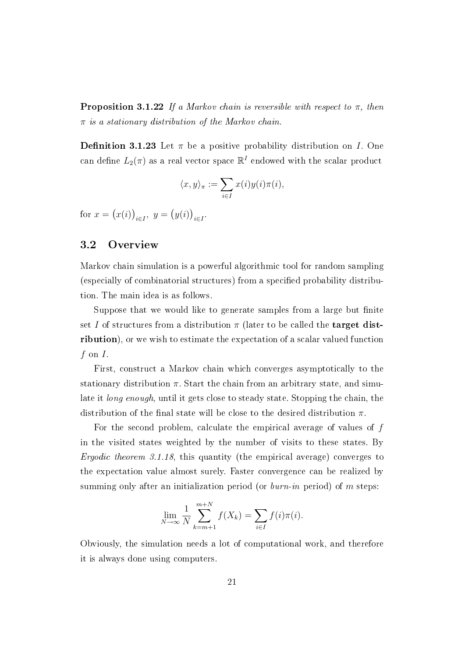**Proposition 3.1.22** If a Markov chain is reversible with respect to  $\pi$ , then  $\pi$  is a stationary distribution of the Markov chain.

**Definition 3.1.23** Let  $\pi$  be a positive probability distribution on I. One can define  $L_2(\pi)$  as a real vector space  $\mathbb{R}^I$  endowed with the scalar product

$$
\langle x, y \rangle_{\pi} := \sum_{i \in I} x(i) y(i) \pi(i),
$$

for  $x = (x(i))_{i \in I}$ ,  $y = (y(i))_{i \in I}$ .

#### 3.2 Overview

Markov chain simulation is a powerful algorithmic tool for random sampling (especially of combinatorial structures) from a specified probability distribution. The main idea is as follows.

Suppose that we would like to generate samples from a large but finite set I of structures from a distribution  $\pi$  (later to be called the **target dist**ribution), or we wish to estimate the expectation of a scalar valued function  $f$  on  $I$ .

First, construct a Markov chain which converges asymptotically to the stationary distribution  $\pi$ . Start the chain from an arbitrary state, and simulate it *long enough*, until it gets close to steady state. Stopping the chain, the distribution of the final state will be close to the desired distribution  $\pi$ .

For the second problem, calculate the empirical average of values of f in the visited states weighted by the number of visits to these states. By Ergodic theorem 3.1.18, this quantity (the empirical average) converges to the expectation value almost surely. Faster convergence can be realized by summing only after an initialization period (or  $burn-in$  period) of m steps:

$$
\lim_{N \to \infty} \frac{1}{N} \sum_{k=m+1}^{m+N} f(X_k) = \sum_{i \in I} f(i) \pi(i).
$$

Obviously, the simulation needs a lot of computational work, and therefore it is always done using computers.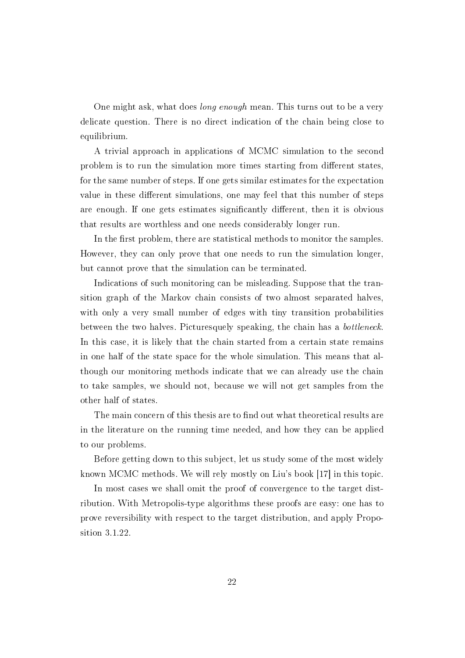One might ask, what does *long enough* mean. This turns out to be a very delicate question. There is no direct indication of the chain being close to equilibrium.

A trivial approach in applications of MCMC simulation to the second problem is to run the simulation more times starting from different states, for the same number of steps. If one gets similar estimates for the expectation value in these different simulations, one may feel that this number of steps are enough. If one gets estimates significantly different, then it is obvious that results are worthless and one needs considerably longer run.

In the first problem, there are statistical methods to monitor the samples. However, they can only prove that one needs to run the simulation longer, but cannot prove that the simulation can be terminated.

Indications of such monitoring can be misleading. Suppose that the transition graph of the Markov chain consists of two almost separated halves, with only a very small number of edges with tiny transition probabilities between the two halves. Picturesquely speaking, the chain has a *bottleneck*. In this case, it is likely that the chain started from a certain state remains in one half of the state space for the whole simulation. This means that although our monitoring methods indicate that we can already use the chain to take samples, we should not, because we will not get samples from the other half of states.

The main concern of this thesis are to find out what theoretical results are in the literature on the running time needed, and how they can be applied to our problems.

Before getting down to this subject, let us study some of the most widely known MCMC methods. We will rely mostly on Liu's book [17] in this topic.

In most cases we shall omit the proof of convergence to the target distribution. With Metropolis-type algorithms these proofs are easy: one has to prove reversibility with respect to the target distribution, and apply Proposition 3.1.22.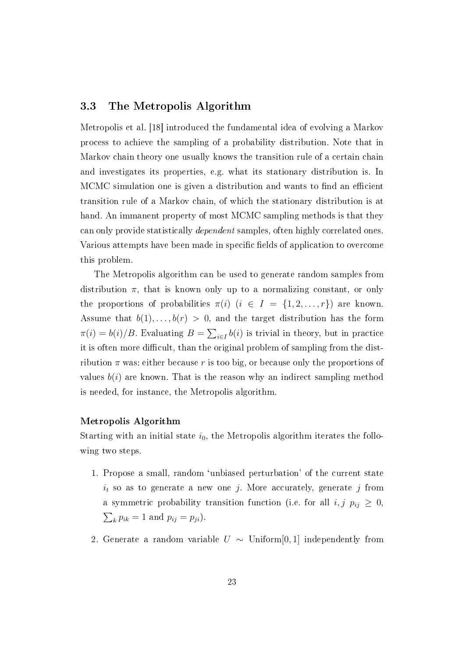#### 3.3 The Metropolis Algorithm

Metropolis et al. [18] introduced the fundamental idea of evolving a Markov process to achieve the sampling of a probability distribution. Note that in Markov chain theory one usually knows the transition rule of a certain chain and investigates its properties, e.g. what its stationary distribution is. In MCMC simulation one is given a distribution and wants to find an efficient transition rule of a Markov chain, of which the stationary distribution is at hand. An immanent property of most MCMC sampling methods is that they can only provide statistically dependent samples, often highly correlated ones. Various attempts have been made in specific fields of application to overcome this problem.

The Metropolis algorithm can be used to generate random samples from distribution  $\pi$ , that is known only up to a normalizing constant, or only the proportions of probabilities  $\pi(i)$   $(i \in I = \{1, 2, ..., r\})$  are known. Assume that  $b(1), \ldots, b(r) > 0$ , and the target distribution has the form  $\pi(i) = b(i)/B$ . Evaluating  $B = \sum_{i \in I} b(i)$  is trivial in theory, but in practice it is often more difficult, than the original problem of sampling from the distribution  $\pi$  was: either because r is too big, or because only the proportions of values  $b(i)$  are known. That is the reason why an indirect sampling method is needed, for instance, the Metropolis algorithm.

#### Metropolis Algorithm

Starting with an initial state  $i_0$ , the Metropolis algorithm iterates the following two steps.

- 1. Propose a small, random `unbiased perturbation' of the current state  $i_t$  so as to generate a new one j. More accurately, generate j from a symmetric probability transition function (i.e. for all  $i, j \, p_{ij} \geq 0$ ,  $\sum_k p_{ik} = 1$  and  $p_{ij} = p_{ji}$ ).
- 2. Generate a random variable  $U \sim$  Uniform[0,1] independently from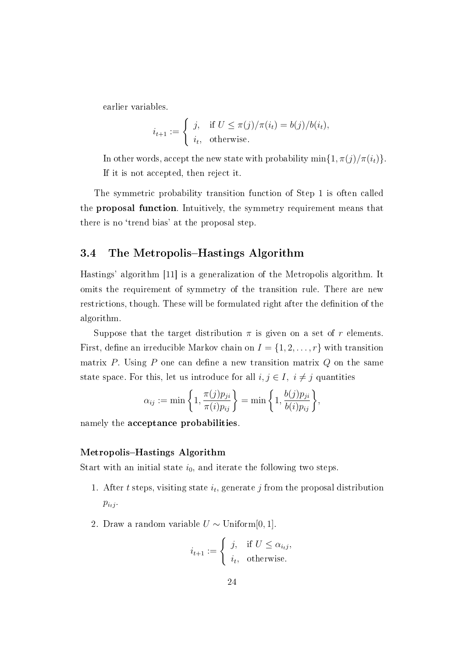earlier variables.

$$
i_{t+1} := \begin{cases} j, & \text{if } U \le \pi(j)/\pi(i_t) = b(j)/b(i_t), \\ i_t, & \text{otherwise.} \end{cases}
$$

In other words, accept the new state with probability min $\{1, \pi(j)/\pi(i_t)\}.$ If it is not accepted, then reject it.

The symmetric probability transition function of Step 1 is often called the proposal function. Intuitively, the symmetry requirement means that there is no 'trend bias' at the proposal step.

#### 3.4 The Metropolis–Hastings Algorithm

Hastings' algorithm [11] is a generalization of the Metropolis algorithm. It omits the requirement of symmetry of the transition rule. There are new restrictions, though. These will be formulated right after the definition of the algorithm.

Suppose that the target distribution  $\pi$  is given on a set of r elements. First, define an irreducible Markov chain on  $I = \{1, 2, \ldots, r\}$  with transition matrix P. Using P one can define a new transition matrix  $Q$  on the same state space. For this, let us introduce for all  $i, j \in I$ ,  $i \neq j$  quantities

$$
\alpha_{ij} := \min\left\{1, \frac{\pi(j)p_{ji}}{\pi(i)p_{ij}}\right\} = \min\left\{1, \frac{b(j)p_{ji}}{b(i)p_{ij}}\right\},\
$$

namely the acceptance probabilities.

#### Metropolis-Hastings Algorithm

Start with an initial state  $i_0$ , and iterate the following two steps.

- 1. After t steps, visiting state  $i_t$ , generate j from the proposal distribution  $p_{i_tj}$ .
- 2. Draw a random variable  $U \sim$  Uniform[0, 1].

$$
i_{t+1} := \begin{cases} j, & \text{if } U \le \alpha_{i_t j}, \\ i_t, & \text{otherwise.} \end{cases}
$$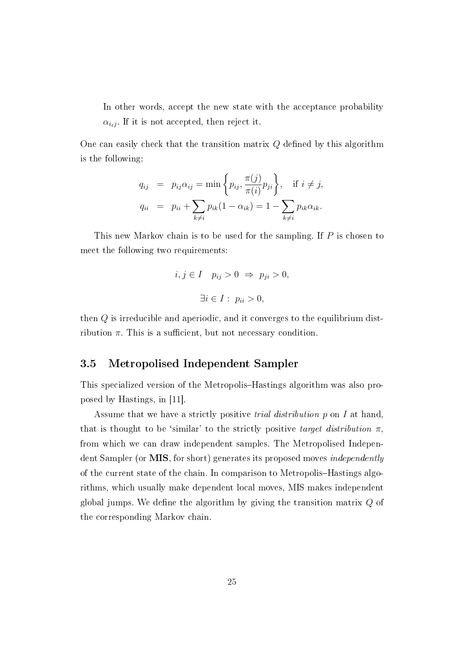In other words, accept the new state with the acceptance probability  $\alpha_{i_tj}$ . If it is not accepted, then reject it.

One can easily check that the transition matrix  $Q$  defined by this algorithm is the following:

$$
q_{ij} = p_{ij}\alpha_{ij} = \min\left\{p_{ij}, \frac{\pi(j)}{\pi(i)}p_{ji}\right\}, \quad \text{if } i \neq j,
$$
  

$$
q_{ii} = p_{ii} + \sum_{k \neq i} p_{ik}(1 - \alpha_{ik}) = 1 - \sum_{k \neq i} p_{ik}\alpha_{ik}.
$$

This new Markov chain is to be used for the sampling. If P is chosen to meet the following two requirements:

$$
i, j \in I \quad p_{ij} > 0 \Rightarrow p_{ji} > 0,
$$
  

$$
\exists i \in I: \ p_{ii} > 0,
$$

then Q is irreducible and aperiodic, and it converges to the equilibrium distribution  $\pi$ . This is a sufficient, but not necessary condition.

#### 3.5 Metropolised Independent Sampler

This specialized version of the Metropolis–Hastings algorithm was also proposed by Hastings, in [11].

Assume that we have a strictly positive *trial distribution*  $p$  on  $I$  at hand. that is thought to be 'similar' to the strictly positive target distribution  $\pi$ . from which we can draw independent samples. The Metropolised Independent Sampler (or MIS, for short) generates its proposed moves *independently* of the current state of the chain. In comparison to Metropolis–Hastings algorithms, which usually make dependent local moves, MIS makes independent global jumps. We define the algorithm by giving the transition matrix  $Q$  of the corresponding Markov chain.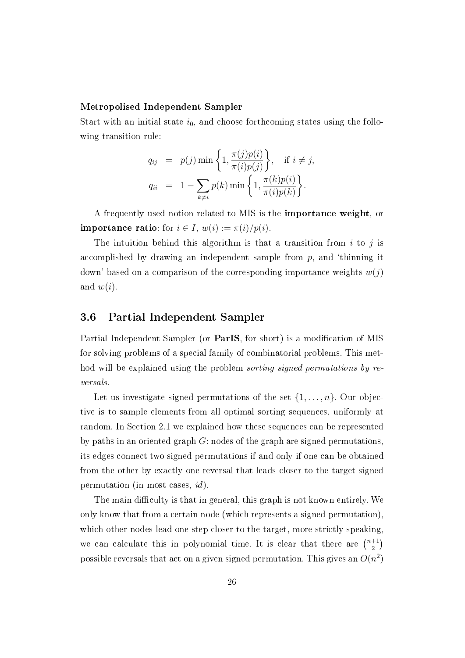#### Metropolised Independent Sampler

Start with an initial state  $i_0$ , and choose forthcoming states using the following transition rule:

$$
q_{ij} = p(j) \min\left\{1, \frac{\pi(j)p(i)}{\pi(i)p(j)}\right\}, \quad \text{if } i \neq j,
$$
  

$$
q_{ii} = 1 - \sum_{k \neq i} p(k) \min\left\{1, \frac{\pi(k)p(i)}{\pi(i)p(k)}\right\}.
$$

A frequently used notion related to MIS is the importance weight, or **importance ratio**: for  $i \in I$ ,  $w(i) := \pi(i)/p(i)$ .

The intuition behind this algorithm is that a transition from  $i$  to  $j$  is accomplished by drawing an independent sample from  $p$ , and 'thinning it down' based on a comparison of the corresponding importance weights  $w(j)$ and  $w(i)$ .

#### 3.6 Partial Independent Sampler

Partial Independent Sampler (or **ParIS**, for short) is a modification of MIS for solving problems of a special family of combinatorial problems. This method will be explained using the problem sorting signed permutations by reversals.

Let us investigate signed permutations of the set  $\{1, \ldots, n\}$ . Our objective is to sample elements from all optimal sorting sequences, uniformly at random. In Section 2.1 we explained how these sequences can be represented by paths in an oriented graph  $G$ : nodes of the graph are signed permutations. its edges connect two signed permutations if and only if one can be obtained from the other by exactly one reversal that leads closer to the target signed permutation (in most cases, id).

The main difficulty is that in general, this graph is not known entirely. We only know that from a certain node (which represents a signed permutation), which other nodes lead one step closer to the target, more strictly speaking, we can calculate this in polynomial time. It is clear that there are  $\binom{n+1}{2}$  $\binom{+1}{2}$ possible reversals that act on a given signed permutation. This gives an  $O(n^2)$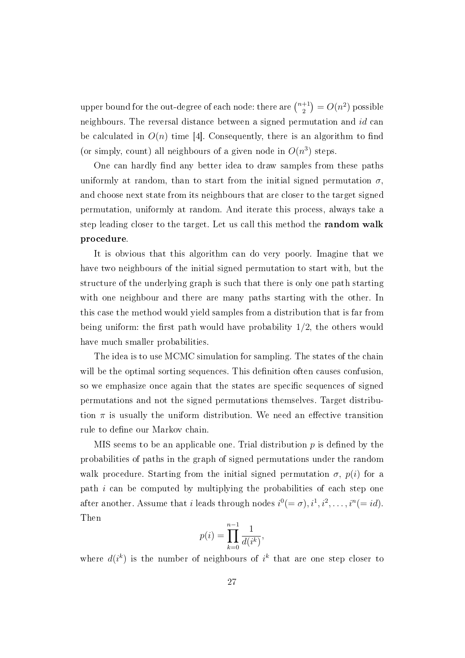upper bound for the out-degree of each node: there are  $\binom{n+1}{2}$  $\binom{+1}{2} = O(n^2)$  possible neighbours. The reversal distance between a signed permutation and id can be calculated in  $O(n)$  time [4]. Consequently, there is an algorithm to find (or simply, count) all neighbours of a given node in  $O(n^3)$  steps.

One can hardly find any better idea to draw samples from these paths uniformly at random, than to start from the initial signed permutation  $\sigma$ . and choose next state from its neighbours that are closer to the target signed permutation, uniformly at random. And iterate this process, always take a step leading closer to the target. Let us call this method the random walk procedure.

It is obvious that this algorithm can do very poorly. Imagine that we have two neighbours of the initial signed permutation to start with, but the structure of the underlying graph is such that there is only one path starting with one neighbour and there are many paths starting with the other. In this case the method would yield samples from a distribution that is far from being uniform: the first path would have probability  $1/2$ , the others would have much smaller probabilities.

The idea is to use MCMC simulation for sampling. The states of the chain will be the optimal sorting sequences. This definition often causes confusion, so we emphasize once again that the states are specific sequences of signed permutations and not the signed permutations themselves. Target distribution  $\pi$  is usually the uniform distribution. We need an effective transition rule to define our Markov chain.

MIS seems to be an applicable one. Trial distribution  $p$  is defined by the probabilities of paths in the graph of signed permutations under the random walk procedure. Starting from the initial signed permutation  $\sigma$ ,  $p(i)$  for a path  $i$  can be computed by multiplying the probabilities of each step one after another. Assume that i leads through nodes  $i^0(=\sigma), i^1, i^2, \ldots, i^n(=id)$ . Then

$$
p(i) = \prod_{k=0}^{n-1} \frac{1}{d(i^k)},
$$

where  $d(i^k)$  is the number of neighbours of  $i^k$  that are one step closer to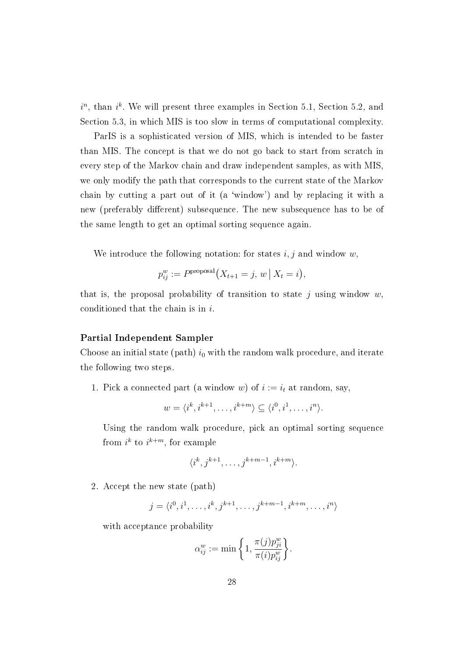$i^n$ , than  $i^k$ . We will present three examples in Section 5.1, Section 5.2, and Section 5.3, in which MIS is too slow in terms of computational complexity.

ParIS is a sophisticated version of MIS, which is intended to be faster than MIS. The concept is that we do not go back to start from scratch in every step of the Markov chain and draw independent samples, as with MIS, we only modify the path that corresponds to the current state of the Markov chain by cutting a part out of it (a `window') and by replacing it with a new (preferably different) subsequence. The new subsequence has to be of the same length to get an optimal sorting sequence again.

We introduce the following notation: for states  $i, j$  and window  $w$ ,

$$
p_{ij}^w := P^{\text{proposal}}(X_{t+1} = j, w | X_t = i),
$$

that is, the proposal probability of transition to state j using window  $w$ , conditioned that the chain is in i.

#### Partial Independent Sampler

Choose an initial state (path)  $i_0$  with the random walk procedure, and iterate the following two steps.

1. Pick a connected part (a window w) of  $i := i_t$  at random, say,

$$
w = \langle i^k, i^{k+1}, \dots, i^{k+m} \rangle \subseteq \langle i^0, i^1, \dots, i^n \rangle.
$$

Using the random walk procedure, pick an optimal sorting sequence from  $i^k$  to  $i^{k+m}$ , for example

$$
\langle i^k, j^{k+1}, \dots, j^{k+m-1}, i^{k+m} \rangle.
$$

2. Accept the new state (path)

$$
j = \langle i^0, i^1, \dots, i^k, j^{k+1}, \dots, j^{k+m-1}, i^{k+m}, \dots, i^n \rangle
$$

with acceptance probability

$$
\alpha_{ij}^w := \min\bigg\{1, \frac{\pi(j)p_{ji}^w}{\pi(i)p_{ij}^w}\bigg\}.
$$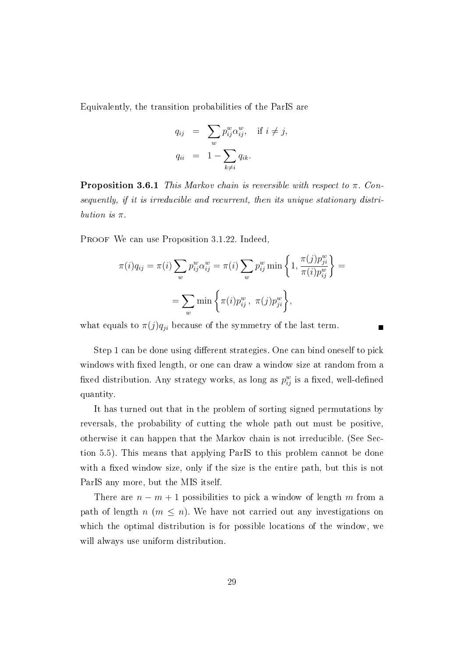Equivalently, the transition probabilities of the ParIS are

$$
q_{ij} = \sum_{w} p_{ij}^{w} \alpha_{ij}^{w}, \text{ if } i \neq j,
$$
  

$$
q_{ii} = 1 - \sum_{k \neq i} q_{ik}.
$$

**Proposition 3.6.1** This Markov chain is reversible with respect to  $\pi$ . Consequently, if it is irreducible and recurrent, then its unique stationary distribution is  $\pi$ .

PROOF We can use Proposition 3.1.22. Indeed,

$$
\pi(i)q_{ij} = \pi(i) \sum_{w} p_{ij}^{w} \alpha_{ij}^{w} = \pi(i) \sum_{w} p_{ij}^{w} \min \left\{ 1, \frac{\pi(j) p_{ji}^{w}}{\pi(i) p_{ij}^{w}} \right\} = \sum_{w} \min \left\{ \pi(i) p_{ij}^{w}, \pi(j) p_{ji}^{w} \right\},
$$

what equals to  $\pi(j)q_{ji}$  because of the symmetry of the last term.

Step 1 can be done using different strategies. One can bind oneself to pick windows with fixed length, or one can draw a window size at random from a fixed distribution. Any strategy works, as long as  $p_{ij}^w$  is a fixed, well-defined quantity.

It has turned out that in the problem of sorting signed permutations by reversals, the probability of cutting the whole path out must be positive, otherwise it can happen that the Markov chain is not irreducible. (See Section 5.5). This means that applying ParIS to this problem cannot be done with a fixed window size, only if the size is the entire path, but this is not ParIS any more, but the MIS itself.

There are  $n - m + 1$  possibilities to pick a window of length m from a path of length  $n$  ( $m \leq n$ ). We have not carried out any investigations on which the optimal distribution is for possible locations of the window, we will always use uniform distribution.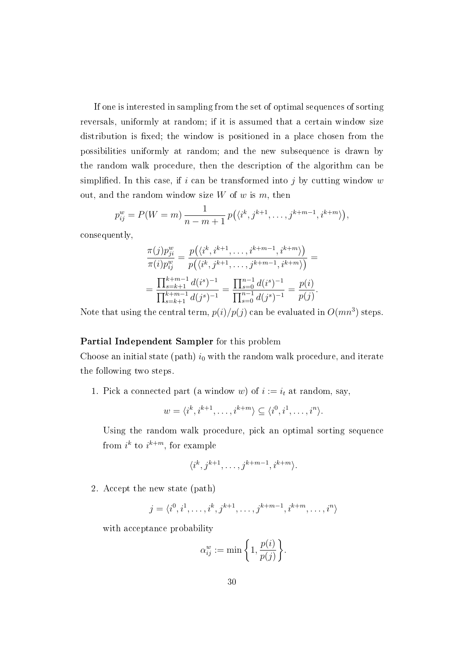If one is interested in sampling from the set of optimal sequences of sorting reversals, uniformly at random; if it is assumed that a certain window size distribution is fixed; the window is positioned in a place chosen from the possibilities uniformly at random; and the new subsequence is drawn by the random walk procedure, then the description of the algorithm can be simplified. In this case, if i can be transformed into j by cutting window  $w$ out, and the random window size  $W$  of  $w$  is  $m$ , then

$$
p_{ij}^w = P(W = m) \frac{1}{n - m + 1} p(\langle i^k, j^{k+1}, \dots, j^{k+m-1}, i^{k+m} \rangle),
$$

consequently,

$$
\frac{\pi(j)p_{ji}^w}{\pi(i)p_{ij}^w} = \frac{p(\langle i^k, i^{k+1}, \dots, i^{k+m-1}, i^{k+m}\rangle)}{p(\langle i^k, j^{k+1}, \dots, j^{k+m-1}, i^{k+m}\rangle)} =
$$
\n
$$
= \frac{\prod_{s=k+1}^{k+m-1} d(i^s)^{-1}}{\prod_{s=k+1}^{k+m-1} d(j^s)^{-1}} = \frac{\prod_{s=0}^{n-1} d(i^s)^{-1}}{\prod_{s=0}^{n-1} d(j^s)^{-1}} = \frac{p(i)}{p(j)}.
$$

Note that using the central term,  $p(i)/p(j)$  can be evaluated in  $O(mn^3)$  steps.

#### Partial Independent Sampler for this problem

Choose an initial state (path)  $i_0$  with the random walk procedure, and iterate the following two steps.

1. Pick a connected part (a window w) of  $i := i_t$  at random, say,

$$
w = \langle i^k, i^{k+1}, \dots, i^{k+m} \rangle \subseteq \langle i^0, i^1, \dots, i^n \rangle.
$$

Using the random walk procedure, pick an optimal sorting sequence from  $i^k$  to  $i^{k+m}$ , for example

$$
\langle i^k, j^{k+1}, \dots, j^{k+m-1}, i^{k+m} \rangle.
$$

2. Accept the new state (path)

$$
j = \langle i^0, i^1, \dots, i^k, j^{k+1}, \dots, j^{k+m-1}, i^{k+m}, \dots, i^n \rangle
$$

with acceptance probability

$$
\alpha_{ij}^w := \min\bigg\{1, \frac{p(i)}{p(j)}\bigg\}.
$$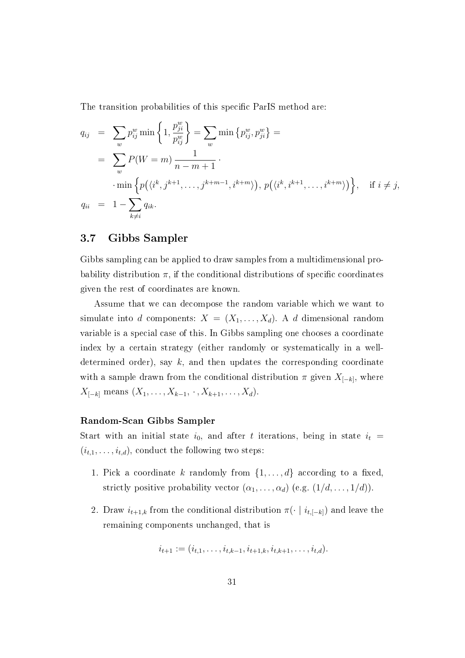The transition probabilities of this specific ParIS method are:

$$
q_{ij} = \sum_{w} p_{ij}^{w} \min \left\{ 1, \frac{p_{ji}^{w}}{p_{ij}^{w}} \right\} = \sum_{w} \min \left\{ p_{ij}^{w}, p_{ji}^{w} \right\} =
$$
  
\n
$$
= \sum_{w} P(W = m) \frac{1}{n - m + 1} \cdot \min \left\{ p(\langle i^{k}, j^{k+1}, \dots, j^{k+m-1}, i^{k+m} \rangle), p(\langle i^{k}, i^{k+1}, \dots, i^{k+m} \rangle) \right\}, \text{ if } i \neq j,
$$
  
\n
$$
q_{ii} = 1 - \sum_{k \neq i} q_{ik}.
$$

#### 3.7 Gibbs Sampler

Gibbs sampling can be applied to draw samples from a multidimensional probability distribution  $\pi$ , if the conditional distributions of specific coordinates given the rest of coordinates are known.

Assume that we can decompose the random variable which we want to simulate into d components:  $X = (X_1, \ldots, X_d)$ . A d dimensional random variable is a special case of this. In Gibbs sampling one chooses a coordinate index by a certain strategy (either randomly or systematically in a welldetermined order), say  $k$ , and then updates the corresponding coordinate with a sample drawn from the conditional distribution  $\pi$  given  $X_{[-k]}$ , where  $X_{[-k]}$  means  $(X_1, \ldots, X_{k-1}, \cdot, X_{k+1}, \ldots, X_d)$ .

#### Random-Scan Gibbs Sampler

Start with an initial state  $i_0$ , and after t iterations, being in state  $i_t =$  $(i_{t,1}, \ldots, i_{t,d})$ , conduct the following two steps:

- 1. Pick a coordinate k randomly from  $\{1, \ldots, d\}$  according to a fixed, strictly positive probability vector  $(\alpha_1, \ldots, \alpha_d)$  (e.g.  $(1/d, \ldots, 1/d)$ ).
- 2. Draw  $i_{t+1,k}$  from the conditional distribution  $\pi(\cdot \mid i_{t,[-k]})$  and leave the remaining components unchanged, that is

$$
i_{t+1} := (i_{t,1}, \ldots, i_{t,k-1}, i_{t+1,k}, i_{t,k+1}, \ldots, i_{t,d}).
$$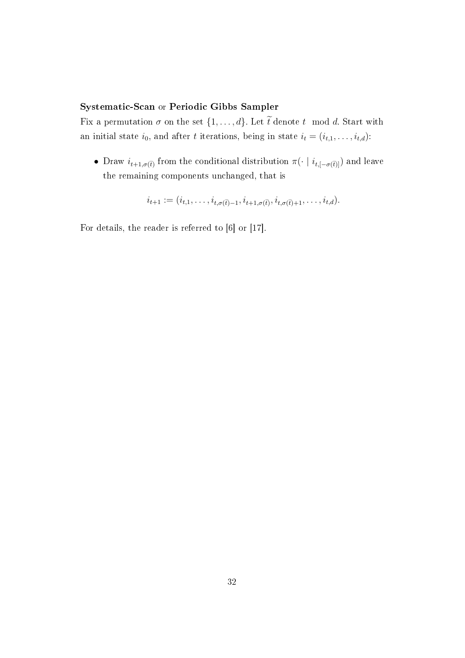#### Systematic-Scan or Periodic Gibbs Sampler

Fix a permutation  $\sigma$  on the set  $\{1, \ldots, d\}$ . Let  $\widetilde{t}$  denote t mod d. Start with an initial state  $i_0$ , and after t iterations, being in state  $i_t = (i_{t,1}, \ldots, i_{t,d})$ :<br>
• Draw  $i_{t+1,\sigma(\tilde{t})}$  from the conditional distribution  $\pi(\cdot | i_{t,[-\sigma(\tilde{t})]})$  and le initial state  $i_0$ , and after t iterations, being in state  $i_t = (i_{t,1}, \ldots, i_{t,d})$ :<br>
• Draw  $i_{t+1,\sigma(\tilde{t})}$  from the conditional distribution  $\pi(\cdot \mid i_{t,[-\sigma(\tilde{t})]})$  and leave

the remaining components unchanged, that is<br>  $i_{t+1} := (i_{t,1}, \ldots, i_{t,\sigma(\tilde{t})-1}, i_{t+1,\sigma(\tilde{t})}, i_{t,\sigma(\tilde{t})-1})$  $\begin{aligned} \text{at is} \ \quad, i_{t,\sigma(\widetilde{t})+1},\ldots, i_{t,d}). \end{aligned}$ 

$$
i_{t+1} := (i_{t,1},\ldots,i_{t,\sigma(\tilde{t})-1},i_{t+1,\sigma(\tilde{t})},i_{t,\sigma(\tilde{t})+1},\ldots,i_{t,d}).
$$

For details, the reader is referred to [6] or [17].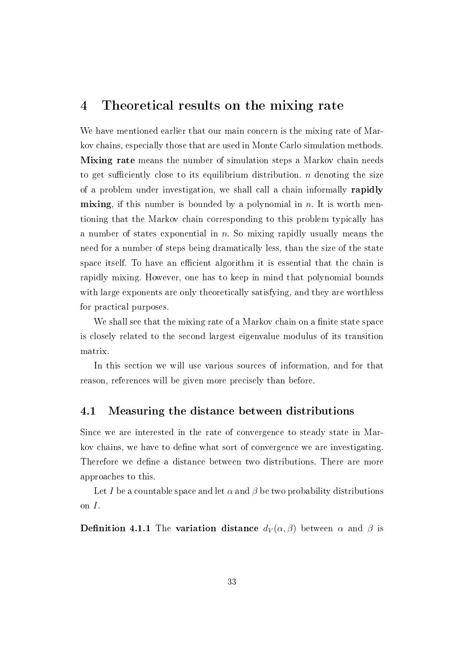### 4 Theoretical results on the mixing rate

We have mentioned earlier that our main concern is the mixing rate of Markov chains, especially those that are used in Monte Carlo simulation methods. Mixing rate means the number of simulation steps a Markov chain needs to get sufficiently close to its equilibrium distribution.  $n$  denoting the size of a problem under investigation, we shall call a chain informally rapidly mixing, if this number is bounded by a polynomial in  $n$ . It is worth mentioning that the Markov chain corresponding to this problem typically has a number of states exponential in  $n$ . So mixing rapidly usually means the need for a number of steps being dramatically less, than the size of the state space itself. To have an efficient algorithm it is essential that the chain is rapidly mixing. However, one has to keep in mind that polynomial bounds with large exponents are only theoretically satisfying, and they are worthless for practical purposes.

We shall see that the mixing rate of a Markov chain on a finite state space is closely related to the second largest eigenvalue modulus of its transition matrix.

In this section we will use various sources of information, and for that reason, references will be given more precisely than before.

#### 4.1 Measuring the distance between distributions

Since we are interested in the rate of convergence to steady state in Markov chains, we have to define what sort of convergence we are investigating. Therefore we define a distance between two distributions. There are more approaches to this.

Let I be a countable space and let  $\alpha$  and  $\beta$  be two probability distributions on I.

**Definition 4.1.1** The variation distance  $d_V(\alpha, \beta)$  between  $\alpha$  and  $\beta$  is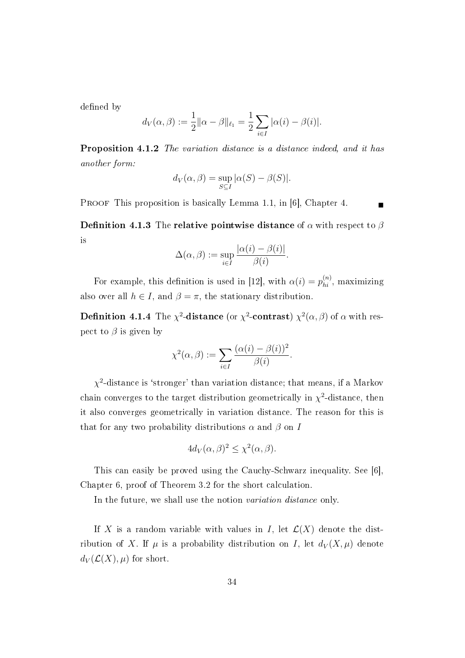defined by

$$
d_V(\alpha, \beta) := \frac{1}{2} ||\alpha - \beta||_{\ell_1} = \frac{1}{2} \sum_{i \in I} |\alpha(i) - \beta(i)|.
$$

Proposition 4.1.2 The variation distance is a distance indeed, and it has another form:

$$
d_V(\alpha, \beta) = \sup_{S \subseteq I} |\alpha(S) - \beta(S)|.
$$

PROOF This proposition is basically Lemma 1.1, in [6], Chapter 4.

**Definition 4.1.3** The relative pointwise distance of  $\alpha$  with respect to  $\beta$ is

$$
\Delta(\alpha, \beta) := \sup_{i \in I} \frac{|\alpha(i) - \beta(i)|}{\beta(i)}.
$$

For example, this definition is used in [12], with  $\alpha(i) = p_{hi}^{(n)}$ , maximizing also over all  $h \in I$ , and  $\beta = \pi$ , the stationary distribution.

**Definition 4.1.4** The  $\chi^2$ -distance (or  $\chi^2$ -contrast)  $\chi^2(\alpha,\beta)$  of  $\alpha$  with respect to  $\beta$  is given by

$$
\chi^2(\alpha, \beta) := \sum_{i \in I} \frac{(\alpha(i) - \beta(i))^2}{\beta(i)}
$$

.

 $\chi^2$ -distance is 'stronger' than variation distance; that means, if a Markov chain converges to the target distribution geometrically in  $\chi^2$ -distance, then it also converges geometrically in variation distance. The reason for this is that for any two probability distributions  $\alpha$  and  $\beta$  on I

$$
4d_V(\alpha,\beta)^2 \le \chi^2(\alpha,\beta).
$$

This can easily be proved using the Cauchy-Schwarz inequality. See [6], Chapter 6, proof of Theorem 3.2 for the short calculation.

In the future, we shall use the notion *variation distance* only.

If X is a random variable with values in I, let  $\mathcal{L}(X)$  denote the distribution of X. If  $\mu$  is a probability distribution on I, let  $d_V(X, \mu)$  denote  $d_V(\mathcal{L}(X), \mu)$  for short.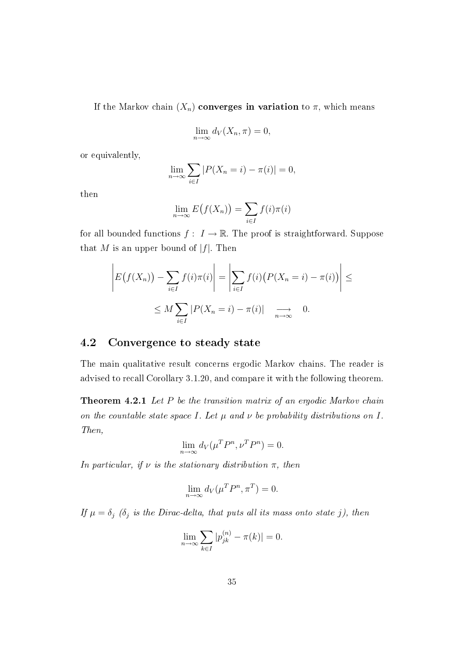If the Markov chain  $(X_n)$  converges in variation to  $\pi$ , which means

$$
\lim_{n \to \infty} d_V(X_n, \pi) = 0,
$$

or equivalently,

$$
\lim_{n \to \infty} \sum_{i \in I} |P(X_n = i) - \pi(i)| = 0,
$$

then

$$
\lim_{n \to \infty} E(f(X_n)) = \sum_{i \in I} f(i)\pi(i)
$$

for all bounded functions  $f: I \to \mathbb{R}$ . The proof is straightforward. Suppose that M is an upper bound of  $|f|$ . Then

$$
\left| E(f(X_n)) - \sum_{i \in I} f(i)\pi(i) \right| = \left| \sum_{i \in I} f(i) \left( P(X_n = i) - \pi(i) \right) \right| \le
$$
  
 
$$
\le M \sum_{i \in I} |P(X_n = i) - \pi(i)| \longrightarrow 0.
$$

#### 4.2 Convergence to steady state

The main qualitative result concerns ergodic Markov chains. The reader is advised to recall Corollary 3.1.20, and compare it with the following theorem.

Theorem 4.2.1 Let P be the transition matrix of an ergodic Markov chain on the countable state space I. Let  $\mu$  and  $\nu$  be probability distributions on I. Then,

$$
\lim_{n \to \infty} d_V(\mu^T P^n, \nu^T P^n) = 0.
$$

In particular, if  $\nu$  is the stationary distribution  $\pi$ , then

$$
\lim_{n \to \infty} d_V(\mu^T P^n, \pi^T) = 0.
$$

If  $\mu = \delta_j$  ( $\delta_j$  is the Dirac-delta, that puts all its mass onto state j), then

$$
\lim_{n \to \infty} \sum_{k \in I} |p_{jk}^{(n)} - \pi(k)| = 0.
$$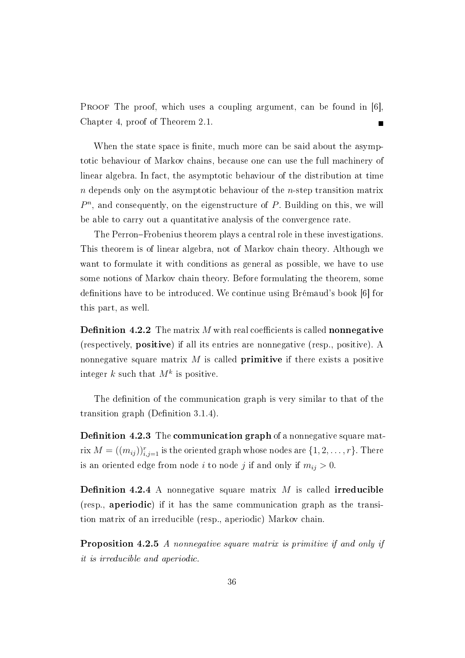PROOF The proof, which uses a coupling argument, can be found in [6]. Chapter 4, proof of Theorem 2.1.

When the state space is finite, much more can be said about the asymptotic behaviour of Markov chains, because one can use the full machinery of linear algebra. In fact, the asymptotic behaviour of the distribution at time  $n$  depends only on the asymptotic behaviour of the  $n$ -step transition matrix  $P<sup>n</sup>$ , and consequently, on the eigenstructure of  $P$ . Building on this, we will be able to carry out a quantitative analysis of the convergence rate.

The Perron-Frobenius theorem plays a central role in these investigations. This theorem is of linear algebra, not of Markov chain theory. Although we want to formulate it with conditions as general as possible, we have to use some notions of Markov chain theory. Before formulating the theorem, some definitions have to be introduced. We continue using Brémaud's book [6] for this part, as well.

**Definition 4.2.2** The matrix M with real coefficients is called **nonnegative** (respectively, positive) if all its entries are nonnegative (resp., positive). A nonnegative square matrix  $M$  is called **primitive** if there exists a positive integer  $k$  such that  $M^k$  is positive.

The definition of the communication graph is very similar to that of the transition graph (Definition 3.1.4).

**Definition 4.2.3** The **communication graph** of a nonnegative square matrix  $M = ((m_{ij}))_{i,j=1}^r$  is the oriented graph whose nodes are  $\{1,2,\ldots,r\}$ . There is an oriented edge from node i to node j if and only if  $m_{ij} > 0$ .

**Definition 4.2.4** A nonnegative square matrix  $M$  is called **irreducible** (resp., aperiodic) if it has the same communication graph as the transition matrix of an irreducible (resp., aperiodic) Markov chain.

Proposition 4.2.5 A nonnegative square matrix is primitive if and only if it is irreducible and aperiodic.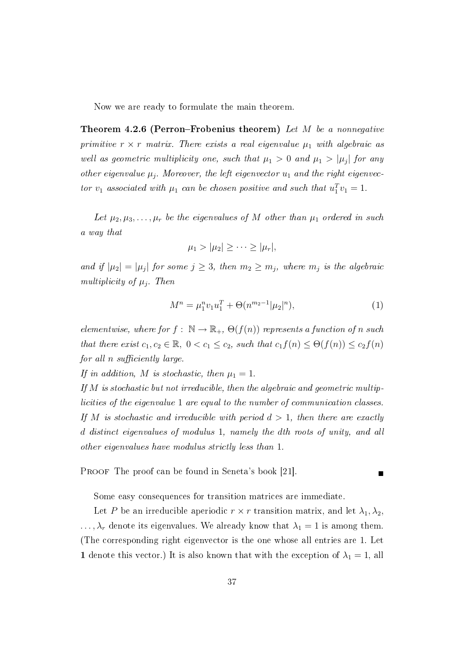Now we are ready to formulate the main theorem.

**Theorem 4.2.6 (Perron–Frobenius theorem)** Let M be a nonnegative primitive  $r \times r$  matrix. There exists a real eigenvalue  $\mu_1$  with algebraic as well as geometric multiplicity one, such that  $\mu_1 > 0$  and  $\mu_1 > |\mu_j|$  for any other eigenvalue  $\mu_j$ . Moreover, the left eigenvector  $u_1$  and the right eigenvector  $v_1$  associated with  $\mu_1$  can be chosen positive and such that  $u_1^T v_1 = 1$ .

Let  $\mu_2, \mu_3, \ldots, \mu_r$  be the eigenvalues of M other than  $\mu_1$  ordered in such a way that

$$
\mu_1 > |\mu_2| \geq \cdots \geq |\mu_r|,
$$

and if  $|\mu_2| = |\mu_j|$  for some  $j \geq 3$ , then  $m_2 \geq m_j$ , where  $m_j$  is the algebraic multiplicity of  $\mu_j$ . Then

$$
M^{n} = \mu_{1}^{n} v_{1} u_{1}^{T} + \Theta(n^{m_{2}-1}|\mu_{2}|^{n}), \qquad (1)
$$

elementwise, where for  $f: \mathbb{N} \to \mathbb{R}_+$ ,  $\Theta(f(n))$  represents a function of n such that there exist  $c_1, c_2 \in \mathbb{R}$ ,  $0 < c_1 \leq c_2$ , such that  $c_1 f(n) \leq \Theta(f(n)) \leq c_2 f(n)$ for all  $n$  sufficiently large.

If in addition, M is stochastic, then  $\mu_1 = 1$ .

If M is stochastic but not irreducible, then the algebraic and geometric multiplicities of the eigenvalue 1 are equal to the number of communication classes. If M is stochastic and irreducible with period  $d > 1$ , then there are exactly d distinct eigenvalues of modulus 1, namely the dth roots of unity, and all other eigenvalues have modulus strictly less than 1.

PROOF The proof can be found in Seneta's book [21].

Some easy consequences for transition matrices are immediate.

Let P be an irreducible aperiodic  $r \times r$  transition matrix, and let  $\lambda_1, \lambda_2$ ,  $\ldots, \lambda_r$  denote its eigenvalues. We already know that  $\lambda_1 = 1$  is among them. (The corresponding right eigenvector is the one whose all entries are 1. Let 1 denote this vector.) It is also known that with the exception of  $\lambda_1 = 1$ , all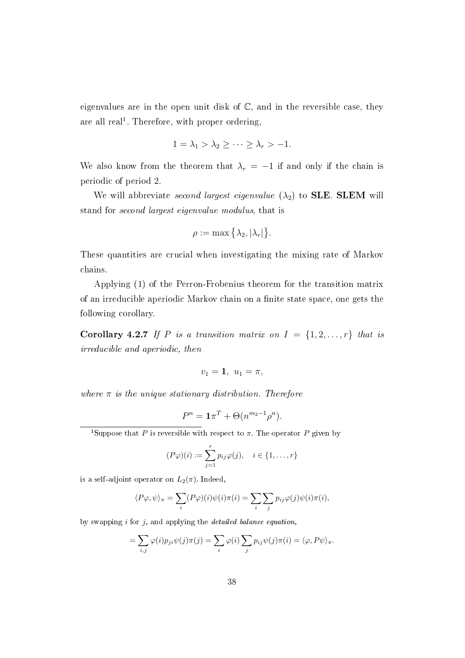eigenvalues are in the open unit disk of  $\mathbb{C}$ , and in the reversible case, they are all real<sup>1</sup>. Therefore, with proper ordering,

$$
1 = \lambda_1 > \lambda_2 \geq \cdots \geq \lambda_r > -1.
$$

We also know from the theorem that  $\lambda_r = -1$  if and only if the chain is periodic of period 2.

We will abbreviate second largest eigenvalue  $(\lambda_2)$  to **SLE. SLEM** will stand for second largest eigenvalue modulus, that is

$$
\rho := \max\left\{\lambda_2, |\lambda_r|\right\}.
$$

These quantities are crucial when investigating the mixing rate of Markov chains.

Applying (1) of the Perron-Frobenius theorem for the transition matrix of an irreducible aperiodic Markov chain on a finite state space, one gets the following corollary.

Corollary 4.2.7 If P is a transition matrix on  $I = \{1, 2, ..., r\}$  that is irreducible and aperiodic, then

$$
v_1=\mathbf{1},\ u_1=\pi,
$$

where  $\pi$  is the unique stationary distribution. Therefore

$$
P^{n} = \mathbf{1}\pi^{T} + \Theta(n^{m_{2}-1}\rho^{n}).
$$

<sup>1</sup>Suppose that P is reversible with respect to  $\pi$ . The operator P given by

$$
(P\varphi)(i) := \sum_{j=1}^r p_{ij}\varphi(j), \quad i \in \{1, \ldots, r\}
$$

is a self-adjoint operator on  $L_2(\pi)$ . Indeed,

$$
\langle P\varphi, \psi \rangle_{\pi} = \sum_{i} (P\varphi)(i)\psi(i)\pi(i) = \sum_{i} \sum_{j} p_{ij} \varphi(j)\psi(i)\pi(i),
$$

by swapping  $i$  for  $j$ , and applying the *detailed balance equation*,

$$
= \sum_{i,j} \varphi(i) p_{ji} \psi(j) \pi(j) = \sum_i \varphi(i) \sum_j p_{ij} \psi(j) \pi(i) = \langle \varphi, P \psi \rangle_{\pi}.
$$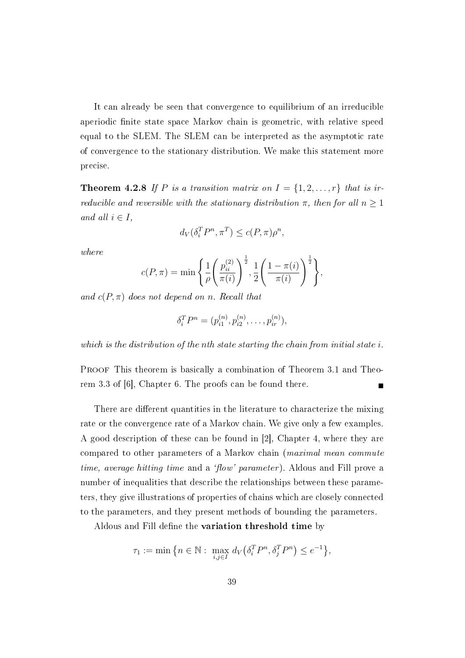It can already be seen that convergence to equilibrium of an irreducible aperiodic finite state space Markov chain is geometric, with relative speed equal to the SLEM. The SLEM can be interpreted as the asymptotic rate of convergence to the stationary distribution. We make this statement more precise.

**Theorem 4.2.8** If P is a transition matrix on  $I = \{1, 2, ..., r\}$  that is irreducible and reversible with the stationary distribution  $\pi$ , then for all  $n \geq 1$ and all  $i \in I$ ,

$$
d_V(\delta_i^T P^n, \pi^T) \le c(P, \pi)\rho^n,
$$

where

$$
c(P, \pi) = \min \left\{ \frac{1}{\rho} \left( \frac{p_{ii}^{(2)}}{\pi(i)} \right)^{\frac{1}{2}}, \frac{1}{2} \left( \frac{1 - \pi(i)}{\pi(i)} \right)^{\frac{1}{2}} \right\},\,
$$

and  $c(P, \pi)$  does not depend on n. Recall that

$$
\delta_i^T P^n = (p_{i1}^{(n)}, p_{i2}^{(n)}, \dots, p_{ir}^{(n)}),
$$

which is the distribution of the nth state starting the chain from initial state i.

PROOF This theorem is basically a combination of Theorem 3.1 and Theorem 3.3 of [6], Chapter 6. The proofs can be found there.

There are different quantities in the literature to characterize the mixing rate or the convergence rate of a Markov chain. We give only a few examples. A good description of these can be found in [2], Chapter 4, where they are compared to other parameters of a Markov chain (maximal mean commute time, average hitting time and a 'flow' parameter). Aldous and Fill prove a number of inequalities that describe the relationships between these parameters, they give illustrations of properties of chains which are closely connected to the parameters, and they present methods of bounding the parameters.

Aldous and Fill define the variation threshold time by

$$
\tau_1 := \min\big\{n \in \mathbb{N} : \max_{i,j \in I} d_V\big(\delta_i^T P^n, \delta_j^T P^n\big) \le e^{-1}\big\},\
$$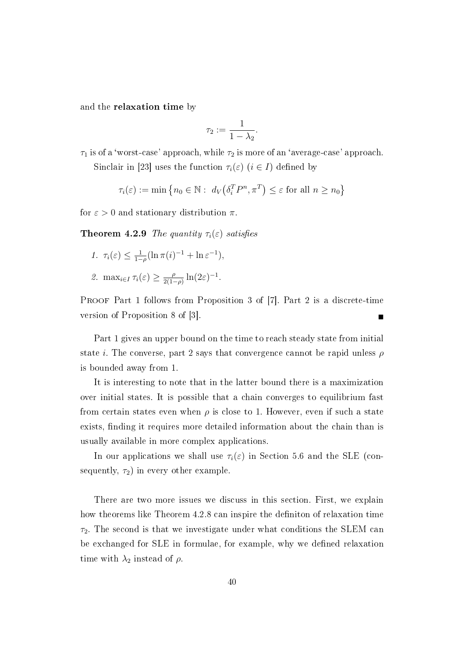and the relaxation time by

$$
\tau_2 := \frac{1}{1 - \lambda_2}.
$$

 $\tau_1$  is of a 'worst-case' approach, while  $\tau_2$  is more of an 'average-case' approach.

Sinclair in [23] uses the function  $\tau_i(\varepsilon)$   $(i \in I)$  defined by

$$
\tau_i(\varepsilon) := \min \left\{ n_0 \in \mathbb{N} : d_V(\delta_i^T P^n, \pi^T) \le \varepsilon \text{ for all } n \ge n_0 \right\}
$$

for  $\varepsilon > 0$  and stationary distribution  $\pi$ .

**Theorem 4.2.9** The quantity  $\tau_i(\varepsilon)$  satisfies

1.  $\tau_i(\varepsilon) \leq \frac{1}{1-\varepsilon}$  $\frac{1}{1-\rho}(\ln \pi(i)^{-1} + \ln \varepsilon^{-1}),$ 2. max<sub>i∈I</sub>  $\tau_i(\varepsilon) \geq \frac{\rho}{2(1-\rho)}$  $\frac{\rho}{2(1-\rho)}\ln(2\varepsilon)^{-1}.$ 

PROOF Part 1 follows from Proposition 3 of [7]. Part 2 is a discrete-time version of Proposition 8 of [3].

Part 1 gives an upper bound on the time to reach steady state from initial state *i*. The converse, part 2 says that convergence cannot be rapid unless  $\rho$ is bounded away from 1.

It is interesting to note that in the latter bound there is a maximization over initial states. It is possible that a chain converges to equilibrium fast from certain states even when  $\rho$  is close to 1. However, even if such a state exists, finding it requires more detailed information about the chain than is usually available in more complex applications.

In our applications we shall use  $\tau_i(\varepsilon)$  in Section 5.6 and the SLE (consequently,  $\tau_2$ ) in every other example.

There are two more issues we discuss in this section. First, we explain how theorems like Theorem 4.2.8 can inspire the definition of relaxation time  $\tau_2$ . The second is that we investigate under what conditions the SLEM can be exchanged for SLE in formulae, for example, why we defined relaxation time with  $\lambda_2$  instead of  $\rho$ .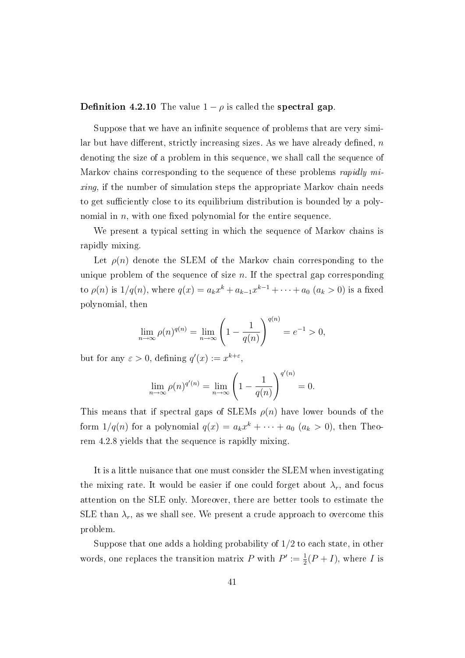**Definition 4.2.10** The value  $1 - \rho$  is called the **spectral gap**.

Suppose that we have an infinite sequence of problems that are very similar but have different, strictly increasing sizes. As we have already defined,  $n$ denoting the size of a problem in this sequence, we shall call the sequence of Markov chains corresponding to the sequence of these problems rapidly mixing, if the number of simulation steps the appropriate Markov chain needs to get sufficiently close to its equilibrium distribution is bounded by a polynomial in  $n$ , with one fixed polynomial for the entire sequence.

We present a typical setting in which the sequence of Markov chains is rapidly mixing.

Let  $\rho(n)$  denote the SLEM of the Markov chain corresponding to the unique problem of the sequence of size  $n$ . If the spectral gap corresponding to  $\rho(n)$  is  $1/q(n)$ , where  $q(x) = a_k x^k + a_{k-1} x^{k-1} + \cdots + a_0$   $(a_k > 0)$  is a fixed polynomial, then

$$
\lim_{n \to \infty} \rho(n)^{q(n)} = \lim_{n \to \infty} \left( 1 - \frac{1}{q(n)} \right)^{q(n)} = e^{-1} > 0,
$$

but for any  $\varepsilon > 0$ , defining  $q'(x) := x^{k+\varepsilon}$ ,

$$
\lim_{n \to \infty} \rho(n)^{q'(n)} = \lim_{n \to \infty} \left(1 - \frac{1}{q(n)}\right)^{q'(n)} = 0.
$$

This means that if spectral gaps of SLEMs  $\rho(n)$  have lower bounds of the form  $1/q(n)$  for a polynomial  $q(x) = a_k x^k + \cdots + a_0$   $(a_k > 0)$ , then Theorem 4.2.8 yields that the sequence is rapidly mixing.

It is a little nuisance that one must consider the SLEM when investigating the mixing rate. It would be easier if one could forget about  $\lambda_r$ , and focus attention on the SLE only. Moreover, there are better tools to estimate the SLE than  $\lambda_r$ , as we shall see. We present a crude approach to overcome this problem.

Suppose that one adds a holding probability of 1/2 to each state, in other words, one replaces the transition matrix P with  $P' := \frac{1}{2}(P + I)$ , where I is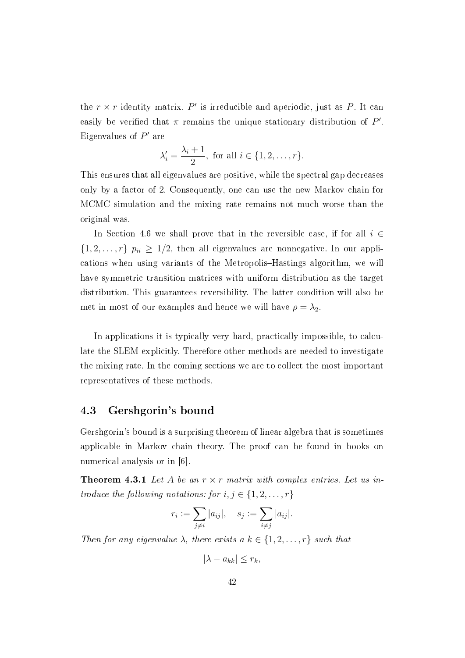the  $r \times r$  identity matrix. P' is irreducible and aperiodic, just as P. It can easily be verified that  $\pi$  remains the unique stationary distribution of  $P'$ . Eigenvalues of  $P'$  are

$$
\lambda'_i = \frac{\lambda_i + 1}{2}, \text{ for all } i \in \{1, 2, \dots, r\}.
$$

This ensures that all eigenvalues are positive, while the spectral gap decreases only by a factor of 2. Consequently, one can use the new Markov chain for MCMC simulation and the mixing rate remains not much worse than the original was.

In Section 4.6 we shall prove that in the reversible case, if for all  $i \in$  $\{1, 2, \ldots, r\}$   $p_{ii} \geq 1/2$ , then all eigenvalues are nonnegative. In our applications when using variants of the Metropolis–Hastings algorithm, we will have symmetric transition matrices with uniform distribution as the target distribution. This guarantees reversibility. The latter condition will also be met in most of our examples and hence we will have  $\rho = \lambda_2$ .

In applications it is typically very hard, practically impossible, to calculate the SLEM explicitly. Therefore other methods are needed to investigate the mixing rate. In the coming sections we are to collect the most important representatives of these methods.

#### 4.3 Gershgorin's bound

Gershgorin's bound is a surprising theorem of linear algebra that is sometimes applicable in Markov chain theory. The proof can be found in books on numerical analysis or in [6].

**Theorem 4.3.1** Let A be an  $r \times r$  matrix with complex entries. Let us introduce the following notations: for  $i, j \in \{1, 2, \ldots, r\}$ 

$$
r_i := \sum_{j \neq i} |a_{ij}|, \quad s_j := \sum_{i \neq j} |a_{ij}|.
$$

Then for any eigenvalue  $\lambda$ , there exists a  $k \in \{1, 2, \ldots, r\}$  such that

 $|\lambda - a_{kk}| \leq r_k$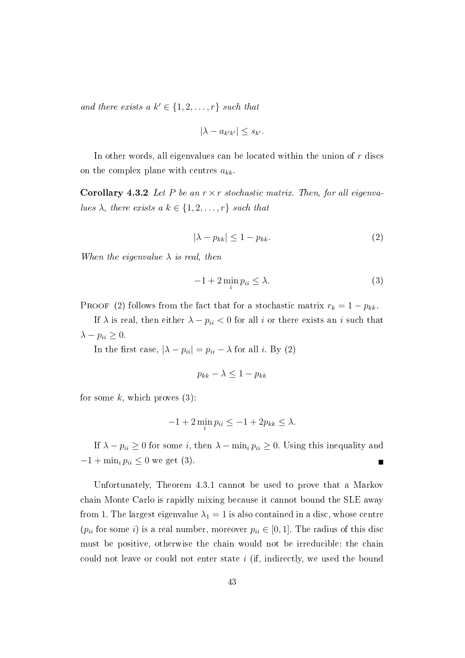and there exists a  $k' \in \{1, 2, \ldots, r\}$  such that

$$
|\lambda - a_{k'k'}| \le s_{k'}.
$$

In other words, all eigenvalues can be located within the union of  $r$  discs on the complex plane with centres  $a_{kk}$ .

**Corollary 4.3.2** Let P be an  $r \times r$  stochastic matrix. Then, for all eigenvalues  $\lambda$ , there exists a  $k \in \{1, 2, \ldots, r\}$  such that

$$
|\lambda - p_{kk}| \le 1 - p_{kk}.\tag{2}
$$

When the eigenvalue  $\lambda$  is real, then

$$
-1 + 2\min_{i} p_{ii} \le \lambda.
$$
 (3)

PROOF (2) follows from the fact that for a stochastic matrix  $r_k = 1 - p_{kk}$ .

If  $\lambda$  is real, then either  $\lambda - p_{ii} < 0$  for all i or there exists an i such that  $\lambda - p_{ii} \geq 0.$ 

In the first case,  $|\lambda - p_{ii}| = p_{ii} - \lambda$  for all *i*. By (2)

$$
p_{kk} - \lambda \le 1 - p_{kk}
$$

for some  $k$ , which proves  $(3)$ :

$$
-1 + 2\min_{i} p_{ii} \le -1 + 2p_{kk} \le \lambda.
$$

If  $\lambda - p_{ii} \geq 0$  for some i, then  $\lambda - \min_i p_{ii} \geq 0$ . Using this inequality and  $-1 + \min_i p_{ii} \leq 0$  we get (3).

Unfortunately, Theorem 4.3.1 cannot be used to prove that a Markov chain Monte Carlo is rapidly mixing because it cannot bound the SLE away from 1. The largest eigenvalue  $\lambda_1 = 1$  is also contained in a disc, whose centre ( $p_{ii}$  for some i) is a real number, moreover  $p_{ii} \in [0, 1]$ . The radius of this disc must be positive, otherwise the chain would not be irreducible: the chain could not leave or could not enter state i (if, indirectly, we used the bound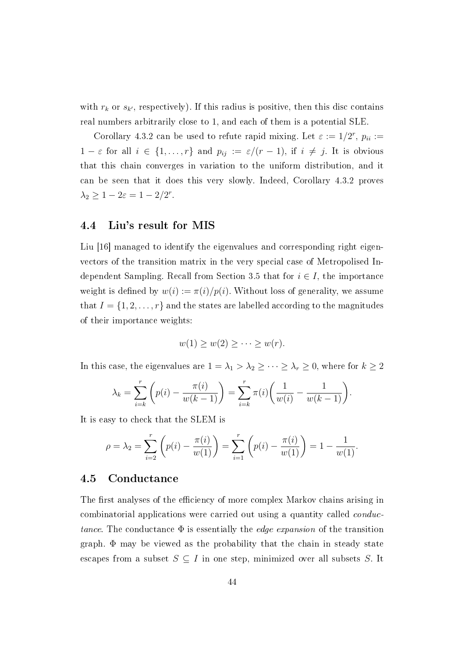with  $r_k$  or  $s_{k'}$ , respectively). If this radius is positive, then this disc contains real numbers arbitrarily close to 1, and each of them is a potential SLE.

Corollary 4.3.2 can be used to refute rapid mixing. Let  $\varepsilon := 1/2^r$ ,  $p_{ii} :=$  $1 - \varepsilon$  for all  $i \in \{1, ..., r\}$  and  $p_{ij} := \varepsilon/(r - 1)$ , if  $i \neq j$ . It is obvious that this chain converges in variation to the uniform distribution, and it can be seen that it does this very slowly. Indeed, Corollary 4.3.2 proves  $\lambda_2 \geq 1 - 2\varepsilon = 1 - 2/2^r.$ 

## 4.4 Liu's result for MIS

Liu [16] managed to identify the eigenvalues and corresponding right eigenvectors of the transition matrix in the very special case of Metropolised Independent Sampling. Recall from Section 3.5 that for  $i \in I$ , the importance weight is defined by  $w(i) := \pi(i)/p(i)$ . Without loss of generality, we assume that  $I = \{1, 2, \ldots, r\}$  and the states are labelled according to the magnitudes of their importance weights:

$$
w(1) \ge w(2) \ge \cdots \ge w(r).
$$

In this case, the eigenvalues are  $1 = \lambda_1 > \lambda_2 \ge \cdots \ge \lambda_r \ge 0$ , where for  $k \ge 2$ 

$$
\lambda_k = \sum_{i=k}^r \left( p(i) - \frac{\pi(i)}{w(k-1)} \right) = \sum_{i=k}^r \pi(i) \left( \frac{1}{w(i)} - \frac{1}{w(k-1)} \right).
$$

It is easy to check that the SLEM is

$$
\rho = \lambda_2 = \sum_{i=2}^r \left( p(i) - \frac{\pi(i)}{w(1)} \right) = \sum_{i=1}^r \left( p(i) - \frac{\pi(i)}{w(1)} \right) = 1 - \frac{1}{w(1)}.
$$

#### 4.5 Conductance

The first analyses of the efficiency of more complex Markov chains arising in combinatorial applications were carried out using a quantity called conductance. The conductance  $\Phi$  is essentially the *edge expansion* of the transition graph. Φ may be viewed as the probability that the chain in steady state escapes from a subset  $S \subseteq I$  in one step, minimized over all subsets S. It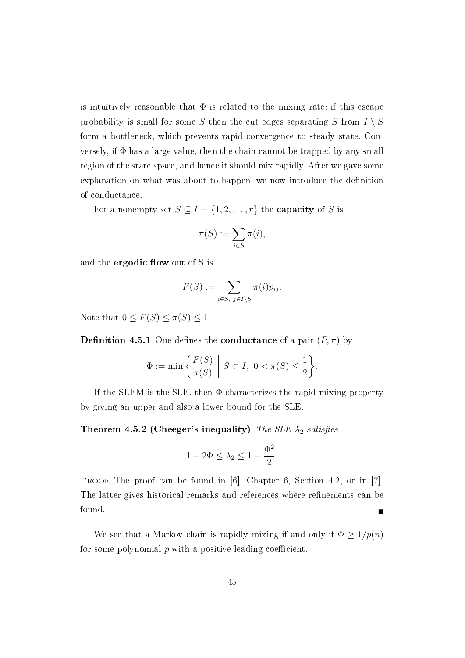is intuitively reasonable that  $\Phi$  is related to the mixing rate: if this escape probability is small for some S then the cut edges separating S from  $I \setminus S$ form a bottleneck, which prevents rapid convergence to steady state. Conversely, if  $\Phi$  has a large value, then the chain cannot be trapped by any small region of the state space, and hence it should mix rapidly. After we gave some explanation on what was about to happen, we now introduce the definition of conductance.

For a nonempty set  $S \subseteq I = \{1, 2, ..., r\}$  the **capacity** of S is

$$
\pi(S) := \sum_{i \in S} \pi(i),
$$

and the **ergodic flow** out of S is

$$
F(S) := \sum_{i \in S, \ j \in I \setminus S} \pi(i) p_{ij}.
$$

Note that  $0 \leq F(S) \leq \pi(S) \leq 1$ .

**Definition 4.5.1** One defines the **conductance** of a pair  $(P, \pi)$  by

$$
\Phi := \min\left\{ \frac{F(S)}{\pi(S)} \; \middle| \; S \subset I, \; 0 < \pi(S) \le \frac{1}{2} \right\}.
$$

If the SLEM is the SLE, then  $\Phi$  characterizes the rapid mixing property by giving an upper and also a lower bound for the SLE.

Theorem 4.5.2 (Cheeger's inequality) The SLE  $\lambda_2$  satisfies

$$
1 - 2\Phi \le \lambda_2 \le 1 - \frac{\Phi^2}{2}.
$$

PROOF The proof can be found in [6], Chapter 6, Section 4.2, or in [7]. The latter gives historical remarks and references where refinements can be found.

We see that a Markov chain is rapidly mixing if and only if  $\Phi \geq 1/p(n)$ for some polynomial  $p$  with a positive leading coefficient.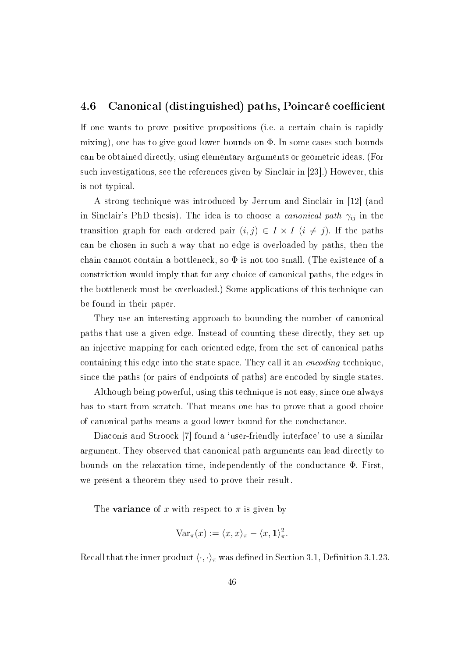## 4.6 Canonical (distinguished) paths, Poincaré coefficient

If one wants to prove positive propositions (i.e. a certain chain is rapidly mixing), one has to give good lower bounds on  $\Phi$ . In some cases such bounds can be obtained directly, using elementary arguments or geometric ideas. (For such investigations, see the references given by Sinclair in [23].) However, this is not typical.

A strong technique was introduced by Jerrum and Sinclair in [12] (and in Sinclair's PhD thesis). The idea is to choose a *canonical path*  $\gamma_{ij}$  in the transition graph for each ordered pair  $(i, j) \in I \times I$   $(i \neq j)$ . If the paths can be chosen in such a way that no edge is overloaded by paths, then the chain cannot contain a bottleneck, so  $\Phi$  is not too small. (The existence of a constriction would imply that for any choice of canonical paths, the edges in the bottleneck must be overloaded.) Some applications of this technique can be found in their paper.

They use an interesting approach to bounding the number of canonical paths that use a given edge. Instead of counting these directly, they set up an injective mapping for each oriented edge, from the set of canonical paths containing this edge into the state space. They call it an encoding technique, since the paths (or pairs of endpoints of paths) are encoded by single states.

Although being powerful, using this technique is not easy, since one always has to start from scratch. That means one has to prove that a good choice of canonical paths means a good lower bound for the conductance.

Diaconis and Stroock [7] found a `user-friendly interface' to use a similar argument. They observed that canonical path arguments can lead directly to bounds on the relaxation time, independently of the conductance Φ. First, we present a theorem they used to prove their result.

The **variance** of x with respect to  $\pi$  is given by

$$
\text{Var}_{\pi}(x) := \langle x, x \rangle_{\pi} - \langle x, \mathbf{1} \rangle_{\pi}^2.
$$

Recall that the inner product  $\langle \cdot, \cdot \rangle_{\pi}$  was defined in Section 3.1, Definition 3.1.23.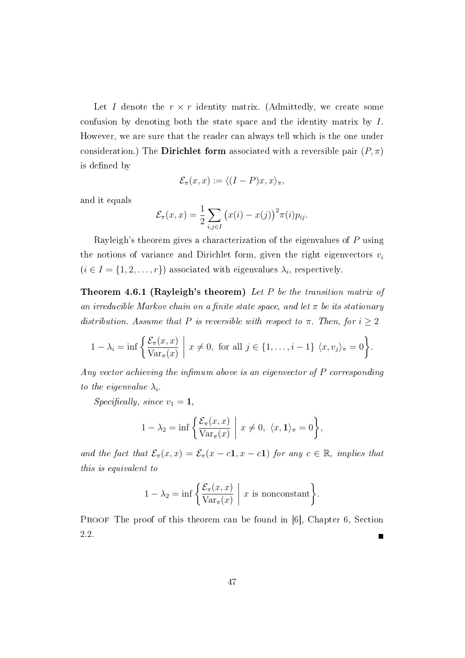Let I denote the  $r \times r$  identity matrix. (Admittedly, we create some confusion by denoting both the state space and the identity matrix by I. However, we are sure that the reader can always tell which is the one under consideration.) The Dirichlet form associated with a reversible pair  $(P, \pi)$ is defined by

$$
\mathcal{E}_{\pi}(x,x) := \langle (I-P)x, x \rangle_{\pi},
$$

and it equals

$$
\mathcal{E}_{\pi}(x,x) = \frac{1}{2} \sum_{i,j \in I} (x(i) - x(j))^2 \pi(i) p_{ij}.
$$

Rayleigh's theorem gives a characterization of the eigenvalues of P using the notions of variance and Dirichlet form, given the right eigenvectors  $v_i$  $(i \in I = \{1, 2, \ldots, r\})$  associated with eigenvalues  $\lambda_i$ , respectively.

**Theorem 4.6.1 (Rayleigh's theorem)** Let  $P$  be the transition matrix of an irreducible Markov chain on a finite state space, and let  $\pi$  be its stationary distribution. Assume that P is reversible with respect to  $\pi$ . Then, for  $i \geq 2$ 

$$
1 - \lambda_i = \inf \left\{ \frac{\mathcal{E}_\pi(x, x)}{\text{Var}_\pi(x)} \middle| x \neq 0, \text{ for all } j \in \{1, \dots, i-1\} \langle x, v_j \rangle_\pi = 0 \right\}.
$$

Any vector achieving the infimum above is an eigenvector of  $P$  corresponding to the eigenvalue  $\lambda_i$ .

Specifically, since  $v_1 = 1$ ,

$$
1 - \lambda_2 = \inf \left\{ \frac{\mathcal{E}_\pi(x, x)}{\text{Var}_\pi(x)} \middle| x \neq 0, \ \langle x, \mathbf{1} \rangle_\pi = 0 \right\},\
$$

and the fact that  $\mathcal{E}_{\pi}(x, x) = \mathcal{E}_{\pi}(x - c\mathbf{1}, x - c\mathbf{1})$  for any  $c \in \mathbb{R}$ , implies that this is equivalent to

$$
1 - \lambda_2 = \inf \left\{ \frac{\mathcal{E}_{\pi}(x, x)}{\text{Var}_{\pi}(x)} \middle| x \text{ is nonconstant} \right\}.
$$

PROOF The proof of this theorem can be found in [6], Chapter 6, Section  $2.2.$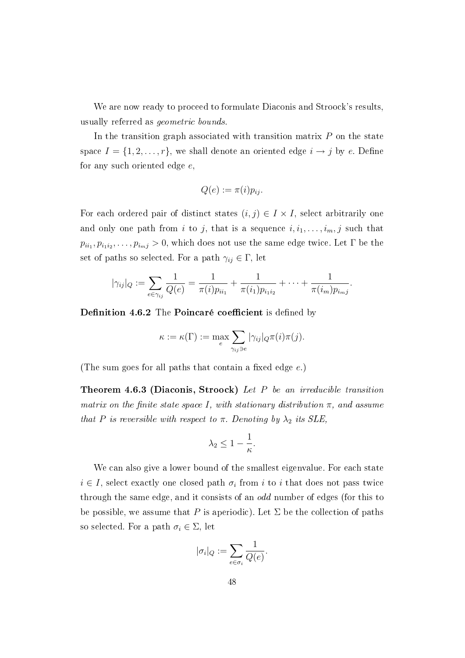We are now ready to proceed to formulate Diaconis and Stroock's results. usually referred as geometric bounds.

In the transition graph associated with transition matrix  $P$  on the state space  $I = \{1, 2, \ldots, r\}$ , we shall denote an oriented edge  $i \to j$  by e. Define for any such oriented edge e,

$$
Q(e) := \pi(i) p_{ij}.
$$

For each ordered pair of distinct states  $(i, j) \in I \times I$ , select arbitrarily one and only one path from i to j, that is a sequence  $i, i_1, \ldots, i_m, j$  such that  $p_{ii_1}, p_{i_1 i_2}, \ldots, p_{i_m j} > 0$ , which does not use the same edge twice. Let  $\Gamma$  be the set of paths so selected. For a path  $\gamma_{ij} \in \Gamma$ , let

$$
|\gamma_{ij}|_Q := \sum_{e \in \gamma_{ij}} \frac{1}{Q(e)} = \frac{1}{\pi(i)p_{ii_1}} + \frac{1}{\pi(i_1)p_{i_1i_2}} + \cdots + \frac{1}{\pi(i_m)p_{i_mj}}.
$$

Definition 4.6.2 The Poincaré coefficient is defined by

$$
\kappa := \kappa(\Gamma) := \max_{e} \sum_{\gamma_{ij}\ni e} |\gamma_{ij}|_Q \pi(i) \pi(j).
$$

(The sum goes for all paths that contain a fixed edge  $e$ .)

Theorem 4.6.3 (Diaconis, Stroock) Let P be an irreducible transition matrix on the finite state space I, with stationary distribution  $\pi$ , and assume that P is reversible with respect to  $\pi$ . Denoting by  $\lambda_2$  its SLE,

$$
\lambda_2 \leq 1 - \frac{1}{\kappa}.
$$

We can also give a lower bound of the smallest eigenvalue. For each state  $i \in I$ , select exactly one closed path  $\sigma_i$  from i to i that does not pass twice through the same edge, and it consists of an *odd* number of edges (for this to be possible, we assume that P is aperiodic). Let  $\Sigma$  be the collection of paths so selected. For a path  $\sigma_i \in \Sigma$ , let

$$
|\sigma_i|_Q:=\sum_{e\in\sigma_i}\frac{1}{Q(e)}.
$$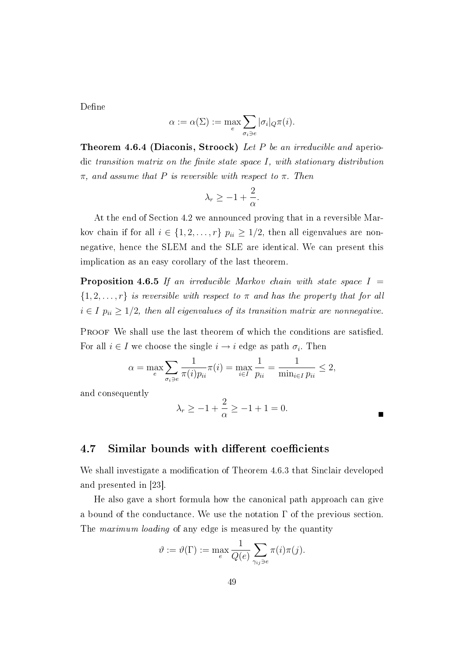Define

$$
\alpha := \alpha(\Sigma) := \max_{e} \sum_{\sigma_i \ni e} |\sigma_i|_Q \pi(i).
$$

**Theorem 4.6.4 (Diaconis, Stroock)** Let P be an irreducible and aperiodic transition matrix on the finite state space  $I$ , with stationary distribution  $\pi$ , and assume that P is reversible with respect to  $\pi$ . Then

$$
\lambda_r \ge -1 + \frac{2}{\alpha}.
$$

At the end of Section 4.2 we announced proving that in a reversible Markov chain if for all  $i \in \{1, 2, ..., r\}$   $p_{ii} \geq 1/2$ , then all eigenvalues are nonnegative, hence the SLEM and the SLE are identical. We can present this implication as an easy corollary of the last theorem.

**Proposition 4.6.5** If an irreducible Markov chain with state space  $I =$  $\{1, 2, \ldots, r\}$  is reversible with respect to  $\pi$  and has the property that for all  $i \in I$   $p_{ii} \geq 1/2$ , then all eigenvalues of its transition matrix are nonnegative.

PROOF We shall use the last theorem of which the conditions are satisfied. For all  $i \in I$  we choose the single  $i \to i$  edge as path  $\sigma_i$ . Then

$$
\alpha = \max_{e} \sum_{\sigma_i \ni e} \frac{1}{\pi(i) p_{ii}} \pi(i) = \max_{i \in I} \frac{1}{p_{ii}} = \frac{1}{\min_{i \in I} p_{ii}} \le 2,
$$

and consequently

$$
\lambda_r \ge -1 + \frac{2}{\alpha} \ge -1 + 1 = 0.
$$

## 4.7 Similar bounds with different coefficients

We shall investigate a modification of Theorem 4.6.3 that Sinclair developed and presented in [23].

He also gave a short formula how the canonical path approach can give a bound of the conductance. We use the notation  $\Gamma$  of the previous section. The *maximum loading* of any edge is measured by the quantity

$$
\vartheta := \vartheta(\Gamma) := \max_{e} \frac{1}{Q(e)} \sum_{\gamma_{ij}\ni e} \pi(i)\pi(j).
$$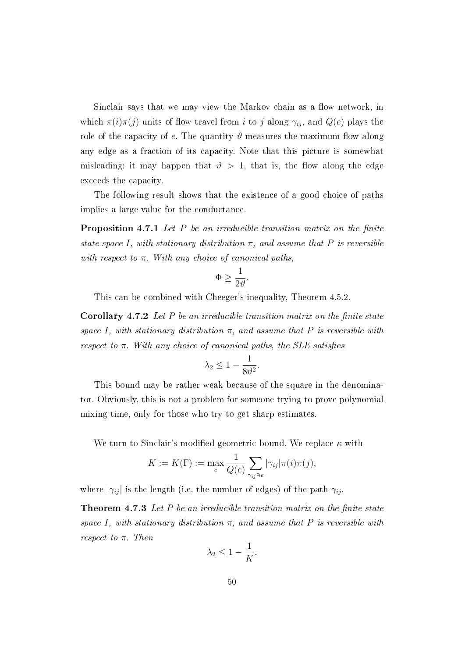Sinclair says that we may view the Markov chain as a flow network, in which  $\pi(i)\pi(j)$  units of flow travel from i to j along  $\gamma_{ij}$ , and  $Q(e)$  plays the role of the capacity of e. The quantity  $\vartheta$  measures the maximum flow along any edge as a fraction of its capacity. Note that this picture is somewhat misleading: it may happen that  $\vartheta > 1$ , that is, the flow along the edge exceeds the capacity.

The following result shows that the existence of a good choice of paths implies a large value for the conductance.

**Proposition 4.7.1** Let  $P$  be an irreducible transition matrix on the finite state space I, with stationary distribution  $\pi$ , and assume that P is reversible with respect to  $\pi$ . With any choice of canonical paths,

$$
\Phi \ge \frac{1}{2\vartheta}.
$$

This can be combined with Cheeger's inequality, Theorem 4.5.2.

**Corollary 4.7.2** Let P be an irreducible transition matrix on the finite state space I, with stationary distribution  $\pi$ , and assume that P is reversible with respect to  $\pi$ . With any choice of canonical paths, the SLE satisfies

$$
\lambda_2 \le 1 - \frac{1}{8\vartheta^2}.
$$

This bound may be rather weak because of the square in the denominator. Obviously, this is not a problem for someone trying to prove polynomial mixing time, only for those who try to get sharp estimates.

We turn to Sinclair's modified geometric bound. We replace  $\kappa$  with

$$
K := K(\Gamma) := \max_{e} \frac{1}{Q(e)} \sum_{\gamma_{ij} \ni e} |\gamma_{ij}| \pi(i) \pi(j),
$$

where  $|\gamma_{ij}|$  is the length (i.e. the number of edges) of the path  $\gamma_{ij}$ .

**Theorem 4.7.3** Let P be an irreducible transition matrix on the finite state space I, with stationary distribution  $\pi$ , and assume that P is reversible with respect to  $\pi$ . Then

$$
\lambda_2 \le 1 - \frac{1}{K}.
$$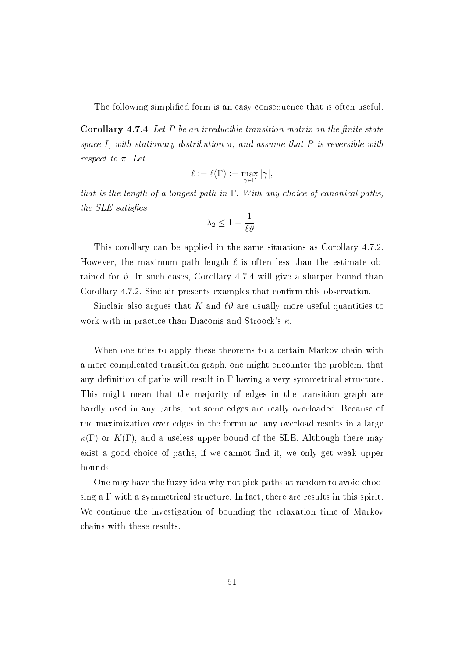The following simplified form is an easy consequence that is often useful.

**Corollary 4.7.4** Let  $P$  be an irreducible transition matrix on the finite state space I, with stationary distribution  $\pi$ , and assume that P is reversible with respect to  $\pi$ . Let

$$
\ell:=\ell(\Gamma):=\max_{\gamma\in\Gamma}|\gamma|,
$$

that is the length of a longest path in  $\Gamma$ . With any choice of canonical paths, the  $SLE$  satisfies

$$
\lambda_2 \leq 1 - \frac{1}{\ell \vartheta}.
$$

This corollary can be applied in the same situations as Corollary 4.7.2. However, the maximum path length  $\ell$  is often less than the estimate obtained for  $\vartheta$ . In such cases, Corollary 4.7.4 will give a sharper bound than Corollary 4.7.2. Sinclair presents examples that confirm this observation.

Sinclair also argues that K and  $\ell \vartheta$  are usually more useful quantities to work with in practice than Diaconis and Stroock's  $\kappa$ .

When one tries to apply these theorems to a certain Markov chain with a more complicated transition graph, one might encounter the problem, that any definition of paths will result in  $\Gamma$  having a very symmetrical structure. This might mean that the majority of edges in the transition graph are hardly used in any paths, but some edges are really overloaded. Because of the maximization over edges in the formulae, any overload results in a large  $\kappa(\Gamma)$  or  $K(\Gamma)$ , and a useless upper bound of the SLE. Although there may exist a good choice of paths, if we cannot find it, we only get weak upper bounds.

One may have the fuzzy idea why not pick paths at random to avoid choosing a  $\Gamma$  with a symmetrical structure. In fact, there are results in this spirit. We continue the investigation of bounding the relaxation time of Markov chains with these results.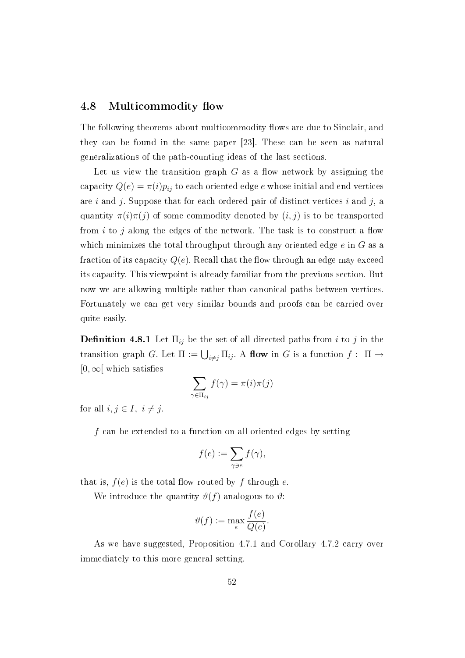### 4.8 Multicommodity flow

The following theorems about multicommodity flows are due to Sinclair, and they can be found in the same paper [23]. These can be seen as natural generalizations of the path-counting ideas of the last sections.

Let us view the transition graph  $G$  as a flow network by assigning the capacity  $Q(e) = \pi(i)p_{ij}$  to each oriented edge e whose initial and end vertices are i and j. Suppose that for each ordered pair of distinct vertices i and j, a quantity  $\pi(i)\pi(j)$  of some commodity denoted by  $(i, j)$  is to be transported from  $i$  to  $j$  along the edges of the network. The task is to construct a flow which minimizes the total throughput through any oriented edge  $e$  in  $G$  as a fraction of its capacity  $Q(e)$ . Recall that the flow through an edge may exceed its capacity. This viewpoint is already familiar from the previous section. But now we are allowing multiple rather than canonical paths between vertices. Fortunately we can get very similar bounds and proofs can be carried over quite easily.

**Definition 4.8.1** Let  $\Pi_{ij}$  be the set of all directed paths from i to j in the transition graph G. Let  $\Pi := \bigcup_{i \neq j} \Pi_{ij}$ . A flow in G is a function  $f : \Pi \to$  $[0,\infty]$  which satisfies

$$
\sum_{\gamma \in \Pi_{ij}} f(\gamma) = \pi(i)\pi(j)
$$

for all  $i, j \in I$ ,  $i \neq j$ .

 $f$  can be extended to a function on all oriented edges by setting

$$
f(e) := \sum_{\gamma \ni e} f(\gamma),
$$

that is,  $f(e)$  is the total flow routed by f through e.

We introduce the quantity  $\vartheta(f)$  analogous to  $\vartheta$ :

$$
\vartheta(f) := \max_{e} \frac{f(e)}{Q(e)}.
$$

As we have suggested, Proposition 4.7.1 and Corollary 4.7.2 carry over immediately to this more general setting.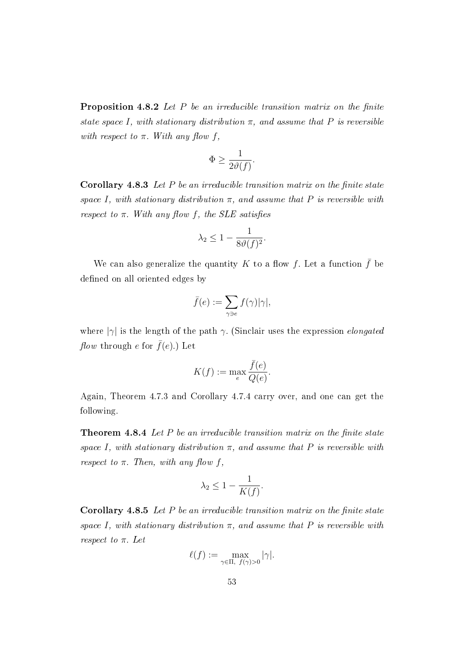**Proposition 4.8.2** Let  $P$  be an irreducible transition matrix on the finite state space I, with stationary distribution  $\pi$ , and assume that P is reversible with respect to  $\pi$ . With any flow f,

$$
\Phi \ge \frac{1}{2\vartheta(f)}.
$$

Corollary 4.8.3 Let  $P$  be an irreducible transition matrix on the finite state space I, with stationary distribution  $\pi$ , and assume that P is reversible with respect to  $\pi$ . With any flow f, the SLE satisfies

$$
\lambda_2 \le 1 - \frac{1}{8\vartheta(f)^2}.
$$

We can also generalize the quantity K to a flow f. Let a function  $\bar{f}$  be defined on all oriented edges by

$$
\bar{f}(e) := \sum_{\gamma \ni e} f(\gamma) |\gamma|,
$$

where  $|\gamma|$  is the length of the path  $\gamma$ . (Sinclair uses the expression *elongated flow* through e for  $\bar{f}(e)$ .) Let

$$
K(f) := \max_{e} \frac{\bar{f}(e)}{Q(e)}.
$$

Again, Theorem 4.7.3 and Corollary 4.7.4 carry over, and one can get the following.

**Theorem 4.8.4** Let  $P$  be an irreducible transition matrix on the finite state space I, with stationary distribution  $\pi$ , and assume that P is reversible with respect to  $\pi$ . Then, with any flow f,

$$
\lambda_2 \le 1 - \frac{1}{K(f)}.
$$

**Corollary 4.8.5** Let  $P$  be an irreducible transition matrix on the finite state space I, with stationary distribution  $\pi$ , and assume that P is reversible with respect to  $\pi$ . Let

$$
\ell(f) := \max_{\gamma \in \Pi, \ f(\gamma) > 0} |\gamma|.
$$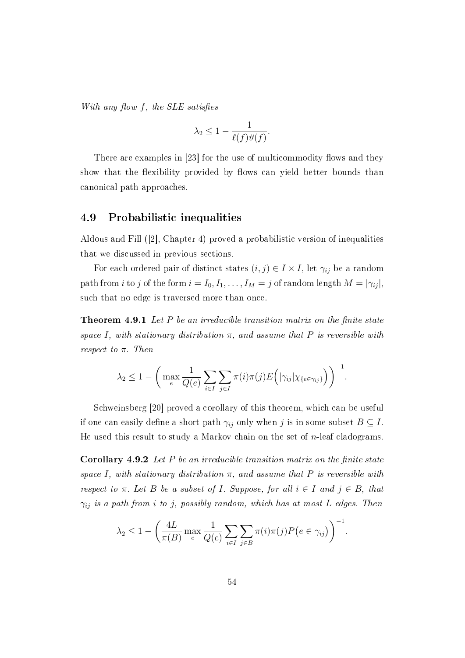With any flow f, the SLE satisfies

$$
\lambda_2 \le 1 - \frac{1}{\ell(f)\vartheta(f)}.
$$

There are examples in  $[23]$  for the use of multicommodity flows and they show that the flexibility provided by flows can yield better bounds than canonical path approaches.

## 4.9 Probabilistic inequalities

Aldous and Fill ([2], Chapter 4) proved a probabilistic version of inequalities that we discussed in previous sections.

For each ordered pair of distinct states  $(i, j) \in I \times I$ , let  $\gamma_{ij}$  be a random path from i to j of the form  $i = I_0, I_1, \ldots, I_M = j$  of random length  $M = |\gamma_{ij}|$ , such that no edge is traversed more than once.

**Theorem 4.9.1** Let  $P$  be an irreducible transition matrix on the finite state space I, with stationary distribution  $\pi$ , and assume that P is reversible with respect to  $\pi$ . Then

$$
\lambda_2 \leq 1 - \bigg( \max_{e} \frac{1}{Q(e)} \sum_{i \in I} \sum_{j \in I} \pi(i) \pi(j) E\bigg(|\gamma_{ij}| \chi_{\{e \in \gamma_{ij}\}}\bigg) \bigg)^{-1}.
$$

Schweinsberg [20] proved a corollary of this theorem, which can be useful if one can easily define a short path  $\gamma_{ij}$  only when j is in some subset  $B \subseteq I$ . He used this result to study a Markov chain on the set of  $n$ -leaf cladograms.

**Corollary 4.9.2** Let  $P$  be an irreducible transition matrix on the finite state space I, with stationary distribution  $\pi$ , and assume that P is reversible with respect to  $\pi$ . Let B be a subset of I. Suppose, for all  $i \in I$  and  $j \in B$ , that  $\gamma_{ij}$  is a path from i to j, possibly random, which has at most L edges. Then

$$
\lambda_2 \leq 1 - \left(\frac{4L}{\pi(B)} \max_e \frac{1}{Q(e)} \sum_{i \in I} \sum_{j \in B} \pi(i)\pi(j)P(e \in \gamma_{ij})\right)^{-1}.
$$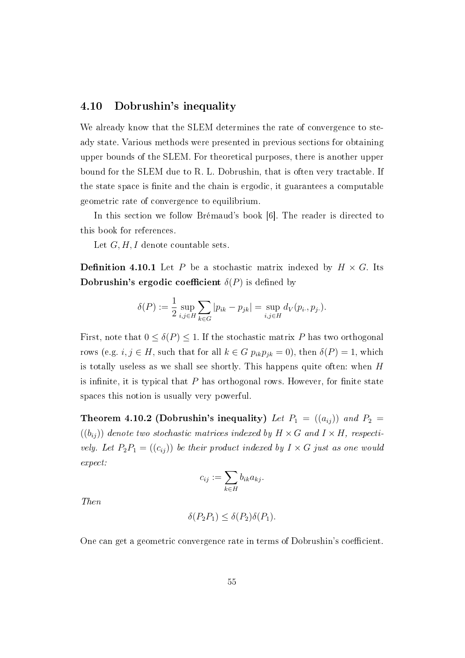## 4.10 Dobrushin's inequality

We already know that the SLEM determines the rate of convergence to steady state. Various methods were presented in previous sections for obtaining upper bounds of the SLEM. For theoretical purposes, there is another upper bound for the SLEM due to R. L. Dobrushin, that is often very tractable. If the state space is finite and the chain is ergodic, it guarantees a computable geometric rate of convergence to equilibrium.

In this section we follow Brémaud's book [6]. The reader is directed to this book for references.

Let  $G, H, I$  denote countable sets.

**Definition 4.10.1** Let P be a stochastic matrix indexed by  $H \times G$ . Its Dobrushin's ergodic coefficient  $\delta(P)$  is defined by

$$
\delta(P) := \frac{1}{2} \sup_{i,j \in H} \sum_{k \in G} |p_{ik} - p_{jk}| = \sup_{i,j \in H} d_V(p_i, p_j).
$$

First, note that  $0 \leq \delta(P) \leq 1$ . If the stochastic matrix P has two orthogonal rows (e.g.  $i, j \in H$ , such that for all  $k \in G$   $p_{ik}p_{jk} = 0$ ), then  $\delta(P) = 1$ , which is totally useless as we shall see shortly. This happens quite often: when H is infinite, it is typical that  $P$  has orthogonal rows. However, for finite state spaces this notion is usually very powerful.

**Theorem 4.10.2 (Dobrushin's inequality)** Let  $P_1 = ((a_{ij}) )$  and  $P_2 =$  $((b_{ij}))$  denote two stochastic matrices indexed by  $H \times G$  and  $I \times H$ , respectively. Let  $P_2P_1 = ((c_{ij}))$  be their product indexed by  $I \times G$  just as one would expect:

$$
c_{ij} := \sum_{k \in H} b_{ik} a_{kj}.
$$

Then

$$
\delta(P_2P_1) \le \delta(P_2)\delta(P_1).
$$

One can get a geometric convergence rate in terms of Dobrushin's coefficient.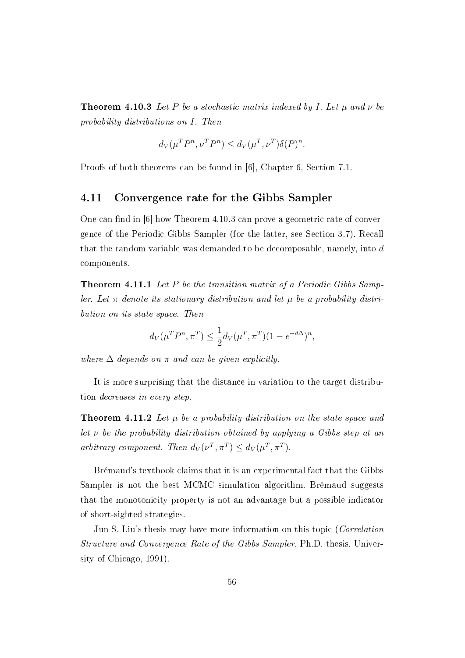**Theorem 4.10.3** Let P be a stochastic matrix indexed by I. Let  $\mu$  and  $\nu$  be probability distributions on I. Then

$$
d_V(\mu^T P^n, \nu^T P^n) \le d_V(\mu^T, \nu^T) \delta(P)^n.
$$

Proofs of both theorems can be found in [6], Chapter 6, Section 7.1.

#### 4.11 Convergence rate for the Gibbs Sampler

One can find in  $[6]$  how Theorem 4.10.3 can prove a geometric rate of convergence of the Periodic Gibbs Sampler (for the latter, see Section 3.7). Recall that the random variable was demanded to be decomposable, namely, into d components.

**Theorem 4.11.1** Let P be the transition matrix of a Periodic Gibbs Sampler. Let  $\pi$  denote its stationary distribution and let  $\mu$  be a probability distribution on its state space. Then

$$
d_V(\mu^T P^n, \pi^T) \le \frac{1}{2} d_V(\mu^T, \pi^T) (1 - e^{-d\Delta})^n,
$$

where  $\Delta$  depends on  $\pi$  and can be given explicitly.

It is more surprising that the distance in variation to the target distribution decreases in every step.

**Theorem 4.11.2** Let  $\mu$  be a probability distribution on the state space and let  $\nu$  be the probability distribution obtained by applying a Gibbs step at an arbitrary component. Then  $d_V(\nu^T, \pi^T) \leq d_V(\mu^T, \pi^T)$ .

Brémaud's textbook claims that it is an experimental fact that the Gibbs Sampler is not the best MCMC simulation algorithm. Brémaud suggests that the monotonicity property is not an advantage but a possible indicator of short-sighted strategies.

Jun S. Liu's thesis may have more information on this topic (Correlation Structure and Convergence Rate of the Gibbs Sampler, Ph.D. thesis, University of Chicago, 1991).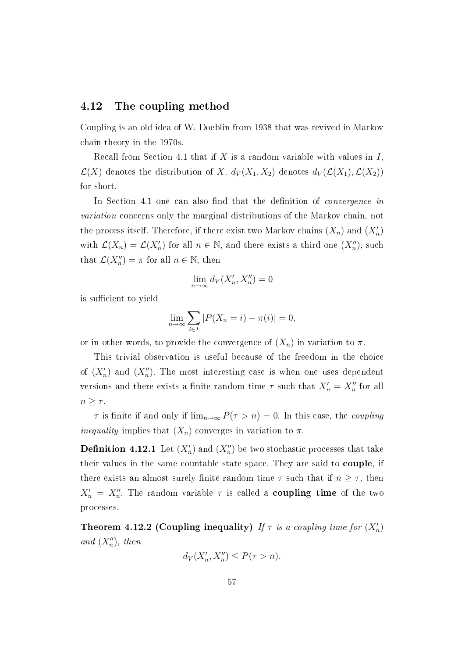## 4.12 The coupling method

Coupling is an old idea of W. Doeblin from 1938 that was revived in Markov chain theory in the 1970s.

Recall from Section 4.1 that if X is a random variable with values in  $I$ ,  $\mathcal{L}(X)$  denotes the distribution of X.  $d_V(X_1, X_2)$  denotes  $d_V(\mathcal{L}(X_1), \mathcal{L}(X_2))$ for short.

In Section 4.1 one can also find that the definition of *convergence* in variation concerns only the marginal distributions of the Markov chain, not the process itself. Therefore, if there exist two Markov chains  $(X_n)$  and  $(X'_n)$ with  $\mathcal{L}(X_n) = \mathcal{L}(X'_n)$  for all  $n \in \mathbb{N}$ , and there exists a third one  $(X''_n)$ , such that  $\mathcal{L}(X_n'') = \pi$  for all  $n \in \mathbb{N}$ , then

$$
\lim_{n \to \infty} d_V(X'_n, X''_n) = 0
$$

is sufficient to yield

$$
\lim_{n \to \infty} \sum_{i \in I} |P(X_n = i) - \pi(i)| = 0,
$$

or in other words, to provide the convergence of  $(X_n)$  in variation to  $\pi$ .

This trivial observation is useful because of the freedom in the choice of  $(X'_n)$  and  $(X''_n)$ . The most interesting case is when one uses dependent versions and there exists a finite random time  $\tau$  such that  $X'_n = X''_n$  for all  $n \geq \tau$ .

 $\tau$  is finite if and only if  $\lim_{n\to\infty} P(\tau > n) = 0$ . In this case, the *coupling inequality* implies that  $(X_n)$  converges in variation to  $\pi$ .

 $\mathbf D$ efinition 4.12.1 Let  $(X_n')$  and  $(X_n'')$  be two stochastic processes that take their values in the same countable state space. They are said to couple, if there exists an almost surely finite random time  $\tau$  such that if  $n \geq \tau$ , then  $X'_n = X''_n$ . The random variable  $\tau$  is called a **coupling time** of the two processes.

Theorem 4.12.2 (Coupling inequality) If  $\tau$  is a coupling time for  $(X'_n)$ and  $(X_n'')$ , then

$$
d_V(X'_n, X''_n) \le P(\tau > n).
$$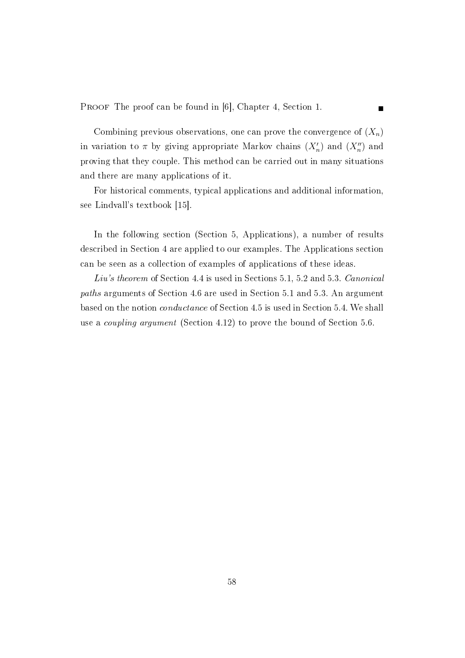PROOF The proof can be found in [6], Chapter 4, Section 1.

Combining previous observations, one can prove the convergence of  $(X_n)$ in variation to  $\pi$  by giving appropriate Markov chains  $(X'_n)$  and  $(X''_n)$  and proving that they couple. This method can be carried out in many situations and there are many applications of it.

For historical comments, typical applications and additional information, see Lindvall's textbook [15].

In the following section (Section 5, Applications), a number of results described in Section 4 are applied to our examples. The Applications section can be seen as a collection of examples of applications of these ideas.

Liu's theorem of Section 4.4 is used in Sections 5.1, 5.2 and 5.3. Canonical paths arguments of Section 4.6 are used in Section 5.1 and 5.3. An argument based on the notion conductance of Section 4.5 is used in Section 5.4. We shall use a coupling argument (Section 4.12) to prove the bound of Section 5.6.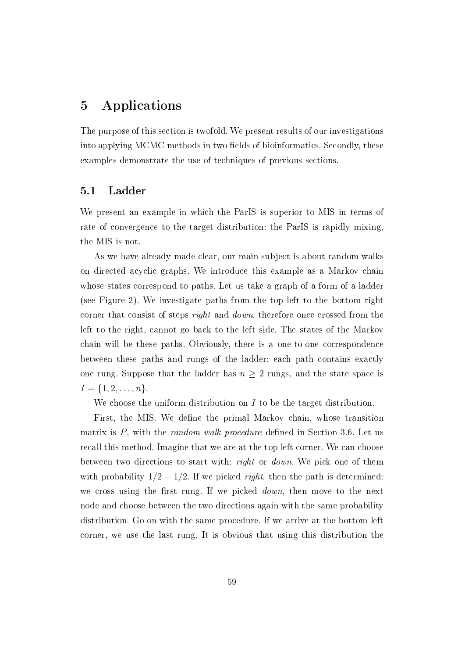# 5 Applications

The purpose of this section is twofold. We present results of our investigations into applying MCMC methods in two fields of bioinformatics. Secondly, these examples demonstrate the use of techniques of previous sections.

## 5.1 Ladder

We present an example in which the ParIS is superior to MIS in terms of rate of convergence to the target distribution: the ParIS is rapidly mixing, the MIS is not.

As we have already made clear, our main subject is about random walks on directed acyclic graphs. We introduce this example as a Markov chain whose states correspond to paths. Let us take a graph of a form of a ladder (see Figure 2). We investigate paths from the top left to the bottom right corner that consist of steps *right* and *down*, therefore once crossed from the left to the right, cannot go back to the left side. The states of the Markov chain will be these paths. Obviously, there is a one-to-one correspondence between these paths and rungs of the ladder: each path contains exactly one rung. Suppose that the ladder has  $n \geq 2$  rungs, and the state space is  $I = \{1, 2, \ldots, n\}.$ 

We choose the uniform distribution on  $I$  to be the target distribution.

First, the MIS. We define the primal Markov chain, whose transition matrix is  $P$ , with the *random walk procedure* defined in Section 3.6. Let us recall this method. Imagine that we are at the top left corner. We can choose between two directions to start with: right or down. We pick one of them with probability  $1/2 - 1/2$ . If we picked *right*, then the path is determined: we cross using the first rung. If we picked  $down$ , then move to the next node and choose between the two directions again with the same probability distribution. Go on with the same procedure. If we arrive at the bottom left corner, we use the last rung. It is obvious that using this distribution the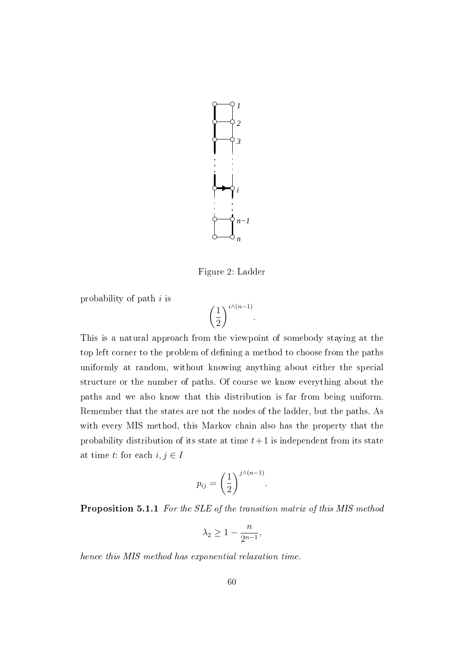

Figure 2: Ladder

probability of path i is

$$
\left(\frac{1}{2}\right)^{i\wedge (n-1)}.
$$

This is a natural approach from the viewpoint of somebody staying at the top left corner to the problem of defining a method to choose from the paths uniformly at random, without knowing anything about either the special structure or the number of paths. Of course we know everything about the paths and we also know that this distribution is far from being uniform. Remember that the states are not the nodes of the ladder, but the paths. As with every MIS method, this Markov chain also has the property that the probability distribution of its state at time  $t+1$  is independent from its state at time t: for each  $i, j \in I$ 

$$
p_{ij} = \left(\frac{1}{2}\right)^{j\wedge(n-1)}.
$$

Proposition 5.1.1 For the SLE of the transition matrix of this MIS method

$$
\lambda_2 \ge 1 - \frac{n}{2^{n-1}},
$$

hence this MIS method has exponential relaxation time.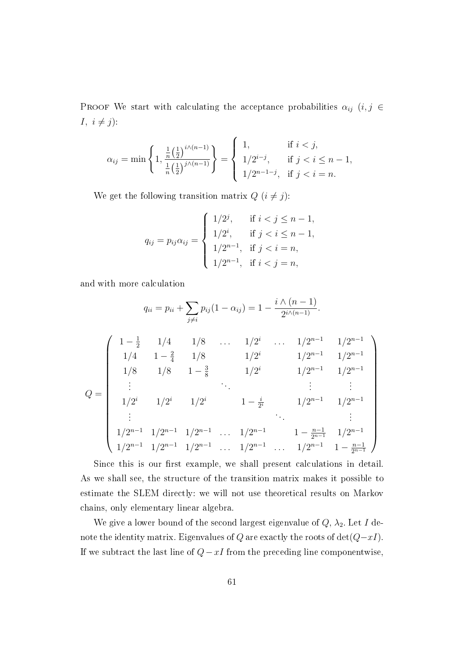PROOF We start with calculating the acceptance probabilities  $\alpha_{ij}$  (i, j  $\in$ I,  $i \neq j$ :

$$
\alpha_{ij} = \min\left\{1, \frac{\frac{1}{n} \left(\frac{1}{2}\right)^{i \wedge (n-1)}}{\frac{1}{n} \left(\frac{1}{2}\right)^{j \wedge (n-1)}}\right\} = \begin{cases} 1, & \text{if } i < j, \\ 1/2^{i-j}, & \text{if } j < i \leq n-1, \\ 1/2^{n-1-j}, & \text{if } j < i = n. \end{cases}
$$

We get the following transition matrix  $Q$   $(i \neq j)$ :

$$
q_{ij} = p_{ij}\alpha_{ij} = \begin{cases} 1/2^j, & \text{if } i < j \le n - 1, \\ 1/2^i, & \text{if } j < i \le n - 1, \\ 1/2^{n-1}, & \text{if } j < i = n, \\ 1/2^{n-1}, & \text{if } i < j = n, \end{cases}
$$

and with more calculation

$$
q_{ii} = p_{ii} + \sum_{j \neq i} p_{ij} (1 - \alpha_{ij}) = 1 - \frac{i \wedge (n-1)}{2^{i \wedge (n-1)}}.
$$
  
\n
$$
\begin{pmatrix}\n1 - \frac{1}{2} & 1/4 & 1/8 & \cdots & 1/2^{i} & \cdots & 1/2^{n-1} & 1/2^{n-1} \\
1/4 & 1 - \frac{2}{4} & 1/8 & 1/2^{i} & 1/2^{n-1} & 1/2^{n-1} \\
1/8 & 1/8 & 1 - \frac{3}{8} & 1/2^{i} & 1/2^{n-1} & 1/2^{n-1} \\
\vdots & \vdots & \vdots & \vdots & \vdots \\
1/2^{i} & 1/2^{i} & 1/2^{i} & 1 - \frac{i}{2^{i}} & 1/2^{n-1} & 1/2^{n-1} \\
\vdots & \vdots & \vdots & \vdots & \vdots \\
1/2^{n-1} & 1/2^{n-1} & 1/2^{n-1} & \cdots & 1/2^{n-1} & 1 - \frac{n-1}{2^{n-1}} & 1/2^{n-1} \\
1/2^{n-1} & 1/2^{n-1} & 1/2^{n-1} & \cdots & 1/2^{n-1} & 1 - \frac{n-1}{2^{n-1}}\n\end{pmatrix}
$$

Since this is our first example, we shall present calculations in detail. As we shall see, the structure of the transition matrix makes it possible to estimate the SLEM directly: we will not use theoretical results on Markov chains, only elementary linear algebra.

We give a lower bound of the second largest eigenvalue of  $Q$ ,  $\lambda_2$ . Let I denote the identity matrix. Eigenvalues of  $Q$  are exactly the roots of  $det(Q-xI)$ . If we subtract the last line of  $Q - xI$  from the preceding line componentwise,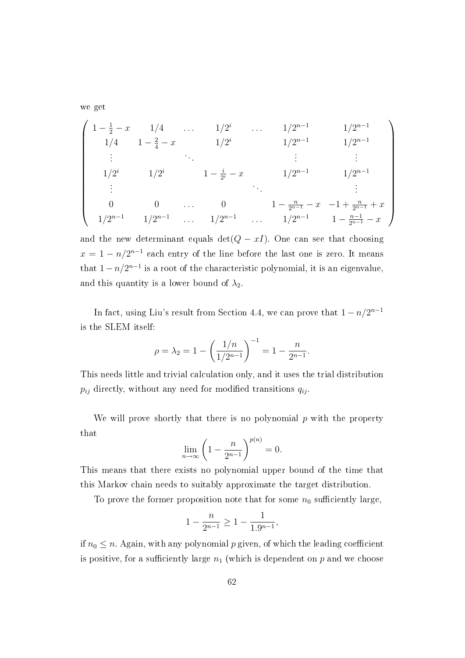we get

$$
\begin{pmatrix}\n1 - \frac{1}{2} - x & 1/4 & \dots & 1/2^{i} & \dots & 1/2^{n-1} & 1/2^{n-1} \\
1/4 & 1 - \frac{2}{4} - x & 1/2^{i} & 1/2^{n-1} & 1/2^{n-1} \\
\vdots & \vdots & \vdots & \vdots & \vdots \\
1/2^{i} & 1/2^{i} & 1 - \frac{i}{2^{i}} - x & 1/2^{n-1} & 1/2^{n-1} \\
\vdots & \vdots & \vdots & \vdots \\
0 & 0 & \dots & 0 & 1 - \frac{n}{2^{n-1}} - x & -1 + \frac{n}{2^{n-1}} + x \\
1/2^{n-1} & 1/2^{n-1} & \dots & 1/2^{n-1} & 1 - \frac{n-1}{2^{n-1}} - x\n\end{pmatrix}
$$

and the new determinant equals det( $Q - xI$ ). One can see that choosing  $x = 1 - n/2^{n-1}$  each entry of the line before the last one is zero. It means that  $1-n/2^{n-1}$  is a root of the characteristic polynomial, it is an eigenvalue, and this quantity is a lower bound of  $\lambda_2$ .

In fact, using Liu's result from Section 4.4, we can prove that  $1 - n/2^{n-1}$ is the SLEM itself:

$$
\rho = \lambda_2 = 1 - \left(\frac{1/n}{1/2^{n-1}}\right)^{-1} = 1 - \frac{n}{2^{n-1}}.
$$

This needs little and trivial calculation only, and it uses the trial distribution  $p_{ij}$  directly, without any need for modified transitions  $q_{ij}$ .

We will prove shortly that there is no polynomial  $p$  with the property that

$$
\lim_{n \to \infty} \left( 1 - \frac{n}{2^{n-1}} \right)^{p(n)} = 0.
$$

This means that there exists no polynomial upper bound of the time that this Markov chain needs to suitably approximate the target distribution.

To prove the former proposition note that for some  $n_0$  sufficiently large,

$$
1-\frac{n}{2^{n-1}}\geq 1-\frac{1}{1.9^{n-1}},
$$

if  $n_0 \leq n$ . Again, with any polynomial p given, of which the leading coefficient is positive, for a sufficiently large  $n_1$  (which is dependent on p and we choose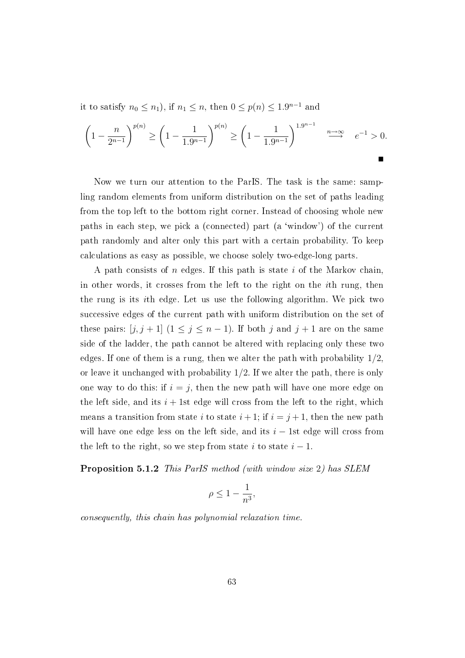it to satisfy  $n_0 \leq n_1$ ), if  $n_1 \leq n$ , then  $0 \leq p(n) \leq 1.9^{n-1}$  and

$$
\left(1 - \frac{n}{2^{n-1}}\right)^{p(n)} \ge \left(1 - \frac{1}{1.9^{n-1}}\right)^{p(n)} \ge \left(1 - \frac{1}{1.9^{n-1}}\right)^{1.9^{n-1}} \xrightarrow{n \to \infty} e^{-1} > 0.
$$

Now we turn our attention to the ParIS. The task is the same: sampling random elements from uniform distribution on the set of paths leading from the top left to the bottom right corner. Instead of choosing whole new paths in each step, we pick a (connected) part (a 'window') of the current path randomly and alter only this part with a certain probability. To keep calculations as easy as possible, we choose solely two-edge-long parts.

A path consists of  $n$  edges. If this path is state  $i$  of the Markov chain. in other words, it crosses from the left to the right on the ith rung, then the rung is its ith edge. Let us use the following algorithm. We pick two successive edges of the current path with uniform distribution on the set of these pairs:  $[j, j + 1]$   $(1 \le j \le n - 1)$ . If both j and  $j + 1$  are on the same side of the ladder, the path cannot be altered with replacing only these two edges. If one of them is a rung, then we alter the path with probability  $1/2$ . or leave it unchanged with probability  $1/2$ . If we alter the path, there is only one way to do this: if  $i = j$ , then the new path will have one more edge on the left side, and its  $i + 1$ st edge will cross from the left to the right, which means a transition from state i to state  $i + 1$ ; if  $i = j + 1$ , then the new path will have one edge less on the left side, and its  $i - 1$ st edge will cross from the left to the right, so we step from state i to state  $i-1$ .

Proposition 5.1.2 This ParIS method (with window size 2) has SLEM

$$
\rho \le 1 - \frac{1}{n^3},
$$

consequently, this chain has polynomial relaxation time.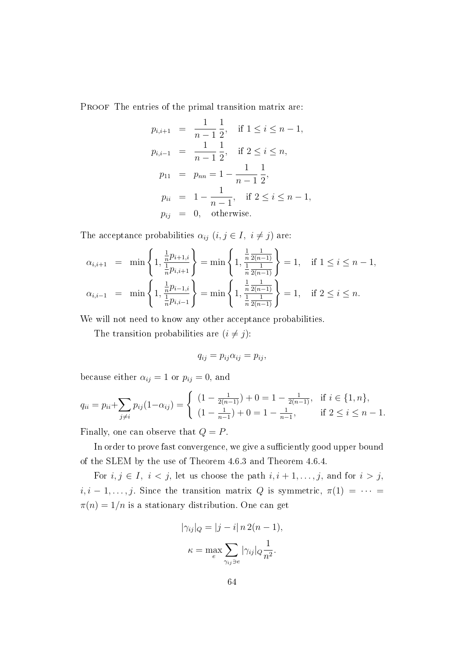PROOF The entries of the primal transition matrix are:

$$
p_{i,i+1} = \frac{1}{n-1} \frac{1}{2}, \quad \text{if } 1 \le i \le n-1,
$$
  
\n
$$
p_{i,i-1} = \frac{1}{n-1} \frac{1}{2}, \quad \text{if } 2 \le i \le n,
$$
  
\n
$$
p_{11} = p_{nn} = 1 - \frac{1}{n-1} \frac{1}{2},
$$
  
\n
$$
p_{ii} = 1 - \frac{1}{n-1}, \quad \text{if } 2 \le i \le n-1,
$$
  
\n
$$
p_{ij} = 0, \quad \text{otherwise.}
$$

The acceptance probabilities  $\alpha_{ij}$   $(i, j \in I, i \neq j)$  are:

$$
\alpha_{i,i+1} = \min\left\{1, \frac{\frac{1}{n}p_{i+1,i}}{\frac{1}{n}p_{i,i+1}}\right\} = \min\left\{1, \frac{\frac{1}{n}\frac{1}{2(n-1)}}{\frac{1}{n}\frac{1}{2(n-1)}}\right\} = 1, \text{ if } 1 \le i \le n-1,
$$
  

$$
\alpha_{i,i-1} = \min\left\{1, \frac{\frac{1}{n}p_{i-1,i}}{\frac{1}{n}p_{i,i-1}}\right\} = \min\left\{1, \frac{\frac{1}{n}\frac{1}{2(n-1)}}{\frac{1}{n}\frac{1}{2(n-1)}}\right\} = 1, \text{ if } 2 \le i \le n.
$$

We will not need to know any other acceptance probabilities.

The transition probabilities are  $(i \neq j)$ :

$$
q_{ij} = p_{ij}\alpha_{ij} = p_{ij},
$$

because either  $\alpha_{ij} = 1$  or  $p_{ij} = 0$ , and

$$
q_{ii} = p_{ii} + \sum_{j \neq i} p_{ij} (1 - \alpha_{ij}) = \begin{cases} (1 - \frac{1}{2(n-1)}) + 0 = 1 - \frac{1}{2(n-1)}, & \text{if } i \in \{1, n\}, \\ (1 - \frac{1}{n-1}) + 0 = 1 - \frac{1}{n-1}, & \text{if } 2 \leq i \leq n-1. \end{cases}
$$

Finally, one can observe that  $Q = P$ .

In order to prove fast convergence, we give a sufficiently good upper bound of the SLEM by the use of Theorem 4.6.3 and Theorem 4.6.4.

For  $i, j \in I$ ,  $i < j$ , let us choose the path  $i, i + 1, \ldots, j$ , and for  $i > j$ ,  $i, i-1, \ldots, j$ . Since the transition matrix Q is symmetric,  $\pi(1) = \cdots =$  $\pi(n) = 1/n$  is a stationary distribution. One can get

$$
|\gamma_{ij}|_Q = |j - i| n 2(n - 1),
$$
  

$$
\kappa = \max_{e} \sum_{\gamma_{ij}\ni e} |\gamma_{ij}|_Q \frac{1}{n^2}.
$$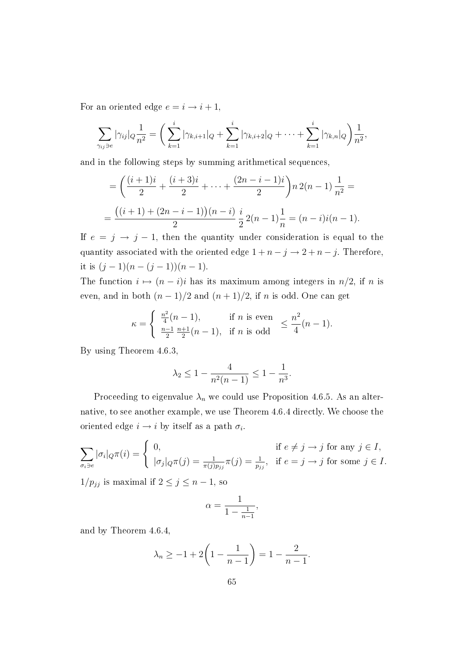For an oriented edge  $e = i \rightarrow i + 1$ ,

$$
\sum_{\gamma_{ij}\ni e} |\gamma_{ij}|_Q \frac{1}{n^2} = \bigg( \sum_{k=1}^i |\gamma_{k,i+1}|_Q + \sum_{k=1}^i |\gamma_{k,i+2}|_Q + \cdots + \sum_{k=1}^i |\gamma_{k,n}|_Q \bigg) \frac{1}{n^2},
$$

and in the following steps by summing arithmetical sequences,

$$
= \left(\frac{(i+1)i}{2} + \frac{(i+3)i}{2} + \dots + \frac{(2n-i-1)i}{2}\right)n \cdot 2(n-1) \cdot \frac{1}{n^2} =
$$
  
= 
$$
\frac{((i+1)+(2n-i-1))(n-i)}{2} \cdot \frac{i}{2} \cdot 2(n-1) \cdot \frac{1}{n} = (n-i)i(n-1).
$$

If  $e = j \rightarrow j - 1$ , then the quantity under consideration is equal to the quantity associated with the oriented edge  $1 + n - j \rightarrow 2 + n - j$ . Therefore, it is  $(j-1)(n-(j-1))(n-1)$ .

The function  $i \mapsto (n - i)i$  has its maximum among integers in  $n/2$ , if n is even, and in both  $(n-1)/2$  and  $(n+1)/2$ , if n is odd. One can get

$$
\kappa = \begin{cases} \frac{n^2}{4}(n-1), & \text{if } n \text{ is even} \\ \frac{n-1}{2} \frac{n+1}{2}(n-1), & \text{if } n \text{ is odd} \end{cases} \le \frac{n^2}{4}(n-1).
$$

By using Theorem 4.6.3,

$$
\lambda_2 \le 1 - \frac{4}{n^2(n-1)} \le 1 - \frac{1}{n^3}.
$$

Proceeding to eigenvalue  $\lambda_n$  we could use Proposition 4.6.5. As an alternative, to see another example, we use Theorem 4.6.4 directly. We choose the oriented edge  $i \rightarrow i$  by itself as a path  $\sigma_i$ .

$$
\sum_{\sigma_i \ni e} |\sigma_i|_Q \pi(i) = \begin{cases} 0, & \text{if } e \neq j \to j \text{ for any } j \in I, \\ |\sigma_j|_Q \pi(j) = \frac{1}{\pi(j)p_{jj}} \pi(j) = \frac{1}{p_{jj}}, & \text{if } e = j \to j \text{ for some } j \in I. \end{cases}
$$

 $1/p_{jj}$  is maximal if  $2 \le j \le n-1$ , so

$$
\alpha = \frac{1}{1 - \frac{1}{n-1}},
$$

and by Theorem 4.6.4,

$$
\lambda_n \ge -1 + 2\left(1 - \frac{1}{n-1}\right) = 1 - \frac{2}{n-1}.
$$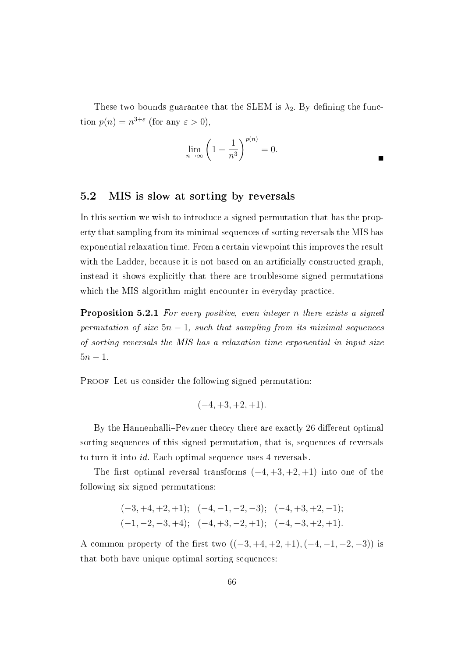These two bounds guarantee that the SLEM is  $\lambda_2$ . By defining the function  $p(n) = n^{3+\epsilon}$  (for any  $\epsilon > 0$ ),

$$
\lim_{n \to \infty} \left( 1 - \frac{1}{n^3} \right)^{p(n)} = 0.
$$

#### 5.2 MIS is slow at sorting by reversals

In this section we wish to introduce a signed permutation that has the property that sampling from its minimal sequences of sorting reversals the MIS has exponential relaxation time. From a certain viewpoint this improves the result with the Ladder, because it is not based on an artificially constructed graph, instead it shows explicitly that there are troublesome signed permutations which the MIS algorithm might encounter in everyday practice.

**Proposition 5.2.1** For every positive, even integer n there exists a signed permutation of size  $5n - 1$ , such that sampling from its minimal sequences of sorting reversals the MIS has a relaxation time exponential in input size  $5n - 1$ .

PROOF Let us consider the following signed permutation:

$$
(-4, +3, +2, +1).
$$

By the Hannenhalli–Pevzner theory there are exactly 26 different optimal sorting sequences of this signed permutation, that is, sequences of reversals to turn it into id. Each optimal sequence uses 4 reversals.

The first optimal reversal transforms  $(-4, +3, +2, +1)$  into one of the following six signed permutations:

$$
(-3, +4, +2, +1);
$$
  $(-4, -1, -2, -3);$   $(-4, +3, +2, -1);$   
 $(-1, -2, -3, +4);$   $(-4, +3, -2, +1);$   $(-4, -3, +2, +1).$ 

A common property of the first two  $((-3, +4, +2, +1), (-4, -1, -2, -3))$  is that both have unique optimal sorting sequences: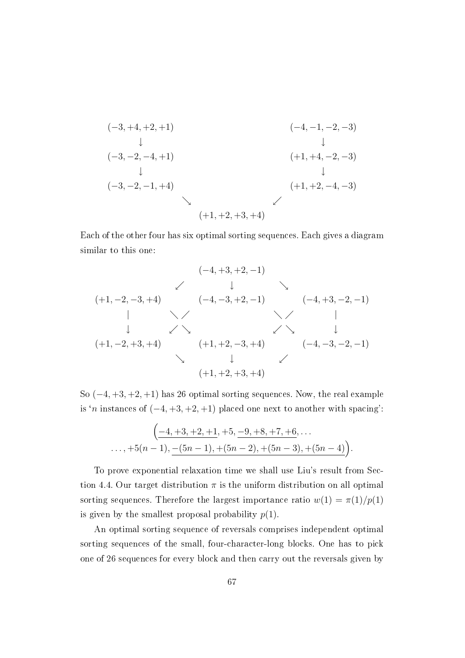$$
(-3, +4, +2, +1)
$$
  
\n $(-4, -1, -2, -3)$   
\n $(-4, -1, -2, -3)$   
\n $(+1, +4, -2, -3)$   
\n $(-3, -2, -1, +4)$   
\n $(+1, +2, -4, -3)$   
\n $(+1, +2, -4, -3)$ 

Each of the other four has six optimal sorting sequences. Each gives a diagram similar to this one:

$$
(-4, +3, +2, -1)
$$
\n
$$
(-4, +3, +2, -1)
$$
\n
$$
(-4, -3, +2, -1)
$$
\n
$$
(-4, +3, -2, -1)
$$
\n
$$
(-4, +3, -2, -1)
$$
\n
$$
(-4, +3, -2, -1)
$$
\n
$$
(-4, +3, -2, -1)
$$
\n
$$
(-4, -3, -2, -1)
$$
\n
$$
(-4, -3, -2, -1)
$$
\n
$$
(-4, -3, -2, -1)
$$
\n
$$
(-4, -3, -2, -1)
$$
\n
$$
(-4, +3, -2, -1)
$$
\n
$$
(-4, -3, -2, -1)
$$
\n
$$
(-4, +3, -2, -1)
$$
\n
$$
(-4, -3, -2, -1)
$$

So (−4, +3, +2, +1) has 26 optimal sorting sequences. Now, the real example is 'n instances of  $(-4, +3, +2, +1)$  placed one next to another with spacing':

$$
\left(-4, +3, +2, +1, +5, -9, +8, +7, +6, \ldots\right.
$$
  

$$
\ldots, +5(n-1), -(5n-1), +(5n-2), +(5n-3), +(5n-4)\right).
$$

To prove exponential relaxation time we shall use Liu's result from Section 4.4. Our target distribution  $\pi$  is the uniform distribution on all optimal sorting sequences. Therefore the largest importance ratio  $w(1) = \pi(1)/p(1)$ is given by the smallest proposal probability  $p(1)$ .

An optimal sorting sequence of reversals comprises independent optimal sorting sequences of the small, four-character-long blocks. One has to pick one of 26 sequences for every block and then carry out the reversals given by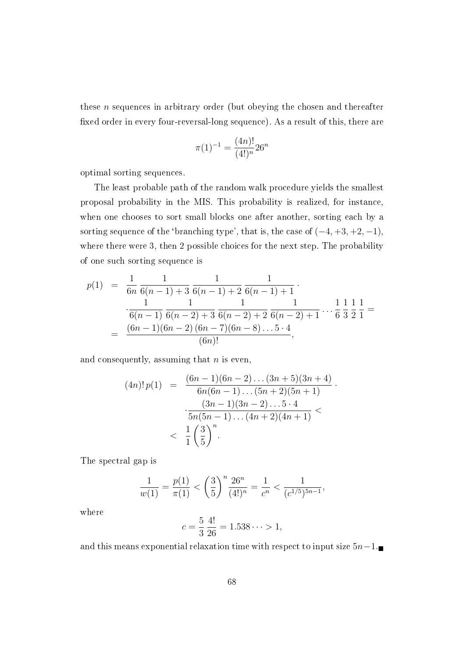these n sequences in arbitrary order (but obeying the chosen and thereafter xed order in every four-reversal-long sequence). As a result of this, there are

$$
\pi(1)^{-1} = \frac{(4n)!}{(4!)^n} 26^n
$$

optimal sorting sequences.

The least probable path of the random walk procedure yields the smallest proposal probability in the MIS. This probability is realized, for instance, when one chooses to sort small blocks one after another, sorting each by a sorting sequence of the 'branching type', that is, the case of  $(-4, +3, +2, -1)$ , where there were 3, then 2 possible choices for the next step. The probability of one such sorting sequence is

$$
p(1) = \frac{1}{6n} \frac{1}{6(n-1) + 3} \frac{1}{6(n-1) + 2} \frac{1}{6(n-1) + 1}.
$$
  

$$
\frac{1}{6(n-1)} \frac{1}{6(n-2) + 3} \frac{1}{6(n-2) + 2} \frac{1}{6(n-2) + 1} ... \frac{1}{6} \frac{1}{3} \frac{1}{2} \frac{1}{1} =
$$
  

$$
= \frac{(6n-1)(6n-2)(6n-7)(6n-8)...5 \cdot 4}{(6n)!},
$$

and consequently, assuming that  $n$  is even,

$$
(4n)! p(1) = \frac{(6n-1)(6n-2)\dots(3n+5)(3n+4)}{6n(6n-1)\dots(5n+2)(5n+1)} \cdot \frac{(3n-1)(3n-2)\dots5\cdot4}{5n(5n-1)\dots(4n+2)(4n+1)} < \frac{1}{1} \left(\frac{3}{5}\right)^n.
$$

The spectral gap is

$$
\frac{1}{w(1)} = \frac{p(1)}{\pi(1)} < \left(\frac{3}{5}\right)^n \frac{26^n}{(4!)^n} = \frac{1}{c^n} < \frac{1}{(c^{1/5})^{5n-1}},
$$

where

$$
c = \frac{5}{3} \frac{4!}{26} = 1.538 \dots > 1,
$$

and this means exponential relaxation time with respect to input size  $5n-1$ .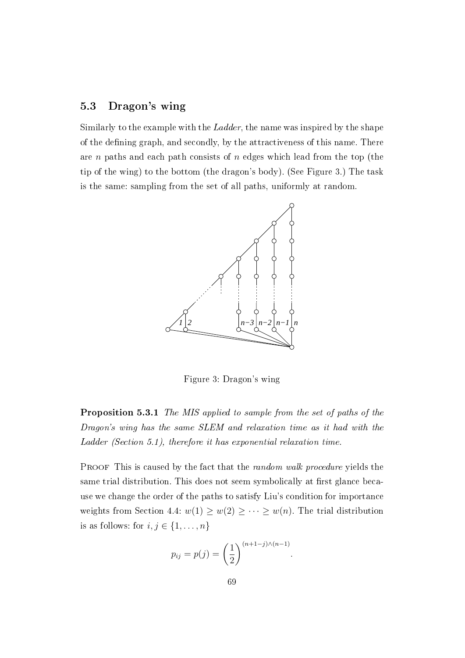## 5.3 Dragon's wing

Similarly to the example with the Ladder, the name was inspired by the shape of the defining graph, and secondly, by the attractiveness of this name. There are n paths and each path consists of n edges which lead from the top (the tip of the wing) to the bottom (the dragon's body). (See Figure 3.) The task is the same: sampling from the set of all paths, uniformly at random.



Figure 3: Dragon's wing

Proposition 5.3.1 The MIS applied to sample from the set of paths of the Dragon's wing has the same SLEM and relaxation time as it had with the Ladder (Section 5.1), therefore it has exponential relaxation time.

PROOF This is caused by the fact that the *random walk procedure* yields the same trial distribution. This does not seem symbolically at first glance because we change the order of the paths to satisfy Liu's condition for importance weights from Section 4.4:  $w(1) \ge w(2) \ge \cdots \ge w(n)$ . The trial distribution is as follows: for  $i, j \in \{1, \ldots, n\}$ 

$$
p_{ij} = p(j) = \left(\frac{1}{2}\right)^{(n+1-j)\wedge(n-1)}.
$$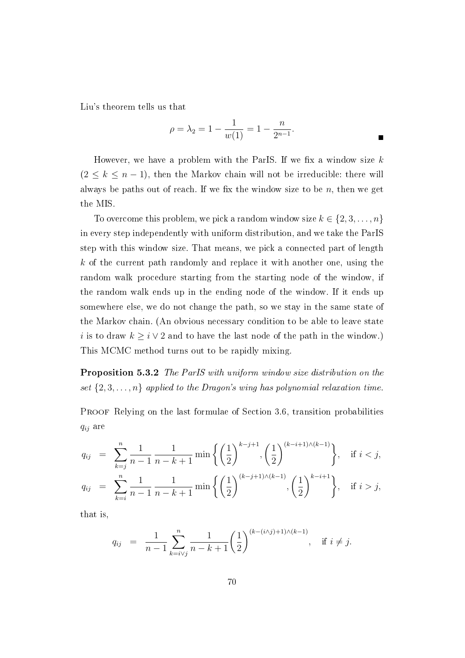Liu's theorem tells us that

$$
\rho = \lambda_2 = 1 - \frac{1}{w(1)} = 1 - \frac{n}{2^{n-1}}.
$$

However, we have a problem with the ParIS. If we fix a window size  $k$  $(2 \leq k \leq n-1)$ , then the Markov chain will not be irreducible: there will always be paths out of reach. If we fix the window size to be  $n$ , then we get the MIS.

To overcome this problem, we pick a random window size  $k \in \{2, 3, ..., n\}$ in every step independently with uniform distribution, and we take the ParIS step with this window size. That means, we pick a connected part of length k of the current path randomly and replace it with another one, using the random walk procedure starting from the starting node of the window, if the random walk ends up in the ending node of the window. If it ends up somewhere else, we do not change the path, so we stay in the same state of the Markov chain. (An obvious necessary condition to be able to leave state i is to draw  $k \geq i \vee 2$  and to have the last node of the path in the window.) This MCMC method turns out to be rapidly mixing.

Proposition 5.3.2 The ParIS with uniform window size distribution on the set  $\{2, 3, \ldots, n\}$  applied to the Dragon's wing has polynomial relaxation time.

PROOF Relying on the last formulae of Section 3.6, transition probabilities  $q_{ij}$  are

$$
q_{ij} = \sum_{k=j}^{n} \frac{1}{n-1} \frac{1}{n-k+1} \min\left\{ \left(\frac{1}{2}\right)^{k-j+1}, \left(\frac{1}{2}\right)^{(k-i+1)\wedge (k-1)} \right\}, \quad \text{if } i < j,
$$
  

$$
q_{ij} = \sum_{k=i}^{n} \frac{1}{n-1} \frac{1}{n-k+1} \min\left\{ \left(\frac{1}{2}\right)^{(k-j+1)\wedge (k-1)}, \left(\frac{1}{2}\right)^{(k-i+1)} \right\}, \quad \text{if } i > j,
$$

that is,

$$
q_{ij} = \frac{1}{n-1} \sum_{k=i \vee j}^{n} \frac{1}{n-k+1} \left(\frac{1}{2}\right)^{(k-(i \wedge j)+1)(k-1)}, \text{ if } i \neq j.
$$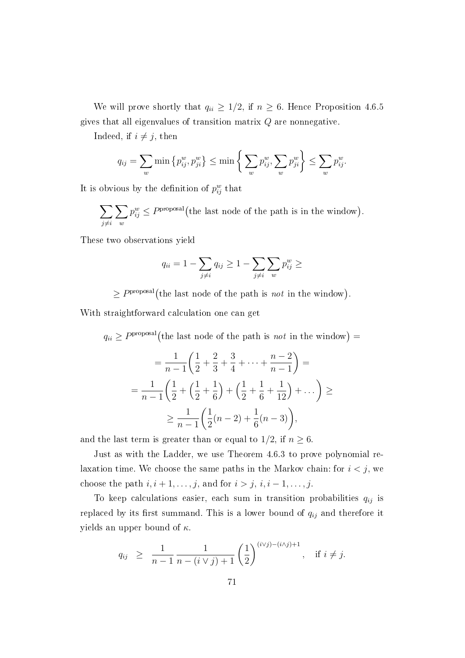We will prove shortly that  $q_{ii} \geq 1/2$ , if  $n \geq 6$ . Hence Proposition 4.6.5 gives that all eigenvalues of transition matrix  $Q$  are nonnegative.

Indeed, if  $i \neq j$ , then

$$
q_{ij} = \sum_{w} \min \left\{ p_{ij}^w, p_{ji}^w \right\} \le \min \left\{ \sum_{w} p_{ij}^w, \sum_{w} p_{ji}^w \right\} \le \sum_{w} p_{ij}^w.
$$

It is obvious by the definition of  $p_{ij}^w$  that

 $\sum$  $j\neq i$  $\sum$  $\omega$  $p_{ij}^w \leq P^{\text{proposal}}$  (the last node of the path is in the window).

These two observations yield

$$
q_{ii} = 1 - \sum_{j \neq i} q_{ij} \ge 1 - \sum_{j \neq i} \sum_{w} p_{ij}^w \ge
$$

 $\geq P^{\text{proposal}}$  (the last node of the path is *not* in the window).

With straightforward calculation one can get

 $q_{ii} \ge P^{\text{proposal}}$  (the last node of the path is *not* in the window) =

$$
= \frac{1}{n-1} \left( \frac{1}{2} + \frac{2}{3} + \frac{3}{4} + \dots + \frac{n-2}{n-1} \right) =
$$
  

$$
= \frac{1}{n-1} \left( \frac{1}{2} + \left( \frac{1}{2} + \frac{1}{6} \right) + \left( \frac{1}{2} + \frac{1}{6} + \frac{1}{12} \right) + \dots \right) \ge
$$
  

$$
\geq \frac{1}{n-1} \left( \frac{1}{2} (n-2) + \frac{1}{6} (n-3) \right),
$$

and the last term is greater than or equal to  $1/2$ , if  $n \geq 6$ .

Just as with the Ladder, we use Theorem 4.6.3 to prove polynomial relaxation time. We choose the same paths in the Markov chain: for  $i < j$ , we choose the path  $i, i + 1, \ldots, j$ , and for  $i > j, i, i - 1, \ldots, j$ .

To keep calculations easier, each sum in transition probabilities  $q_{ij}$  is replaced by its first summand. This is a lower bound of  $q_{ij}$  and therefore it yields an upper bound of  $\kappa$ .

$$
q_{ij} \geq \frac{1}{n-1} \frac{1}{n - (i \vee j) + 1} \left(\frac{1}{2}\right)^{(i \vee j) - (i \wedge j) + 1}, \text{ if } i \neq j.
$$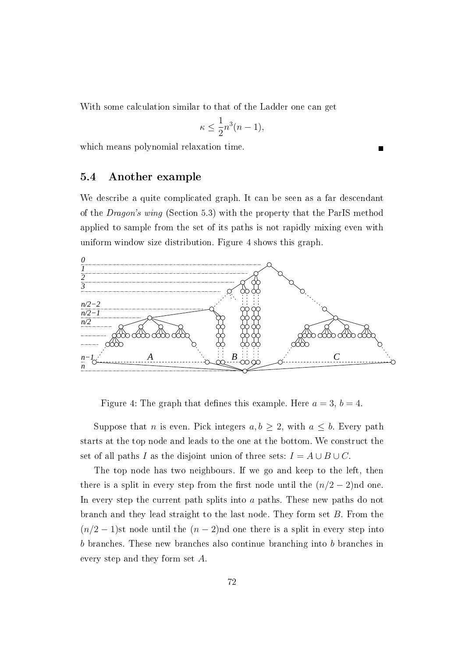With some calculation similar to that of the Ladder one can get

$$
\kappa \le \frac{1}{2}n^3(n-1),
$$

which means polynomial relaxation time.

#### 5.4 Another example

We describe a quite complicated graph. It can be seen as a far descendant of the Dragon's wing (Section 5.3) with the property that the ParIS method applied to sample from the set of its paths is not rapidly mixing even with uniform window size distribution. Figure 4 shows this graph.



Figure 4: The graph that defines this example. Here  $a = 3$ ,  $b = 4$ .

Suppose that *n* is even. Pick integers  $a, b \geq 2$ , with  $a \leq b$ . Every path starts at the top node and leads to the one at the bottom. We construct the set of all paths I as the disjoint union of three sets:  $I = A \cup B \cup C$ .

The top node has two neighbours. If we go and keep to the left, then there is a split in every step from the first node until the  $(n/2-2)$ nd one. In every step the current path splits into a paths. These new paths do not branch and they lead straight to the last node. They form set B. From the  $(n/2 - 1)$ st node until the  $(n - 2)$ nd one there is a split in every step into b branches. These new branches also continue branching into b branches in every step and they form set A.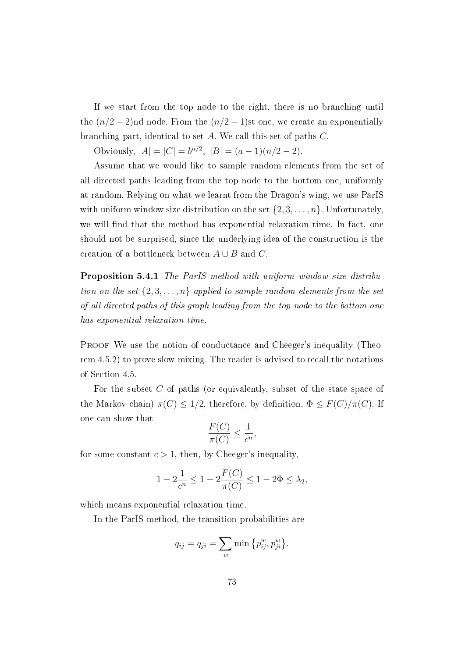If we start from the top node to the right, there is no branching until the  $(n/2-2)$ nd node. From the  $(n/2-1)$ st one, we create an exponentially branching part, identical to set A. We call this set of paths C.

Obviously,  $|A| = |C| = b^{n/2}$ ,  $|B| = (a-1)(n/2-2)$ .

Assume that we would like to sample random elements from the set of all directed paths leading from the top node to the bottom one, uniformly at random. Relying on what we learnt from the Dragon's wing, we use ParIS with uniform window size distribution on the set  $\{2, 3, \ldots, n\}$ . Unfortunately, we will find that the method has exponential relaxation time. In fact, one should not be surprised, since the underlying idea of the construction is the creation of a bottleneck between  $A \cup B$  and C.

Proposition 5.4.1 The ParIS method with uniform window size distribution on the set  $\{2, 3, \ldots, n\}$  applied to sample random elements from the set of all directed paths of this graph leading from the top node to the bottom one has exponential relaxation time.

PROOF We use the notion of conductance and Cheeger's inequality (Theorem 4.5.2) to prove slow mixing. The reader is advised to recall the notations of Section 4.5.

For the subset C of paths (or equivalently, subset of the state space of the Markov chain)  $\pi(C) \leq 1/2$ , therefore, by definition,  $\Phi \leq F(C)/\pi(C)$ . If one can show that

$$
\frac{F(C)}{\pi(C)} \le \frac{1}{c^n},
$$

for some constant  $c > 1$ , then, by Cheeger's inequality

$$
1 - 2\frac{1}{c^n} \le 1 - 2\frac{F(C)}{\pi(C)} \le 1 - 2\Phi \le \lambda_2,
$$

which means exponential relaxation time.

In the ParIS method, the transition probabilities are

$$
q_{ij} = q_{ji} = \sum_{w} \min \{ p_{ij}^w, p_{ji}^w \}.
$$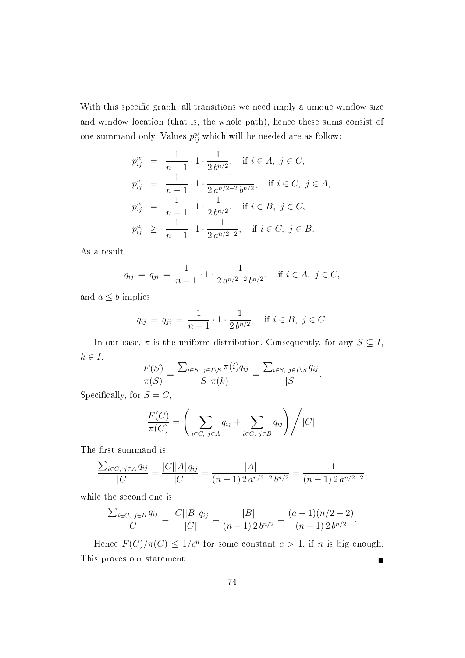With this specific graph, all transitions we need imply a unique window size and window location (that is, the whole path), hence these sums consist of one summand only. Values  $p_{ij}^w$  which will be needed are as follow:

$$
p_{ij}^w = \frac{1}{n-1} \cdot 1 \cdot \frac{1}{2b^{n/2}}, \quad \text{if } i \in A, \ j \in C,
$$
  
\n
$$
p_{ij}^w = \frac{1}{n-1} \cdot 1 \cdot \frac{1}{2 a^{n/2-2} b^{n/2}}, \quad \text{if } i \in C, \ j \in A,
$$
  
\n
$$
p_{ij}^w = \frac{1}{n-1} \cdot 1 \cdot \frac{1}{2 b^{n/2}}, \quad \text{if } i \in B, \ j \in C,
$$
  
\n
$$
p_{ij}^w \ge \frac{1}{n-1} \cdot 1 \cdot \frac{1}{2 a^{n/2-2}}, \quad \text{if } i \in C, \ j \in B.
$$

As a result,

$$
q_{ij} = q_{ji} = \frac{1}{n-1} \cdot 1 \cdot \frac{1}{2 a^{n/2 - 2} b^{n/2}}, \quad \text{if } i \in A, j \in C,
$$

and  $a \leq b$  implies

$$
q_{ij} = q_{ji} = \frac{1}{n-1} \cdot 1 \cdot \frac{1}{2b^{n/2}}, \quad \text{if } i \in B, \ j \in C.
$$

In our case,  $\pi$  is the uniform distribution. Consequently, for any  $S \subseteq I$ ,  $k \in I$ ,

$$
\frac{F(S)}{\pi(S)} = \frac{\sum_{i \in S, j \in I \setminus S} \pi(i) q_{ij}}{|S| \pi(k)} = \frac{\sum_{i \in S, j \in I \setminus S} q_{ij}}{|S|}.
$$

Specifically, for  $S = C$ ,

$$
\frac{F(C)}{\pi(C)} = \left(\sum_{i \in C, j \in A} q_{ij} + \sum_{i \in C, j \in B} q_{ij}\right) / |C|.
$$

The first summand is

$$
\frac{\sum_{i\in C,\ j\in A} q_{ij}}{|C|} = \frac{|C||A| q_{ij}}{|C|} = \frac{|A|}{(n-1) 2 a^{n/2-2} b^{n/2}} = \frac{1}{(n-1) 2 a^{n/2-2}},
$$

while the second one is

$$
\frac{\sum_{i \in C, j \in B} q_{ij}}{|C|} = \frac{|C||B| q_{ij}}{|C|} = \frac{|B|}{(n-1)2 b^{n/2}} = \frac{(a-1)(n/2-2)}{(n-1)2 b^{n/2}}.
$$

Hence  $F(C)/\pi(C) \leq 1/c^n$  for some constant  $c > 1$ , if n is big enough. This proves our statement.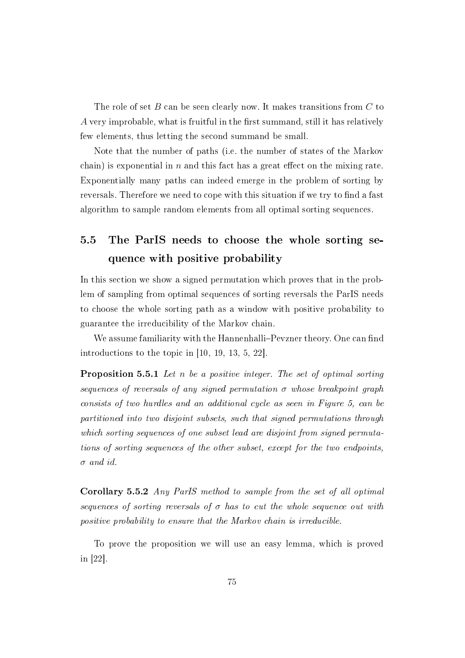The role of set  $B$  can be seen clearly now. It makes transitions from  $C$  to A very improbable, what is fruitful in the first summand, still it has relatively few elements, thus letting the second summand be small.

Note that the number of paths (i.e. the number of states of the Markov chain) is exponential in  $n$  and this fact has a great effect on the mixing rate. Exponentially many paths can indeed emerge in the problem of sorting by reversals. Therefore we need to cope with this situation if we try to find a fast algorithm to sample random elements from all optimal sorting sequences.

## 5.5 The ParIS needs to choose the whole sorting sequence with positive probability

In this section we show a signed permutation which proves that in the problem of sampling from optimal sequences of sorting reversals the ParIS needs to choose the whole sorting path as a window with positive probability to guarantee the irreducibility of the Markov chain.

We assume familiarity with the Hannenhalli–Pevzner theory. One can find introductions to the topic in [10, 19, 13, 5, 22].

Proposition 5.5.1 Let n be a positive integer. The set of optimal sorting sequences of reversals of any signed permutation  $\sigma$  whose breakpoint graph consists of two hurdles and an additional cycle as seen in Figure 5, can be partitioned into two disjoint subsets, such that signed permutations through which sorting sequences of one subset lead are disjoint from signed permutations of sorting sequences of the other subset, except for the two endpoints,  $\sigma$  and id.

Corollary 5.5.2 Any ParIS method to sample from the set of all optimal sequences of sorting reversals of  $\sigma$  has to cut the whole sequence out with positive probability to ensure that the Markov chain is irreducible.

To prove the proposition we will use an easy lemma, which is proved in [22].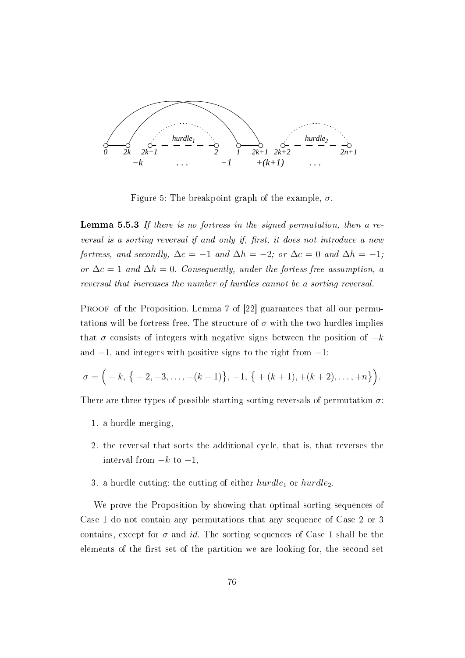

Figure 5: The breakpoint graph of the example,  $\sigma$ .

Lemma 5.5.3 If there is no fortress in the signed permutation, then a reversal is a sorting reversal if and only if, first, it does not introduce a new fortress, and secondly,  $\Delta c = -1$  and  $\Delta h = -2$ ; or  $\Delta c = 0$  and  $\Delta h = -1$ ; or  $\Delta c = 1$  and  $\Delta h = 0$ . Consequently, under the fortess-free assumption, a reversal that increases the number of hurdles cannot be a sorting reversal.

PROOF of the Proposition. Lemma 7 of [22] guarantees that all our permutations will be fortress-free. The structure of  $\sigma$  with the two hurdles implies that  $\sigma$  consists of integers with negative signs between the position of  $-k$ and  $-1$ , and integers with positive signs to the right from  $-1$ :

$$
\sigma = \Big(-k, \{ -2, -3, \ldots, -(k-1) \}, -1, \{ + (k+1), +(k+2), \ldots, +n \} \Big).
$$

There are three types of possible starting sorting reversals of permutation  $\sigma$ :

- 1. a hurdle merging,
- 2. the reversal that sorts the additional cycle, that is, that reverses the interval from  $-k$  to  $-1$ ,
- 3. a hurdle cutting: the cutting of either  $hurdle_1$  or  $hurdle_2$ .

We prove the Proposition by showing that optimal sorting sequences of Case 1 do not contain any permutations that any sequence of Case 2 or 3 contains, except for  $\sigma$  and id. The sorting sequences of Case 1 shall be the elements of the first set of the partition we are looking for, the second set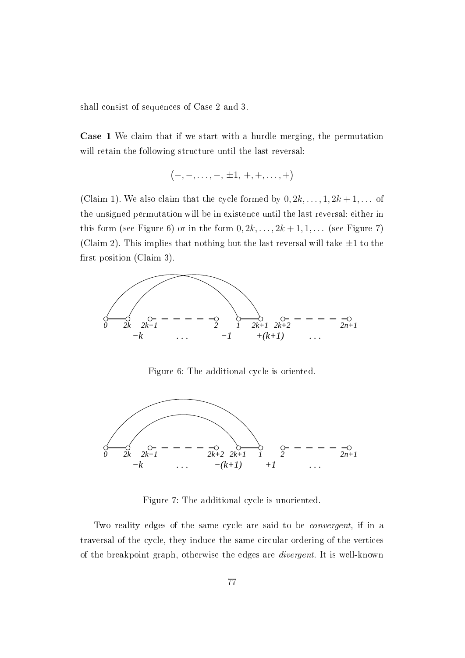shall consist of sequences of Case 2 and 3.

Case 1 We claim that if we start with a hurdle merging, the permutation will retain the following structure until the last reversal:

$$
\big(-,-,\dots,-,\,\pm 1,\,+,+,\dots,+ \big)
$$

(Claim 1). We also claim that the cycle formed by  $0, 2k, \ldots, 1, 2k+1, \ldots$  of the unsigned permutation will be in existence until the last reversal: either in this form (see Figure 6) or in the form  $0, 2k, \ldots, 2k+1, 1, \ldots$  (see Figure 7) (Claim 2). This implies that nothing but the last reversal will take  $\pm 1$  to the first position (Claim 3).



Figure 6: The additional cycle is oriented.



Figure 7: The additional cycle is unoriented.

Two reality edges of the same cycle are said to be convergent, if in a traversal of the cycle, they induce the same circular ordering of the vertices of the breakpoint graph, otherwise the edges are divergent. It is well-known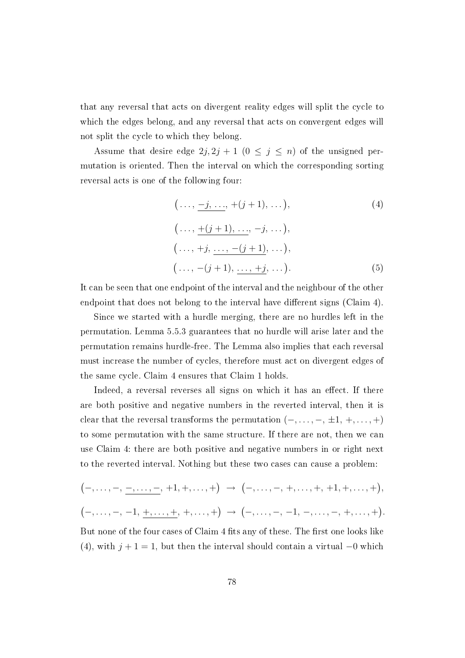that any reversal that acts on divergent reality edges will split the cycle to which the edges belong, and any reversal that acts on convergent edges will not split the cycle to which they belong.

Assume that desire edge  $2j$ ,  $2j + 1$   $(0 \le j \le n)$  of the unsigned permutation is oriented. Then the interval on which the corresponding sorting reversal acts is one of the following four:

$$
(\ldots, \underline{-j, \ldots}, +(j+1), \ldots),
$$
\n
$$
(\ldots, \underline{+(j+1), \ldots}, -j, \ldots),
$$
\n
$$
(\ldots, +j, \underline{\ldots}, -(j+1), \ldots),
$$
\n
$$
(\ldots, -(j+1), \underline{\ldots}, +j, \ldots).
$$
\n(5)

It can be seen that one endpoint of the interval and the neighbour of the other endpoint that does not belong to the interval have different signs (Claim 4).

Since we started with a hurdle merging, there are no hurdles left in the permutation. Lemma 5.5.3 guarantees that no hurdle will arise later and the permutation remains hurdle-free. The Lemma also implies that each reversal must increase the number of cycles, therefore must act on divergent edges of the same cycle. Claim 4 ensures that Claim 1 holds.

Indeed, a reversal reverses all signs on which it has an effect. If there are both positive and negative numbers in the reverted interval, then it is clear that the reversal transforms the permutation  $(-, \ldots, -, \pm 1, +, \ldots, +)$ to some permutation with the same structure. If there are not, then we can use Claim 4: there are both positive and negative numbers in or right next to the reverted interval. Nothing but these two cases can cause a problem:

$$
(-, \ldots, -, \underline{-, \ldots, -}, +1, +, \ldots, +) \rightarrow (-, \ldots, -, +, \ldots, +, +1, +, \ldots, +),
$$
  

$$
(-, \ldots, -, -1, \underline{+, \ldots, +}, +, \ldots, +) \rightarrow (-, \ldots, -, -1, -, \ldots, -, +, \ldots, +).
$$

But none of the four cases of Claim 4 fits any of these. The first one looks like (4), with  $j + 1 = 1$ , but then the interval should contain a virtual  $-0$  which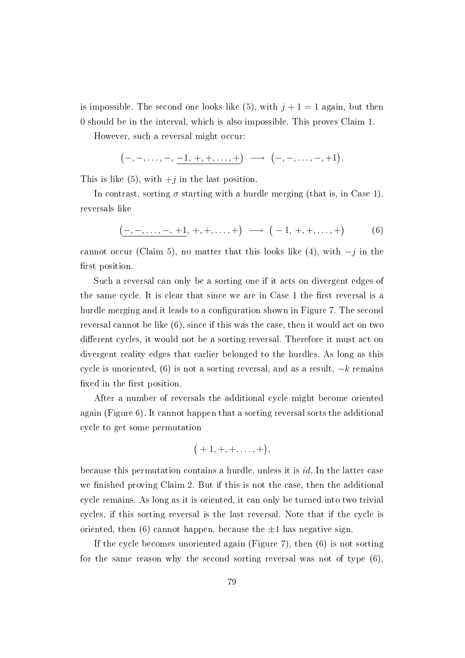is impossible. The second one looks like (5), with  $j+1=1$  again, but then 0 should be in the interval, which is also impossible. This proves Claim 1.

However, such a reversal might occur:

$$
(-, -, ..., -, \underline{-1}, +, +, ..., +)
$$
  $\longrightarrow (-, -, ..., -, +1).$ 

This is like  $(5)$ , with  $+j$  in the last position.

In contrast, sorting  $\sigma$  starting with a hurdle merging (that is, in Case 1), reversals like

$$
(-,-,\ldots,-,+1,+,+,\ldots,+)\longrightarrow (-1,+,+,\ldots,+)
$$
 (6)

cannot occur (Claim 5), no matter that this looks like (4), with  $-j$  in the first position.

Such a reversal can only be a sorting one if it acts on divergent edges of the same cycle. It is clear that since we are in Case 1 the first reversal is a hurdle merging and it leads to a configuration shown in Figure 7. The second reversal cannot be like (6), since if this was the case, then it would act on two different cycles, it would not be a sorting reversal. Therefore it must act on divergent reality edges that earlier belonged to the hurdles. As long as this cycle is unoriented, (6) is not a sorting reversal, and as a result,  $-k$  remains fixed in the first position.

After a number of reversals the additional cycle might become oriented again (Figure 6). It cannot happen that a sorting reversal sorts the additional cycle to get some permutation

$$
\big( +1, +, +, \ldots, + \big),
$$

because this permutation contains a hurdle, unless it is id. In the latter case we finished proving Claim 2. But if this is not the case, then the additional cycle remains. As long as it is oriented, it can only be turned into two trivial cycles, if this sorting reversal is the last reversal. Note that if the cycle is oriented, then  $(6)$  cannot happen, because the  $\pm 1$  has negative sign.

If the cycle becomes unoriented again (Figure 7), then (6) is not sorting for the same reason why the second sorting reversal was not of type (6),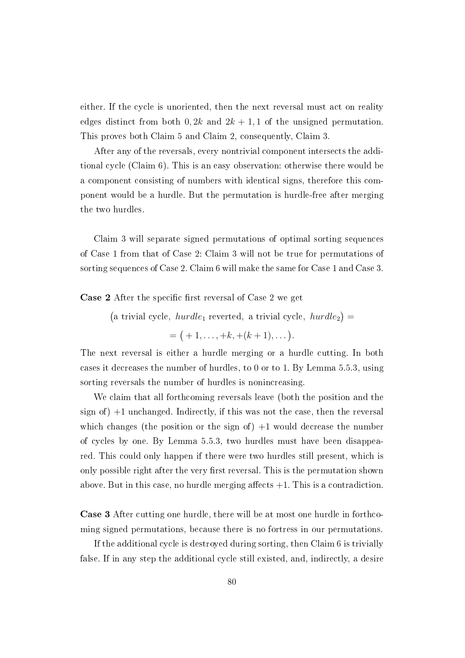either. If the cycle is unoriented, then the next reversal must act on reality edges distinct from both  $0, 2k$  and  $2k + 1, 1$  of the unsigned permutation. This proves both Claim 5 and Claim 2, consequently, Claim 3.

After any of the reversals, every nontrivial component intersects the additional cycle (Claim 6). This is an easy observation: otherwise there would be a component consisting of numbers with identical signs, therefore this component would be a hurdle. But the permutation is hurdle-free after merging the two hurdles.

Claim 3 will separate signed permutations of optimal sorting sequences of Case 1 from that of Case 2: Claim 3 will not be true for permutations of sorting sequences of Case 2. Claim 6 will make the same for Case 1 and Case 3.

**Case 2** After the specific first reversal of Case 2 we get

(a trivial cycle,  $hurdle_1$  reverted, a trivial cycle,  $hurdle_2$ ) =

 $= (+1, \ldots, +k, +(k+1), \ldots).$ 

The next reversal is either a hurdle merging or a hurdle cutting. In both cases it decreases the number of hurdles, to 0 or to 1. By Lemma 5.5.3, using sorting reversals the number of hurdles is nonincreasing.

We claim that all forthcoming reversals leave (both the position and the sign of)  $+1$  unchanged. Indirectly, if this was not the case, then the reversal which changes (the position or the sign of)  $+1$  would decrease the number of cycles by one. By Lemma 5.5.3, two hurdles must have been disappeared. This could only happen if there were two hurdles still present, which is only possible right after the very first reversal. This is the permutation shown above. But in this case, no hurdle merging affects  $+1$ . This is a contradiction.

Case 3 After cutting one hurdle, there will be at most one hurdle in forthcoming signed permutations, because there is no fortress in our permutations.

If the additional cycle is destroyed during sorting, then Claim 6 is trivially false. If in any step the additional cycle still existed, and, indirectly, a desire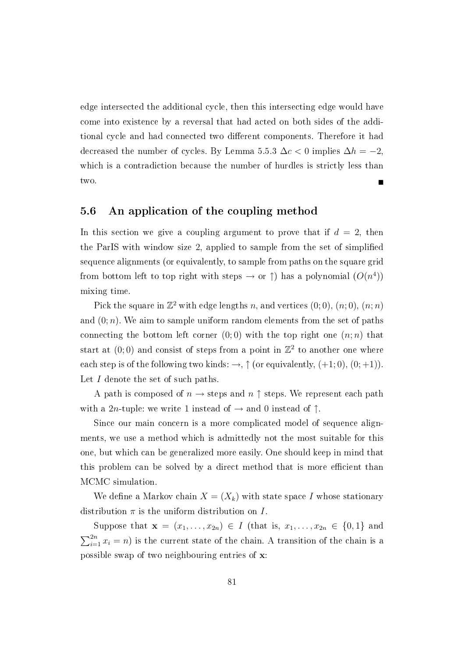edge intersected the additional cycle, then this intersecting edge would have come into existence by a reversal that had acted on both sides of the additional cycle and had connected two different components. Therefore it had decreased the number of cycles. By Lemma 5.5.3  $\Delta c < 0$  implies  $\Delta h = -2$ , which is a contradiction because the number of hurdles is strictly less than two.

#### 5.6 An application of the coupling method

In this section we give a coupling argument to prove that if  $d = 2$ , then the ParIS with window size 2, applied to sample from the set of simplied sequence alignments (or equivalently, to sample from paths on the square grid from bottom left to top right with steps  $\rightarrow$  or  $\uparrow$ ) has a polynomial  $(O(n^4))$ mixing time.

Pick the square in  $\mathbb{Z}^2$  with edge lengths n, and vertices  $(0, 0), (n, 0), (n, n)$ and  $(0; n)$ . We aim to sample uniform random elements from the set of paths connecting the bottom left corner  $(0,0)$  with the top right one  $(n;n)$  that start at  $(0,0)$  and consist of steps from a point in  $\mathbb{Z}^2$  to another one where each step is of the following two kinds:  $\rightarrow$ ,  $\uparrow$  (or equivalently, (+1;0), (0; +1)). Let I denote the set of such paths.

A path is composed of  $n \to$  steps and  $n \uparrow$  steps. We represent each path with a 2n-tuple: we write 1 instead of  $\rightarrow$  and 0 instead of  $\uparrow$ .

Since our main concern is a more complicated model of sequence alignments, we use a method which is admittedly not the most suitable for this one, but which can be generalized more easily. One should keep in mind that this problem can be solved by a direct method that is more efficient than MCMC simulation.

We define a Markov chain  $X = (X_k)$  with state space I whose stationary distribution  $\pi$  is the uniform distribution on I.

Suppose that  $\mathbf{x} = (x_1, \ldots, x_{2n}) \in I$  (that is,  $x_1, \ldots, x_{2n} \in \{0, 1\}$  and  $\sum_{i=1}^{2n} x_i = n$ ) is the current state of the chain. A transition of the chain is a possible swap of two neighbouring entries of x: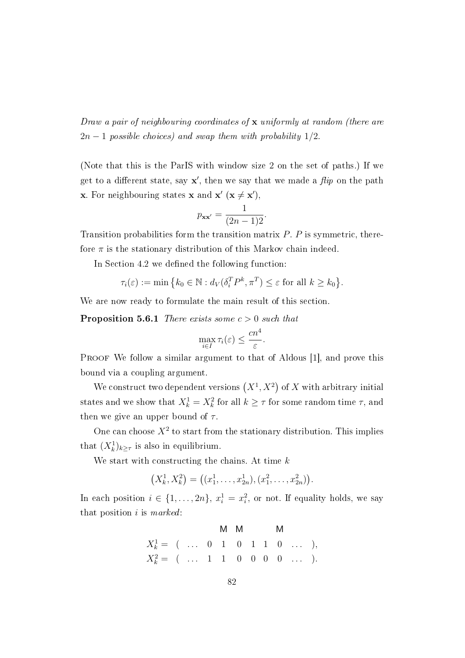Draw a pair of neighbouring coordinates of  $\bf{x}$  uniformly at random (there are  $2n-1$  possible choices) and swap them with probability  $1/2$ .

(Note that this is the ParIS with window size 2 on the set of paths.) If we get to a different state, say  $\mathbf{x}'$ , then we say that we made a  $flip$  on the path **x**. For neighbouring states **x** and **x'** (**x**  $\neq$  **x'**),

$$
p_{\mathbf{x}\mathbf{x}'} = \frac{1}{(2n-1)2}.
$$

Transition probabilities form the transition matrix  $P$ .  $P$  is symmetric, therefore  $\pi$  is the stationary distribution of this Markov chain indeed.

In Section 4.2 we defined the following function:

$$
\tau_i(\varepsilon) := \min\left\{k_0 \in \mathbb{N} : d_V(\delta_i^T P^k, \pi^T) \le \varepsilon \text{ for all } k \ge k_0\right\}.
$$

We are now ready to formulate the main result of this section.

**Proposition 5.6.1** There exists some  $c > 0$  such that

$$
\max_{i \in I} \tau_i(\varepsilon) \le \frac{cn^4}{\varepsilon}.
$$

PROOF We follow a similar argument to that of Aldous [1], and prove this bound via a coupling argument.

We construct two dependent versions  $(X^1, X^2)$  of X with arbitrary initial states and we show that  $X_k^1 = X_k^2$  for all  $k \geq \tau$  for some random time  $\tau$ , and then we give an upper bound of  $\tau$ .

One can choose  $X^2$  to start from the stationary distribution. This implies that  $(X_k^1)_{k \geq \tau}$  is also in equilibrium.

We start with constructing the chains. At time  $k$ 

$$
(X_k^1, X_k^2) = ((x_1^1, \ldots, x_{2n}^1), (x_1^2, \ldots, x_{2n}^2)).
$$

In each position  $i \in \{1, \ldots, 2n\}, x_i^1 = x_i^2$ , or not. If equality holds, we say that position  $i$  is marked:

$$
X_k^1 = \begin{pmatrix} 0 & 1 & 0 & 1 & 1 & 0 & \dots & 0 \\ 0 & 0 & 1 & 0 & 1 & 1 & 0 & \dots & 0 \\ 0 & 0 & 0 & 0 & 0 & 0 & \dots & 0 \end{pmatrix}.
$$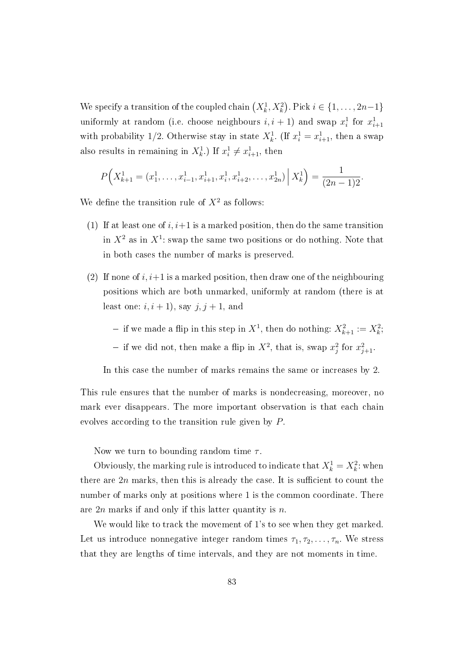We specify a transition of the coupled chain  $(X_k^1, X_k^2)$ . Pick  $i \in \{1, \ldots, 2n-1\}$ uniformly at random (i.e. choose neighbours  $i, i + 1$ ) and swap  $x_i^1$  for  $x_{i+1}^1$ with probability 1/2. Otherwise stay in state  $X_k^1$ . (If  $x_i^1 = x_{i+1}^1$ , then a swap also results in remaining in  $X_k^1$ .) If  $x_i^1 \neq x_{i+1}^1$ , then

$$
P\Big(X_{k+1}^1 = (x_1^1, \ldots, x_{i-1}^1, x_{i+1}^1, x_i^1, x_{i+2}^1, \ldots, x_{2n}^1) \Big| X_k^1 \Big) = \frac{1}{(2n-1)2}.
$$

We define the transition rule of  $X^2$  as follows:

- (1) If at least one of  $i, i+1$  is a marked position, then do the same transition in  $X^2$  as in  $X^1$ : swap the same two positions or do nothing. Note that in both cases the number of marks is preserved.
- (2) If none of  $i, i+1$  is a marked position, then draw one of the neighbouring positions which are both unmarked, uniformly at random (there is at least one:  $i, i + 1$ ), say  $j, j + 1$ , and

- if we made a flip in this step in  $X^1$ , then do nothing:  $X^2_{k+1} := X^2_k$ ;

- if we did not, then make a flip in  $X^2$ , that is, swap  $x_j^2$  for  $x_{j+1}^2$ .

In this case the number of marks remains the same or increases by 2.

This rule ensures that the number of marks is nondecreasing, moreover, no mark ever disappears. The more important observation is that each chain evolves according to the transition rule given by P.

Now we turn to bounding random time  $\tau$ .

Obviously, the marking rule is introduced to indicate that  $X_k^1 = X_k^2$ : when there are  $2n$  marks, then this is already the case. It is sufficient to count the number of marks only at positions where 1 is the common coordinate. There are  $2n$  marks if and only if this latter quantity is n.

We would like to track the movement of 1's to see when they get marked. Let us introduce nonnegative integer random times  $\tau_1, \tau_2, \ldots, \tau_n$ . We stress that they are lengths of time intervals, and they are not moments in time.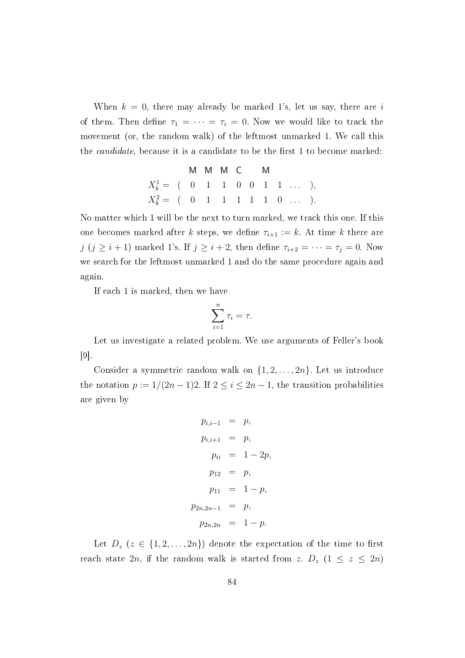When  $k = 0$ , there may already be marked 1's, let us say, there are i of them. Then define  $\tau_1 = \cdots = \tau_i = 0$ . Now we would like to track the movement (or, the random walk) of the leftmost unmarked 1. We call this the *candidate*, because it is a candidate to be the first 1 to become marked:

M M M C M  
\n
$$
X_k^1 =
$$
 ( 0 1 1 0 0 1 1 ... ),  
\n $X_k^2 =$  ( 0 1 1 1 1 1 0 ... ).

No matter which 1 will be the next to turn marked, we track this one. If this one becomes marked after k steps, we define  $\tau_{i+1} := k$ . At time k there are j  $(j \geq i + 1)$  marked 1's. If  $j \geq i + 2$ , then define  $\tau_{i+2} = \cdots = \tau_j = 0$ . Now we search for the leftmost unmarked 1 and do the same procedure again and again.

If each 1 is marked, then we have

$$
\sum_{i=1}^{n} \tau_i = \tau.
$$

Let us investigate a related problem. We use arguments of Feller's book [9].

Consider a symmetric random walk on  $\{1, 2, \ldots, 2n\}$ . Let us introduce the notation  $p := 1/(2n-1)2$ . If  $2 \leq i \leq 2n-1$ , the transition probabilities are given by

$$
p_{i,i-1} = p,
$$
  
\n
$$
p_{i,i+1} = p,
$$
  
\n
$$
p_{ii} = 1 - 2p,
$$
  
\n
$$
p_{12} = p,
$$
  
\n
$$
p_{11} = 1 - p,
$$
  
\n
$$
p_{2n,2n-1} = p,
$$
  
\n
$$
p_{2n,2n} = 1 - p.
$$

Let  $D_z$   $(z \in \{1, 2, ..., 2n\})$  denote the expectation of the time to first reach state 2n, if the random walk is started from z.  $D_z$   $(1 \le z \le 2n)$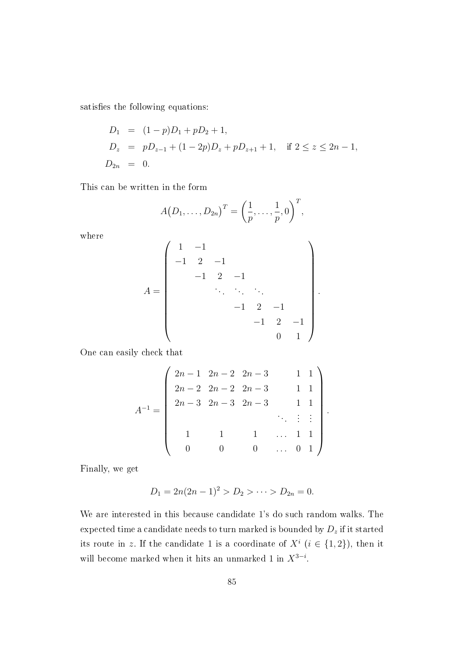satisfies the following equations:

$$
D_1 = (1 - p)D_1 + pD_2 + 1,
$$
  
\n
$$
D_z = pD_{z-1} + (1 - 2p)D_z + pD_{z+1} + 1, \text{ if } 2 \le z \le 2n - 1,
$$
  
\n
$$
D_{2n} = 0.
$$

This can be written in the form

$$
A(D_1,..., D_{2n})^T = \left(\frac{1}{p}, \ldots, \frac{1}{p}, 0\right)^T
$$

where

$$
A = \begin{pmatrix} 1 & -1 & & & & & \\ -1 & 2 & -1 & & & & \\ & -1 & 2 & -1 & & & \\ & & \ddots & \ddots & \ddots & & \\ & & & -1 & 2 & -1 & \\ & & & & -1 & 2 & -1 \\ & & & & & 0 & 1 \end{pmatrix}.
$$

One can easily check that

$$
A^{-1} = \begin{pmatrix} 2n-1 & 2n-2 & 2n-3 & 1 & 1 \\ 2n-2 & 2n-2 & 2n-3 & 1 & 1 \\ 2n-3 & 2n-3 & 2n-3 & 1 & 1 \\ & & & & & \vdots & \vdots \\ & 1 & 1 & 1 & \dots & 1 & 1 \\ 0 & 0 & 0 & \dots & 0 & 1 \end{pmatrix}.
$$

Finally, we get

$$
D_1 = 2n(2n - 1)^2 > D_2 > \cdots > D_{2n} = 0.
$$

We are interested in this because candidate 1's do such random walks. The expected time a candidate needs to turn marked is bounded by  $D_z$  if it started its route in z. If the candidate 1 is a coordinate of  $X^i$   $(i \in \{1,2\})$ , then it will become marked when it hits an unmarked 1 in  $X^{3-i}$ .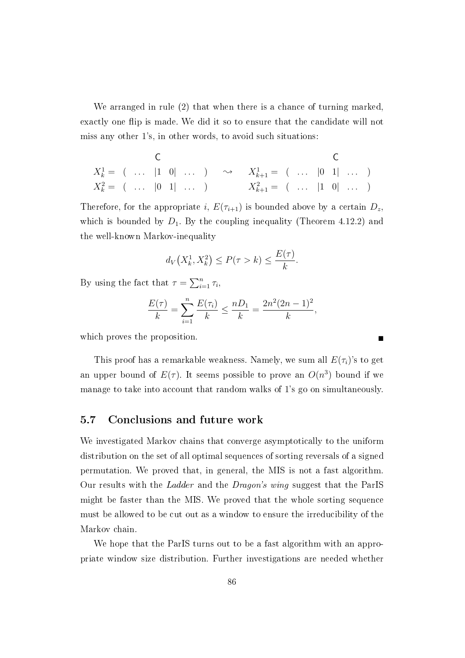We arranged in rule (2) that when there is a chance of turning marked, exactly one flip is made. We did it so to ensure that the candidate will not miss any other 1's, in other words, to avoid such situations:

$$
X_k^1 = \begin{pmatrix} 0 & 0 & 0 \\ 0 & \cdots & 1 & 0 \\ 0 & 1 & 0 & 0 \\ 0 & 0 & 1 & 0 \\ 0 & 0 & 0 & 1 \end{pmatrix} \longrightarrow X_{k+1}^1 = \begin{pmatrix} 0 & 0 & 0 \\ 0 & \cdots & 1 & 0 \\ 0 & 0 & 0 & 0 \\ 0 & 0 & 0 & 0 \\ 0 & 0 & 0 & 0 \\ 0 & 0 & 0 & 0 \end{pmatrix}
$$

Therefore, for the appropriate i,  $E(\tau_{i+1})$  is bounded above by a certain  $D_z$ , which is bounded by  $D_1$ . By the coupling inequality (Theorem 4.12.2) and the well-known Markov-inequality

$$
d_V\big(X_k^1, X_k^2\big) \le P(\tau > k) \le \frac{E(\tau)}{k}.
$$

By using the fact that  $\tau = \sum_{i=1}^n \tau_i$ ,

$$
\frac{E(\tau)}{k} = \sum_{i=1}^{n} \frac{E(\tau_i)}{k} \le \frac{nD_1}{k} = \frac{2n^2(2n-1)^2}{k},
$$

which proves the proposition.

This proof has a remarkable weakness. Namely, we sum all  $E(\tau_i)$ 's to get an upper bound of  $E(\tau)$ . It seems possible to prove an  $O(n^3)$  bound if we manage to take into account that random walks of 1's go on simultaneously.

#### 5.7 Conclusions and future work

We investigated Markov chains that converge asymptotically to the uniform distribution on the set of all optimal sequences of sorting reversals of a signed permutation. We proved that, in general, the MIS is not a fast algorithm. Our results with the Ladder and the Dragon's wing suggest that the ParIS might be faster than the MIS. We proved that the whole sorting sequence must be allowed to be cut out as a window to ensure the irreducibility of the Markov chain.

We hope that the ParIS turns out to be a fast algorithm with an appropriate window size distribution. Further investigations are needed whether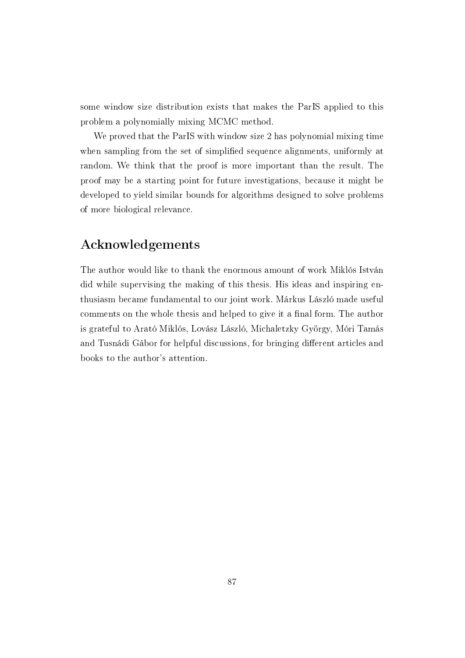some window size distribution exists that makes the ParIS applied to this problem a polynomially mixing MCMC method.

We proved that the ParIS with window size 2 has polynomial mixing time when sampling from the set of simplified sequence alignments, uniformly at random. We think that the proof is more important than the result. The proof may be a starting point for future investigations, because it might be developed to yield similar bounds for algorithms designed to solve problems of more biological relevance.

### Acknowledgements

The author would like to thank the enormous amount of work Miklós István did while supervising the making of this thesis. His ideas and inspiring enthusiasm became fundamental to our joint work. Márkus László made useful comments on the whole thesis and helped to give it a final form. The author is grateful to Arató Miklós, Lovász László, Michaletzky György, Móri Tamás and Tusnádi Gábor for helpful discussions, for bringing different articles and books to the author's attention.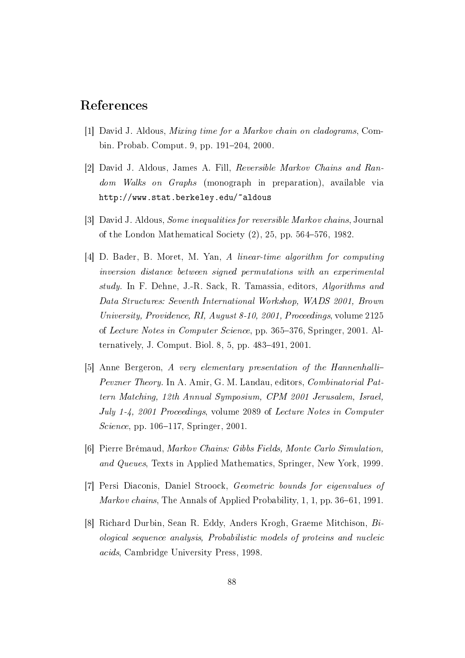### References

- [1] David J. Aldous, Mixing time for a Markov chain on cladograms, Combin. Probab. Comput. 9, pp. 191–204, 2000.
- [2] David J. Aldous, James A. Fill, Reversible Markov Chains and Random Walks on Graphs (monograph in preparation), available via http://www.stat.berkeley.edu/~aldous
- [3] David J. Aldous, Some inequalities for reversible Markov chains, Journal of the London Mathematical Society  $(2)$ , 25, pp. 564–576, 1982.
- [4] D. Bader, B. Moret, M. Yan, A linear-time algorithm for computing inversion distance between signed permutations with an experimental study. In F. Dehne, J.-R. Sack, R. Tamassia, editors, Algorithms and Data Structures: Seventh International Workshop, WADS 2001, Brown University, Providence, RI, August 8-10, 2001, Proceedings, volume 2125 of Lecture Notes in Computer Science, pp. 365–376, Springer, 2001. Alternatively, J. Comput. Biol. 8, 5, pp.  $483-491$ ,  $2001$ .
- [5] Anne Bergeron, A very elementary presentation of the Hannenhalli Pevzner Theory. In A. Amir, G. M. Landau, editors, Combinatorial Pattern Matching, 12th Annual Symposium, CPM 2001 Jerusalem, Israel, July 1-4, 2001 Proceedings, volume 2089 of Lecture Notes in Computer Science, pp.  $106-117$ , Springer, 2001.
- [6] Pierre Brémaud, Markov Chains: Gibbs Fields, Monte Carlo Simulation, and Queues, Texts in Applied Mathematics, Springer, New York, 1999.
- [7] Persi Diaconis, Daniel Stroock, Geometric bounds for eigenvalues of *Markov chains*, The Annals of Applied Probability,  $1, 1$ , pp. 36–61, 1991.
- [8] Richard Durbin, Sean R. Eddy, Anders Krogh, Graeme Mitchison, Biological sequence analysis, Probabilistic models of proteins and nucleic acids, Cambridge University Press, 1998.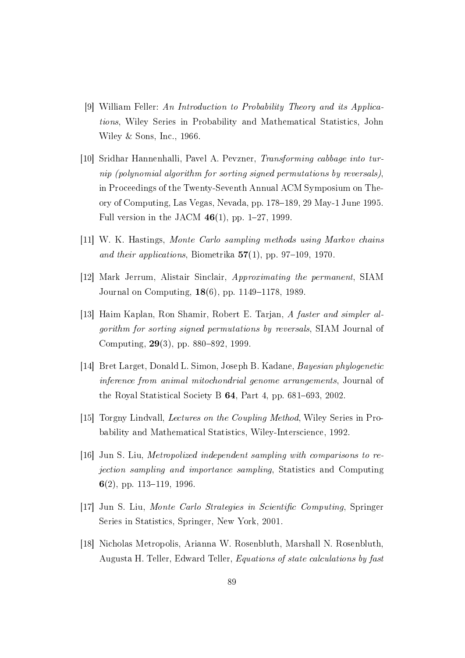- [9] William Feller: An Introduction to Probability Theory and its Applications, Wiley Series in Probability and Mathematical Statistics, John Wiley & Sons, Inc., 1966.
- [10] Sridhar Hannenhalli, Pavel A. Pevzner, Transforming cabbage into turnip (polynomial algorithm for sorting signed permutations by reversals), in Proceedings of the Twenty-Seventh Annual ACM Symposium on Theory of Computing, Las Vegas, Nevada, pp. 178–189, 29 May-1 June 1995. Full version in the JACM  $46(1)$ , pp. 1-27, 1999.
- [11] W. K. Hastings, Monte Carlo sampling methods using Markov chains and their applications, Biometrika  $57(1)$ , pp. 97-109, 1970.
- [12] Mark Jerrum, Alistair Sinclair, Approximating the permanent, SIAM Journal on Computing,  $18(6)$ , pp. 1149–1178, 1989.
- [13] Haim Kaplan, Ron Shamir, Robert E. Tarjan, A faster and simpler algorithm for sorting signed permutations by reversals, SIAM Journal of Computing,  $29(3)$ , pp. 880–892, 1999.
- [14] Bret Larget, Donald L. Simon, Joseph B. Kadane, Bayesian phylogenetic inference from animal mitochondrial genome arrangements, Journal of the Royal Statistical Society B  $64$ , Part 4, pp. 681–693, 2002.
- [15] Torgny Lindvall, Lectures on the Coupling Method, Wiley Series in Probability and Mathematical Statistics, Wiley-Interscience, 1992.
- [16] Jun S. Liu, Metropolized independent sampling with comparisons to rejection sampling and importance sampling, Statistics and Computing 6(2), pp. 113–119, 1996.
- [17] Jun S. Liu, Monte Carlo Strategies in Scientific Computing, Springer Series in Statistics, Springer, New York, 2001.
- [18] Nicholas Metropolis, Arianna W. Rosenbluth, Marshall N. Rosenbluth, Augusta H. Teller, Edward Teller, Equations of state calculations by fast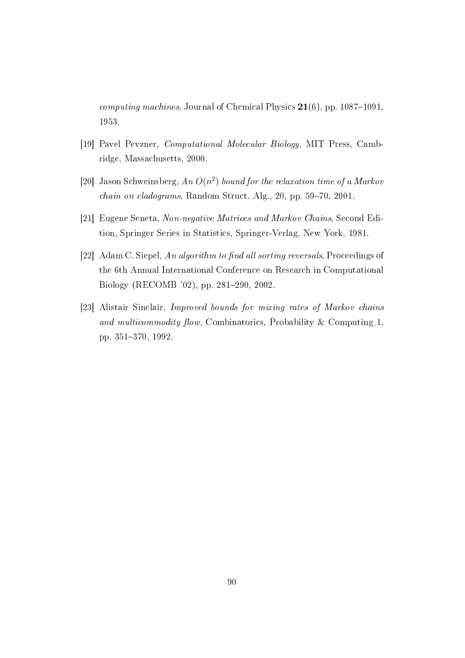*computing machines, Journal of Chemical Physics*  $21(6)$ , pp. 1087-1091, 1953.

- [19] Pavel Pevzner, Computational Molecular Biology, MIT Press, Cambridge, Massachusetts, 2000.
- [20] Jason Schweinsberg, An  $O(n^2)$  bound for the relaxation time of a Markov  $chain\; on\; cladograms, \; Random\; Structure, \; Alg.,\; 20, \; pp. \; 59-70, \; 2001.$
- [21] Eugene Seneta, Non-negative Matrices and Markov Chains, Second Edition, Springer Series in Statistics, Springer-Verlag, New York, 1981.
- [22] Adam C. Siepel, An algorithm to find all sorting reversals, Proceedings of the 6th Annual International Conference on Research in Computational Biology (RECOMB '02), pp. 281-290, 2002.
- [23] Alistair Sinclair, Improved bounds for mixing rates of Markov chains and multicommodity flow, Combinatorics, Probability & Computing 1, pp. 351-370, 1992.